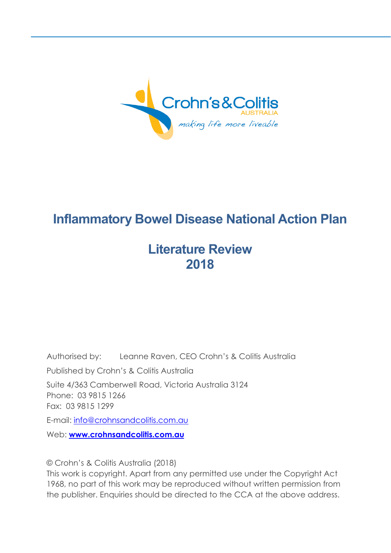

# **Inflammatory Bowel Disease National Action Plan**

# **Literature Review 2018**

Authorised by: Leanne Raven, CEO Crohn's & Colitis Australia Published by Crohn's & Colitis Australia Suite 4/363 Camberwell Road, Victoria Australia 3124 Phone: 03 9815 1266 Fax: 03 9815 1299 E-mail: [info@crohnsandcolitis.com.au](mailto:info@crohnsandcolitis.com.au) Web: **[www.crohnsandcolitis.com.au](https://www.dropbox.com/referrer_cleansing_redirect?hmac=Psgx9X6ckPbjX7XC3BVFWyPxddk%2B3cfMDVWB4lAcEIs%3D&url=http%3A%2F%2Fwww.crohnsandcolitis.com.au)**

© Crohn's & Colitis Australia (2018)

This work is copyright. Apart from any permitted use under the Copyright Act 1968, no part of this work may be reproduced without written permission from the publisher. Enquiries should be directed to the CCA at the above address.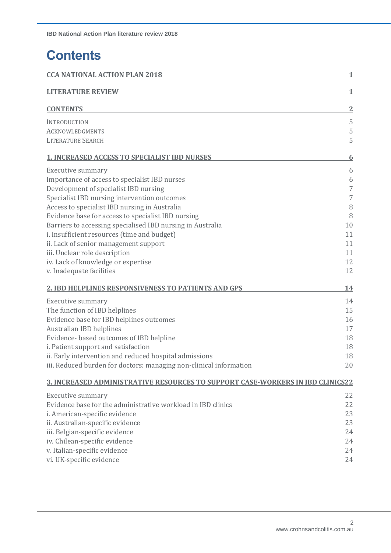# **Contents**

| <b>CCA NATIONAL ACTION PLAN 2018</b>                                                  | 1              |
|---------------------------------------------------------------------------------------|----------------|
| <b>LITERATURE REVIEW</b>                                                              |                |
| <b>CONTENTS</b>                                                                       | $\overline{2}$ |
| INTRODUCTION                                                                          | 5              |
| <b>ACKNOWLEDGMENTS</b>                                                                | 5              |
| <b>LITERATURE SEARCH</b>                                                              | 5              |
| <b>1. INCREASED ACCESS TO SPECIALIST IBD NURSES</b>                                   | <u>6</u>       |
| <b>Executive summary</b>                                                              | 6              |
| Importance of access to specialist IBD nurses                                         | 6              |
| Development of specialist IBD nursing                                                 | 7              |
| Specialist IBD nursing intervention outcomes                                          | 7              |
| Access to specialist IBD nursing in Australia                                         | 8              |
| Evidence base for access to specialist IBD nursing                                    | 8              |
| Barriers to accessing specialised IBD nursing in Australia                            | 10             |
| i. Insufficient resources (time and budget)                                           | 11             |
| ii. Lack of senior management support                                                 | 11             |
| iii. Unclear role description                                                         | 11             |
| iv. Lack of knowledge or expertise                                                    | 12             |
| v. Inadequate facilities                                                              | 12             |
| <b>2. IBD HELPLINES RESPONSIVENESS TO PATIENTS AND GPS</b>                            | <u> 14</u>     |
| <b>Executive summary</b>                                                              | 14             |
| The function of IBD helplines                                                         | 15             |
| Evidence base for IBD helplines outcomes                                              | 16             |
| <b>Australian IBD helplines</b>                                                       | 17             |
| Evidence- based outcomes of IBD helpline                                              | 18             |
| i. Patient support and satisfaction                                                   | 18             |
| ii. Early intervention and reduced hospital admissions                                | 18             |
| iii. Reduced burden for doctors: managing non-clinical information                    | 20             |
| <u>3. INCREASED ADMINISTRATIVE RESOURCES TO SUPPORT CASE-WORKERS IN IBD CLINICS22</u> |                |
| <b>Executive summary</b>                                                              | 22             |
| Evidence base for the administrative workload in IBD clinics                          | 22             |
| i. American-specific evidence                                                         | 23             |
| ii. Australian-specific evidence                                                      | 23             |
| iii. Belgian-specific evidence                                                        | 24             |
| iv. Chilean-specific evidence                                                         | 24             |
| v. Italian-specific evidence                                                          | 24             |
| vi. UK-specific evidence                                                              | 24             |
|                                                                                       |                |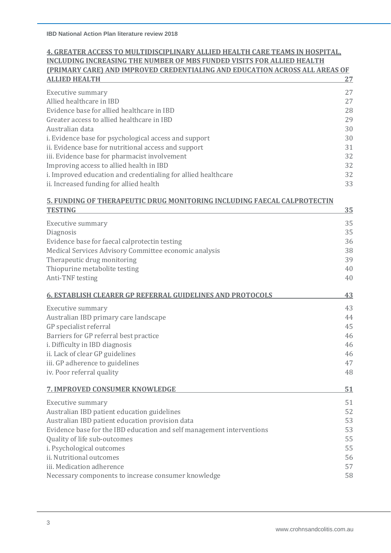### **4. GREATER ACCESS TO MULTIDISCIPLINARY ALLIED HEALTH CARE TEAMS IN HOSPITAL, INCLUDING INCREASING THE NUMBER OF MBS FUNDED VISITS FOR ALLIED HEALTH (PRIMARY CARE) AND IMPROVED CREDENTIALING AND EDUCATION ACROSS ALL AREAS OF ALLIED HEALTH 27**

| <b>Executive summary</b>                                      | 27 |
|---------------------------------------------------------------|----|
| Allied healthcare in IBD                                      | 27 |
| Evidence base for allied healthcare in IBD                    | 28 |
| Greater access to allied healthcare in IBD                    | 29 |
| Australian data                                               | 30 |
| i. Evidence base for psychological access and support         | 30 |
| ii. Evidence base for nutritional access and support          | 31 |
| iii. Evidence base for pharmacist involvement                 | 32 |
| Improving access to allied health in IBD                      | 32 |
| i. Improved education and credentialing for allied healthcare | 32 |
| ii. Increased funding for allied health                       | 33 |

### **5. FUNDING OF THERAPEUTIC DRUG MONITORING INCLUDING FAECAL CALPROTECTIN TESTING 35**

| <b>Executive summary</b>                                              | 35 |
|-----------------------------------------------------------------------|----|
| Diagnosis                                                             | 35 |
| Evidence base for faecal calprotectin testing                         | 36 |
| Medical Services Advisory Committee economic analysis                 | 38 |
| Therapeutic drug monitoring                                           | 39 |
| Thiopurine metabolite testing                                         | 40 |
| Anti-TNF testing                                                      | 40 |
| <b>6. ESTABLISH CLEARER GP REFERRAL GUIDELINES AND PROTOCOLS</b>      | 43 |
| Executive summary                                                     | 43 |
| Australian IBD primary care landscape                                 | 44 |
| GP specialist referral                                                | 45 |
| Barriers for GP referral best practice                                | 46 |
| i. Difficulty in IBD diagnosis                                        | 46 |
| ii. Lack of clear GP guidelines                                       | 46 |
| iii. GP adherence to guidelines                                       | 47 |
| iv. Poor referral quality                                             | 48 |
| <b>7. IMPROVED CONSUMER KNOWLEDGE</b>                                 | 51 |
| <b>Executive summary</b>                                              | 51 |
| Australian IBD patient education guidelines                           | 52 |
| Australian IBD patient education provision data                       | 53 |
| Evidence base for the IBD education and self management interventions | 53 |
| Quality of life sub-outcomes                                          | 55 |
| i. Psychological outcomes                                             | 55 |
| ii. Nutritional outcomes                                              | 56 |
| iii. Medication adherence                                             | 57 |
| Necessary components to increase consumer knowledge                   | 58 |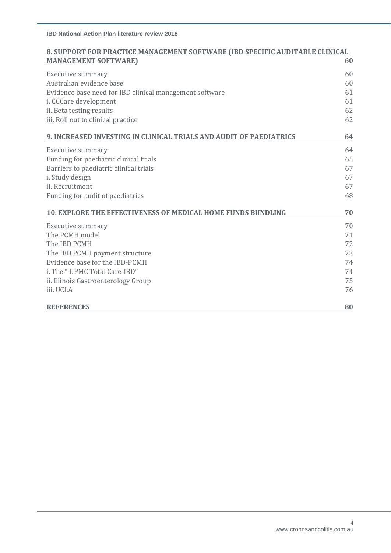| <b>8. SUPPORT FOR PRACTICE MANAGEMENT SOFTWARE (IBD SPECIFIC AUDITABLE CLINICAL</b> |    |
|-------------------------------------------------------------------------------------|----|
| <b>MANAGEMENT SOFTWARE)</b>                                                         | 60 |
| <b>Executive summary</b>                                                            | 60 |
| Australian evidence base                                                            | 60 |
| Evidence base need for IBD clinical management software                             | 61 |
| i. CCCare development                                                               | 61 |
| ii. Beta testing results                                                            | 62 |
| iii. Roll out to clinical practice                                                  | 62 |
| 9. INCREASED INVESTING IN CLINICAL TRIALS AND AUDIT OF PAEDIATRICS                  | 64 |
| <b>Executive summary</b>                                                            | 64 |
| Funding for paediatric clinical trials                                              | 65 |
| Barriers to paediatric clinical trials                                              | 67 |
| i. Study design                                                                     | 67 |
| ii. Recruitment                                                                     | 67 |
| Funding for audit of paediatrics                                                    | 68 |
| 10. EXPLORE THE EFFECTIVENESS OF MEDICAL HOME FUNDS BUNDLING                        | 70 |
| <b>Executive summary</b>                                                            | 70 |
| The PCMH model                                                                      | 71 |
| The IBD PCMH                                                                        | 72 |
| The IBD PCMH payment structure                                                      | 73 |
| Evidence base for the IBD-PCMH                                                      | 74 |
| i. The "UPMC Total Care-IBD"                                                        | 74 |
| ii. Illinois Gastroenterology Group                                                 | 75 |
| iii. UCLA                                                                           | 76 |
| <b>REFERENCES</b>                                                                   | 80 |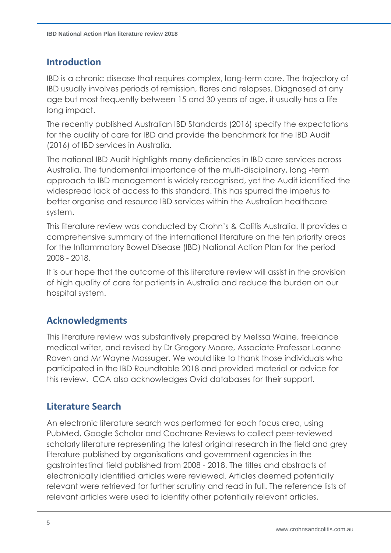# **Introduction**

IBD is a chronic disease that requires complex, long-term care. The trajectory of IBD usually involves periods of remission, flares and relapses. Diagnosed at any age but most frequently between 15 and 30 years of age, it usually has a life long impact.

The recently published Australian IBD Standards (2016) specify the expectations for the quality of care for IBD and provide the benchmark for the IBD Audit (2016) of IBD services in Australia.

The national IBD Audit highlights many deficiencies in IBD care services across Australia. The fundamental importance of the multi-disciplinary, long -term approach to IBD management is widely recognised, yet the Audit identified the widespread lack of access to this standard. This has spurred the impetus to better organise and resource IBD services within the Australian healthcare system.

This literature review was conducted by Crohn's & Colitis Australia. It provides a comprehensive summary of the international literature on the ten priority areas for the Inflammatory Bowel Disease (IBD) National Action Plan for the period 2008 - 2018.

It is our hope that the outcome of this literature review will assist in the provision of high quality of care for patients in Australia and reduce the burden on our hospital system.

# **Acknowledgments**

This literature review was substantively prepared by Melissa Waine, freelance medical writer, and revised by Dr Gregory Moore, Associate Professor Leanne Raven and Mr Wayne Massuger. We would like to thank those individuals who participated in the IBD Roundtable 2018 and provided material or advice for this review. CCA also acknowledges Ovid databases for their support.

# **Literature Search**

An electronic literature search was performed for each focus area, using PubMed, Google Scholar and Cochrane Reviews to collect peer-reviewed scholarly literature representing the latest original research in the field and grey literature published by organisations and government agencies in the gastrointestinal field published from 2008 - 2018. The titles and abstracts of electronically identified articles were reviewed. Articles deemed potentially relevant were retrieved for further scrutiny and read in full. The reference lists of relevant articles were used to identify other potentially relevant articles.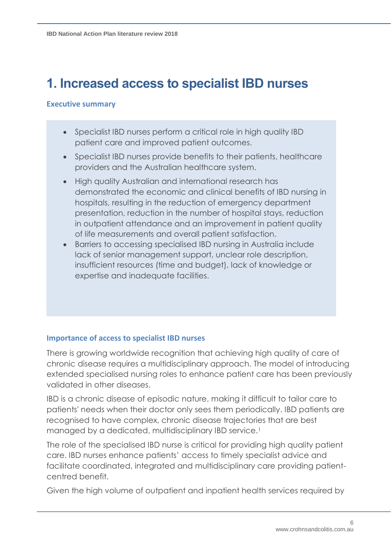# **1. Increased access to specialist IBD nurses**

### **Executive summary**

- Specialist IBD nurses perform a critical role in high quality IBD patient care and improved patient outcomes.
- Specialist IBD nurses provide benefits to their patients, healthcare providers and the Australian healthcare system.
- High quality Australian and international research has demonstrated the economic and clinical benefits of IBD nursing in hospitals, resulting in the reduction of emergency department presentation, reduction in the number of hospital stays, reduction in outpatient attendance and an improvement in patient quality of life measurements and overall patient satisfaction.
- Barriers to accessing specialised IBD nursing in Australia include lack of senior management support, unclear role description, insufficient resources (time and budget), lack of knowledge or expertise and inadequate facilities.

### **Importance of access to specialist IBD nurses**

There is growing worldwide recognition that achieving high quality of care of chronic disease requires a multidisciplinary approach. The model of introducing extended specialised nursing roles to enhance patient care has been previously validated in other diseases.

IBD is a chronic disease of episodic nature, making it difficult to tailor care to patients' needs when their doctor only sees them periodically. IBD patients are recognised to have complex, chronic disease trajectories that are best managed by a dedicated, multidisciplinary IBD service. 1

The role of the specialised IBD nurse is critical for providing high quality patient care. IBD nurses enhance patients' access to timely specialist advice and facilitate coordinated, integrated and multidisciplinary care providing patientcentred benefit.

Given the high volume of outpatient and inpatient health services required by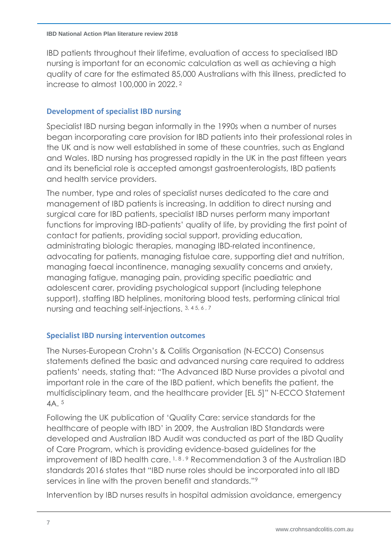IBD patients throughout their lifetime, evaluation of access to specialised IBD nursing is important for an economic calculation as well as achieving a high quality of care for the estimated 85,000 Australians with this illness, predicted to increase to almost 100,000 in 2022. 2

## **Development of specialist IBD nursing**

Specialist IBD nursing began informally in the 1990s when a number of nurses began incorporating care provision for IBD patients into their professional roles in the UK and is now well established in some of these countries, such as England and Wales. IBD nursing has progressed rapidly in the UK in the past fifteen years and its beneficial role is accepted amongst gastroenterologists, IBD patients and health service providers.

The number, type and roles of specialist nurses dedicated to the care and management of IBD patients is increasing. In addition to direct nursing and surgical care for IBD patients, specialist IBD nurses perform many important functions for improving IBD-patients' quality of life, by providing the first point of contact for patients, providing social support, providing education, administrating biologic therapies, managing IBD-related incontinence, advocating for patients, managing fistulae care, supporting diet and nutrition, managing faecal incontinence, managing sexuality concerns and anxiety, managing fatigue, managing pain, providing specific paediatric and adolescent carer, providing psychological support (including telephone support), staffing IBD helplines, monitoring blood tests, performing clinical trial nursing and teaching self-injections. 3, 4 5, 6 , 7

### <span id="page-6-0"></span>**Specialist IBD nursing intervention outcomes**

The Nurses-European Crohn's & Colitis Organisation (N-ECCO) Consensus statements defined the basic and advanced nursing care required to address patients' needs, stating that: "The Advanced IBD Nurse provides a pivotal and important role in the care of the IBD patient, which benefits the patient, the multidisciplinary team, and the healthcare provider [EL 5]" N-ECCO Statement 4A. 5

Following the UK publication of 'Quality Care: service standards for the healthcare of people with IBD' in 2009, the Australian IBD Standards were developed and Australian IBD Audit was conducted as part of the IBD Quality of Care Program, which is providing evidence-based guidelines for the improvement of IBD health care.  $1, 8, 9$  Recommendation 3 of the Australian IBD standards 2016 states that "IBD nurse roles should be incorporated into all IBD services in line with the proven benefit and standards."<sup>9</sup>

<span id="page-6-1"></span>Intervention by IBD nurses results in hospital admission avoidance, emergency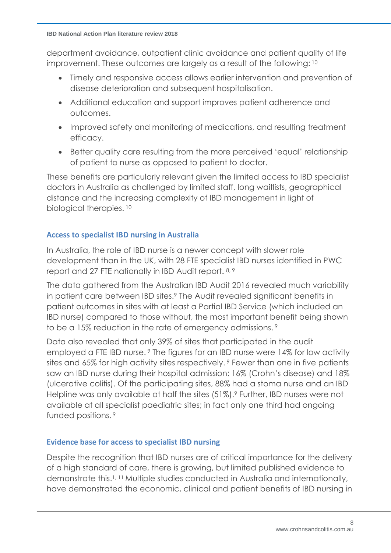department avoidance, outpatient clinic avoidance and patient quality of life improvement. These outcomes are largely as a result of the following: 10

- <span id="page-7-0"></span>• Timely and responsive access allows earlier intervention and prevention of disease deterioration and subsequent hospitalisation.
- Additional education and support improves patient adherence and outcomes.
- Improved safety and monitoring of medications, and resulting treatment efficacy.
- Better quality care resulting from the more perceived 'equal' relationship of patient to nurse as opposed to patient to doctor.

These benefits are particularly relevant given the limited access to IBD specialist doctors in Australia as challenged by limited staff, long waitlists, geographical distance and the increasing complexity of IBD management in light of biological therapies. 10

### **Access to specialist IBD nursing in Australia**

In Australia, the role of IBD nurse is a newer concept with slower role development than in the UK, with 28 FTE specialist IBD nurses identified in PWC report and 27 FTE nationally in IBD Audit report. 8, 9

The data gathered from the Australian IBD Audit 2016 revealed much variability in patient care between IBD sites.<sup>9</sup> The Audit revealed significant benefits in patient outcomes in sites with at least a Partial IBD Service (which included an IBD nurse) compared to those without, the most important benefit being shown to be a 15% reduction in the rate of emergency admissions. 9

Data also revealed that only 39% of sites that participated in the audit employed a FTE IBD nurse. <sup>9</sup> The figures for an IBD nurse were 14% for low activity sites and 65% for high activity sites respectively. <sup>9</sup> Fewer than one in five patients saw an IBD nurse during their hospital admission: 16% (Crohn's disease) and 18% (ulcerative colitis). Of the participating sites, 88% had a stoma nurse and an IBD Helpline was only available at half the sites (51%).<sup>9</sup> Further, IBD nurses were not available at all specialist paediatric sites; in fact only one third had ongoing funded positions. <sup>9</sup>

# **Evidence base for access to specialist IBD nursing**

Despite the recognition that IBD nurses are of critical importance for the delivery of a high standard of care, there is growing, but limited published evidence to demonstrate this.1, 11 Multiple studies conducted in Australia and internationally, have demonstrated the economic, clinical and patient benefits of IBD nursing in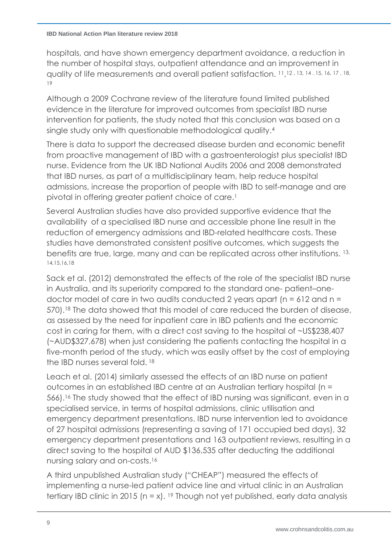hospitals, and have shown emergency department avoidance, a reduction in the number of hospital stays, outpatient attendance and an improvement in quality of life measurements and overall patient satisfaction. <sup>11</sup>, 12 , 13, 14 , 15, 16, 17 , 18, 19

Although a 2009 Cochrane review of the literature found limited published evidence in the literature for improved outcomes from specialist IBD nurse intervention for patients, the study noted that this conclusion was based on a single study only with questionable methodological quality. 4

There is data to support the decreased disease burden and economic benefit from proactive management of IBD with a gastroenterologist plus specialist IBD nurse. Evidence from the UK IBD National Audits 2006 and 2008 demonstrated that IBD nurses, as part of a multidisciplinary team, help reduce hospital admissions, increase the proportion of people with IBD to self-manage and are pivotal in offering greater patient choice of care.<sup>1</sup>

Several Australian studies have also provided supportive evidence that the availability of a specialised IBD nurse and accessible phone line result in the reduction of emergency admissions and IBD-related healthcare costs. These studies have demonstrated consistent positive outcomes, which suggests the benefits are true, large, many and can be replicated across other institutions. 13, 14,15,16,18

Sack et al. (2012) demonstrated the effects of the role of the specialist IBD nurse in Australia, and its superiority compared to the standard one- patient–onedoctor model of care in two audits conducted 2 years apart (n = 612 and n = 570). <sup>18</sup> The data showed that this model of care reduced the burden of disease, as assessed by the need for inpatient care in IBD patients and the economic cost in caring for them, with a direct cost saving to the hospital of ~US\$238,407 (~AUD\$327,678) when just considering the patients contacting the hospital in a five-month period of the study, which was easily offset by the cost of employing the IBD nurses several fold.<sup>18</sup>

Leach et al. (2014) similarly assessed the effects of an IBD nurse on patient outcomes in an established IBD centre at an Australian tertiary hospital (n = 566). <sup>16</sup> The study showed that the effect of IBD nursing was significant, even in a specialised service, in terms of hospital admissions, clinic utilisation and emergency department presentations. IBD nurse intervention led to avoidance of 27 hospital admissions (representing a saving of 171 occupied bed days), 32 emergency department presentations and 163 outpatient reviews, resulting in a direct saving to the hospital of AUD \$136,535 after deducting the additional nursing salary and on-costs.<sup>16</sup>

A third unpublished Australian study ("CHEAP") measured the effects of implementing a nurse-led patient advice line and virtual clinic in an Australian tertiary IBD clinic in 2015 ( $n = x$ ). <sup>19</sup> Though not yet published, early data analysis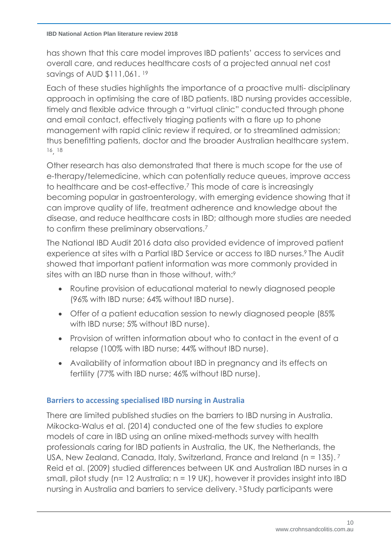has shown that this care model improves IBD patients' access to services and overall care, and reduces healthcare costs of a projected annual net cost savings of AUD \$111,061. 19

Each of these studies highlights the importance of a proactive multi- disciplinary approach in optimising the care of IBD patients. IBD nursing provides accessible, timely and flexible advice through a "virtual clinic" conducted through phone and email contact, effectively triaging patients with a flare up to phone management with rapid clinic review if required, or to streamlined admission; thus benefitting patients, doctor and the broader Australian healthcare system. <sup>16</sup>, 18

Other research has also demonstrated that there is much scope for the use of e-therapy/telemedicine, which can potentially reduce queues, improve access to healthcare and be cost-effective.<sup>7</sup> This mode of care is increasingly becoming popular in gastroenterology, with emerging evidence showing that it can improve quality of life, treatment adherence and knowledge about the disease, and reduce healthcare costs in IBD; although more studies are needed to confirm these preliminary observations.<sup>7</sup>

The National IBD Audit 2016 data also provided evidence of improved patient experience at sites with a Partial IBD Service or access to IBD nurses. <sup>9</sup> The Audit showed that important patient information was more commonly provided in sites with an IBD nurse than in those without, with: 9

- Routine provision of educational material to newly diagnosed people (96% with IBD nurse; 64% without IBD nurse).
- Offer of a patient education session to newly diagnosed people (85% with IBD nurse; 5% without IBD nurse).
- Provision of written information about who to contact in the event of a relapse (100% with IBD nurse; 44% without IBD nurse).
- Availability of information about IBD in pregnancy and its effects on fertility (77% with IBD nurse; 46% without IBD nurse).

# **Barriers to accessing specialised IBD nursing in Australia**

There are limited published studies on the barriers to IBD nursing in Australia. Mikocka-Walus et al. (2014) conducted one of the few studies to explore models of care in IBD using an online mixed-methods survey with health professionals caring for IBD patients in Australia, the UK, the Netherlands, the USA, New Zealand, Canada, Italy, Switzerland, France and Ireland (n = 135). 7 Reid et al. (2009) studied differences between UK and Australian IBD nurses in a small, pilot study (n= 12 Australia; n = 19 UK), however it provides insight into IBD nursing in Australia and barriers to service delivery. <sup>3</sup> Study participants were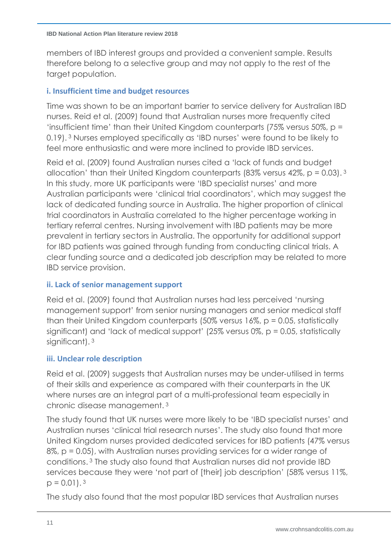members of IBD interest groups and provided a convenient sample. Results therefore belong to a selective group and may not apply to the rest of the target population.

## **i. Insufficient time and budget resources**

Time was shown to be an important barrier to service delivery for Australian IBD nurses. Reid et al. (2009) found that Australian nurses more frequently cited 'insufficient time' than their United Kingdom counterparts (75% versus 50%, p = 0.19). <sup>3</sup> Nurses employed specifically as 'IBD nurses' were found to be likely to feel more enthusiastic and were more inclined to provide IBD services.

Reid et al. (2009) found Australian nurses cited a 'lack of funds and budget allocation' than their United Kingdom counterparts (83% versus 42%, p = 0.03). <sup>3</sup> In this study, more UK participants were 'IBD specialist nurses' and more Australian participants were 'clinical trial coordinators', which may suggest the lack of dedicated funding source in Australia. The higher proportion of clinical trial coordinators in Australia correlated to the higher percentage working in tertiary referral centres. Nursing involvement with IBD patients may be more prevalent in tertiary sectors in Australia. The opportunity for additional support for IBD patients was gained through funding from conducting clinical trials. A clear funding source and a dedicated job description may be related to more IBD service provision.

# **ii. Lack of senior management support**

Reid et al. (2009) found that Australian nurses had less perceived 'nursing management support' from senior nursing managers and senior medical staff than their United Kingdom counterparts (50% versus 16%, p = 0.05, statistically significant) and 'lack of medical support' (25% versus 0%, p = 0.05, statistically significant). 3

# **iii. Unclear role description**

Reid et al. (2009) suggests that Australian nurses may be under‐utilised in terms of their skills and experience as compared with their counterparts in the UK where nurses are an integral part of a multi‐professional team especially in chronic disease management. <sup>3</sup>

The study found that UK nurses were more likely to be 'IBD specialist nurses' and Australian nurses 'clinical trial research nurses'. The study also found that more United Kingdom nurses provided dedicated services for IBD patients (47% versus 8%, p = 0.05), with Australian nurses providing services for a wider range of conditions. <sup>3</sup> The study also found that Australian nurses did not provide IBD services because they were 'not part of [their] job description' (58% versus 11%,  $p = 0.01$ ). <sup>3</sup>

The study also found that the most popular IBD services that Australian nurses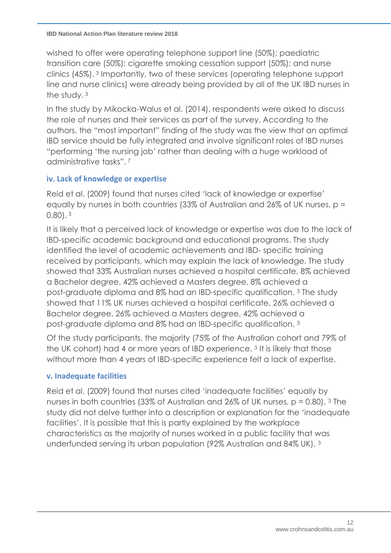wished to offer were operating telephone support line (50%); paediatric transition care (50%); cigarette smoking cessation support (50%); and nurse clinics (45%). <sup>3</sup> Importantly, two of these services (operating telephone support line and nurse clinics) were already being provided by all of the UK IBD nurses in the study. <sup>3</sup>

In the study by Mikocka-Walus et al. (2014), respondents were asked to discuss the role of nurses and their services as part of the survey. According to the authors, the "most important" finding of the study was the view that an optimal IBD service should be fully integrated and involve significant roles of IBD nurses "performing 'the nursing job' rather than dealing with a huge workload of administrative tasks". 7

# **iv. Lack of knowledge or expertise**

Reid et al. (2009) found that nurses cited 'lack of knowledge or expertise' equally by nurses in both countries (33% of Australian and 26% of UK nurses, p = 0.80). <sup>3</sup>

It is likely that a perceived lack of knowledge or expertise was due to the lack of IBD-specific academic background and educational programs. The study identified the level of academic achievements and IBD- specific training received by participants, which may explain the lack of knowledge. The study showed that 33% Australian nurses achieved a hospital certificate, 8% achieved a Bachelor degree, 42% achieved a Masters degree, 8% achieved a post-graduate diploma and 8% had an IBD-specific qualification. [3](#page-6-0) The study showed that 11% UK nurses achieved a hospital certificate, 26% achieved a Bachelor degree, 26% achieved a Masters degree, 42% achieved a post-graduate diploma and 8% had an IBD-specific qualification. [3](#page-6-0)

Of the study participants, the majority (75% of the Australian cohort and 79% of the UK cohort) had 4 or more years of IBD experience. [3](#page-6-0) It is likely that those without more than 4 years of IBD-specific experience felt a lack of expertise.

### **v. Inadequate facilities**

Reid et al. (2009) found that nurses cited 'inadequate facilities' equally by nurses in both countries (33% of Australian and 26% of UK nurses,  $p = 0.80$ ). <sup>3</sup> The study did not delve further into a description or explanation for the 'inadequate facilities'. It is possible that this is partly explained by the workplace characteristics as the majority of nurses worked in a public facility that was underfunded serving its urban population (92% Australian and 84% UK). [3](#page-6-0)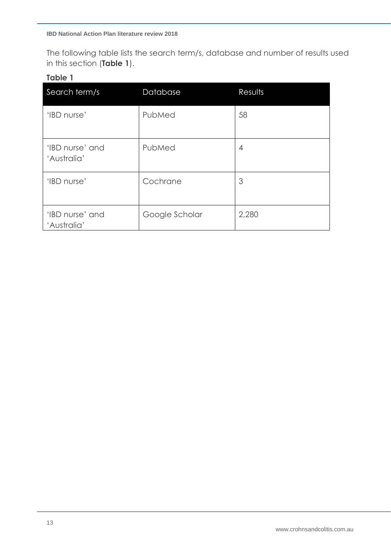The following table lists the search term/s, database and number of results used in this section (**Table 1**).

## **Table 1**

| Search term/s                  | Database       | Results |
|--------------------------------|----------------|---------|
| 'IBD nurse'                    | PubMed         | 58      |
| 'IBD nurse' and<br>'Australia' | PubMed         | 4       |
| 'IBD nurse'                    | Cochrane       | 3       |
| 'IBD nurse' and<br>'Australia' | Google Scholar | 2,280   |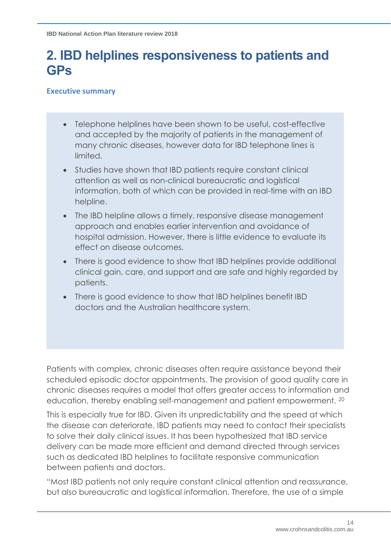# **2. IBD helplines responsiveness to patients and GPs**

### **Executive summary**

- Telephone helplines have been shown to be useful, cost-effective and accepted by the majority of patients in the management of many chronic diseases, however data for IBD telephone lines is limited.
- Studies have shown that IBD patients require constant clinical attention as well as non-clinical bureaucratic and logistical information, both of which can be provided in real-time with an IBD helpline.
- The IBD helpline allows a timely, responsive disease management approach and enables earlier intervention and avoidance of hospital admission. However, there is little evidence to evaluate its effect on disease outcomes.
- There is good evidence to show that IBD helplines provide additional clinical gain, care, and support and are safe and highly regarded by patients.
- There is good evidence to show that IBD helplines benefit IBD doctors and the Australian healthcare system.

Patients with complex, chronic diseases often require assistance beyond their scheduled episodic doctor appointments. The provision of good quality care in chronic diseases requires a model that offers greater access to information and education, thereby enabling self-management and patient empowerment. <sup>20</sup>

This is especially true for IBD. Given its unpredictability and the speed at which the disease can deteriorate, IBD patients may need to contact their specialists to solve their daily clinical issues. It has been hypothesized that IBD service delivery can be made more efficient and demand directed through services such as dedicated IBD helplines to facilitate responsive communication between patients and doctors.

"Most IBD patients not only require constant clinical attention and reassurance, but also bureaucratic and logistical information. Therefore, the use of a simple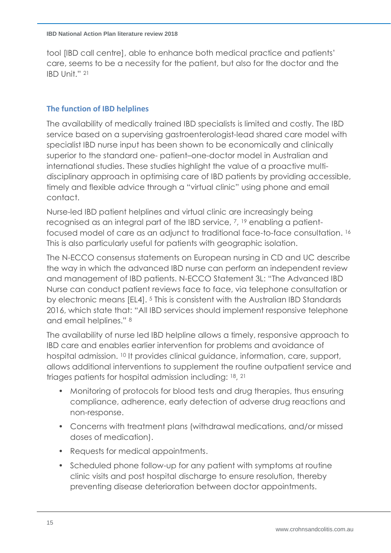tool [IBD call centre], able to enhance both medical practice and patients' care, seems to be a necessity for the patient, but also for the doctor and the IBD Unit." <sup>21</sup>

## **The function of IBD helplines**

The availability of medically trained IBD specialists is limited and costly. The IBD service based on a supervising gastroenterologist-lead shared care model with specialist IBD nurse input has been shown to be economically and clinically superior to the standard one- patient–one-doctor model in Australian and international studies. These studies highlight the value of a proactive multidisciplinary approach in optimising care of IBD patients by providing accessible, timely and flexible advice through a "virtual clinic" using phone and email contact.

Nurse-led IBD patient helplines and virtual clinic are increasingly being recognised as an integral part of the IBD service, <sup>7</sup>, <sup>19</sup> enabling a patientfocused model of care as an adjunct to traditional face-to-face consultation. 16 This is also particularly useful for patients with geographic isolation.

The N-ECCO consensus statements on European nursing in CD and UC describe the way in which the advanced IBD nurse can perform an independent review and management of IBD patients. N-ECCO Statement 3L: "The Advanced IBD Nurse can conduct patient reviews face to face, via telephone consultation or by electronic means [EL4]. <sup>5</sup> This is consistent with the Australian IBD Standards 2016, which state that: "All IBD services should implement responsive telephone and email helplines." <sup>8</sup>

The availability of nurse led IBD helpline allows a timely, responsive approach to IBD care and enables earlier intervention for problems and avoidance of hospital admission. <sup>10</sup> It provides clinical guidance, information, care, support, allows additional interventions to supplement the routine outpatient service and triages patients for hospital admission including: 18, 21

- Monitoring of protocols for blood tests and drug therapies, thus ensuring compliance, adherence, early detection of adverse drug reactions and non-response.
- Concerns with treatment plans (withdrawal medications, and/or missed doses of medication).
- Requests for medical appointments.
- Scheduled phone follow-up for any patient with symptoms at routine clinic visits and post hospital discharge to ensure resolution, thereby preventing disease deterioration between doctor appointments.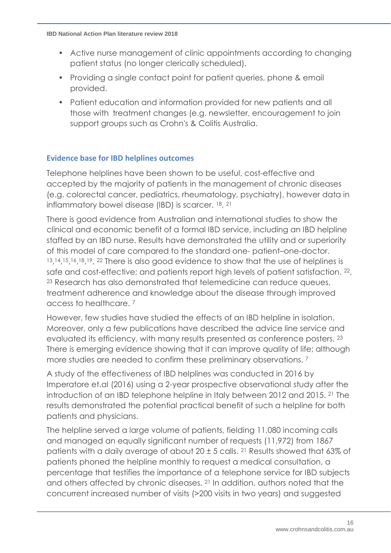- Active nurse management of clinic appointments according to changing patient status (no longer clerically scheduled).
- Providing a single contact point for patient queries, phone & email provided.
- Patient education and information provided for new patients and all those with treatment changes (e.g. newsletter, encouragement to join support groups such as Crohn's & Colitis Australia.

### **Evidence base for IBD helplines outcomes**

Telephone helplines have been shown to be useful, cost-effective and accepted by the majority of patients in the management of chronic diseases (e.g. colorectal cancer, pediatrics, rheumatology, psychiatry), however data in inflammatory bowel disease (IBD) is scarcer. <sup>18</sup>, 21

There is good evidence from Australian and international studies to show the clinical and economic benefit of a formal IBD service, including an IBD helpline staffed by an IBD nurse. Results have demonstrated the utility and or superiority of this model of care compared to the standard one- patient–one-doctor. 13, 14, 15, 16, 18, 19, 22 There is also good evidence to show that the use of helplines is safe and cost-effective; and patients report high levels of patient satisfaction. <sup>22</sup>, <sup>23</sup> Research has also demonstrated that telemedicine can reduce queues, treatment adherence and knowledge about the disease through improved access to healthcare. <sup>7</sup>

However, few studies have studied the effects of an IBD helpline in isolation. Moreover, only a few publications have described the advice line service and evaluated its efficiency, with many results presented as conference posters. <sup>23</sup> There is emerging evidence showing that it can improve quality of life; although more studies are needed to confirm these preliminary observations.<sup>7</sup>

A study of the effectiveness of IBD helplines was conducted in 2016 by Imperatore et.al (2016) using a 2-year prospective observational study after the introduction of an IBD telephone helpline in Italy between 2012 and 2015. <sup>21</sup> The results demonstrated the potential practical benefit of such a helpline for both patients and physicians.

The helpline served a large volume of patients, fielding 11,080 incoming calls and managed an equally significant number of requests (11,972) from 1867 patients with a daily average of about 20  $\pm$  5 calls. <sup>21</sup> Results showed that 63% of patients phoned the helpline monthly to request a medical consultation, a percentage that testifies the importance of a telephone service for IBD subjects and others affected by chronic diseases. <sup>21</sup> In addition, authors noted that the concurrent increased number of visits (>200 visits in two years) and suggested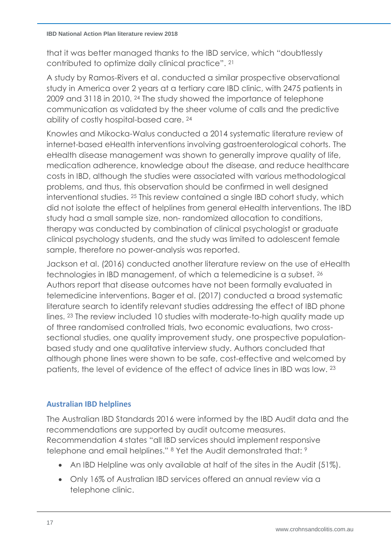that it was better managed thanks to the IBD service, which "doubtlessly contributed to optimize daily clinical practice". <sup>21</sup>

A study by Ramos-Rivers et al. conducted a similar prospective observational study in America over 2 years at a tertiary care IBD clinic, with 2475 patients in 2009 and 3118 in 2010. <sup>24</sup> The study showed the importance of telephone communication as validated by the sheer volume of calls and the predictive ability of costly hospital-based care. 24

Knowles and Mikocka-Walus conducted a 2014 systematic literature review of internet-based eHealth interventions involving gastroenterological cohorts. The eHealth disease management was shown to generally improve quality of life, medication adherence, knowledge about the disease, and reduce healthcare costs in IBD, although the studies were associated with various methodological problems, and thus, this observation should be confirmed in well designed interventional studies. <sup>25</sup> This review contained a single IBD cohort study, which did not isolate the effect of helplines from general eHealth interventions. The IBD study had a small sample size, non- randomized allocation to conditions, therapy was conducted by combination of clinical psychologist or graduate clinical psychology students, and the study was limited to adolescent female sample, therefore no power-analysis was reported.

Jackson et al. (2016) conducted another literature review on the use of eHealth technologies in IBD management, of which a telemedicine is a subset. <sup>26</sup> Authors report that disease outcomes have not been formally evaluated in telemedicine interventions. Bager et al. (2017) conducted a broad systematic literature search to identify relevant studies addressing the effect of IBD phone lines. <sup>23</sup> The review included 10 studies with moderate-to-high quality made up of three randomised controlled trials, two economic evaluations, two crosssectional studies, one quality improvement study, one prospective populationbased study and one qualitative interview study. Authors concluded that although phone lines were shown to be safe, cost-effective and welcomed by patients, the level of evidence of the effect of advice lines in IBD was low. <sup>23</sup>

# **Australian IBD helplines**

The Australian IBD Standards 2016 were informed by the IBD Audit data and the recommendations are supported by audit outcome measures. Recommendation 4 states "all IBD services should implement responsive telephone and email helplines." <sup>8</sup> Yet the Audit demonstrated that: <sup>9</sup>

- An IBD Helpline was only available at half of the sites in the Audit (51%).
- Only 16% of Australian IBD services offered an annual review via a telephone clinic.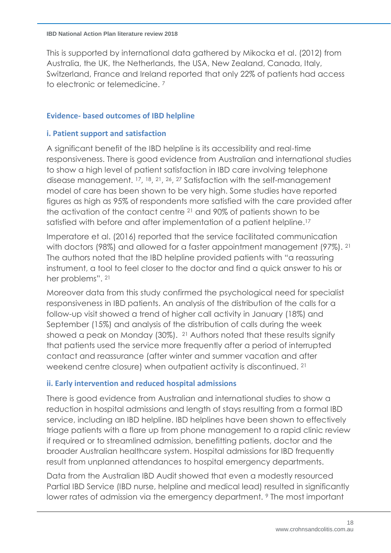This is supported by international data gathered by Mikocka et al. (2012) from Australia, the UK, the Netherlands, the USA, New Zealand, Canada, Italy, Switzerland, France and Ireland reported that only 22% of patients had access to electronic or telemedicine. <sup>7</sup>

### **Evidence- based outcomes of IBD helpline**

### **i. Patient support and satisfaction**

A significant benefit of the IBD helpline is its accessibility and real-time responsiveness. There is good evidence from Australian and international studies to show a high level of patient satisfaction in IBD care involving telephone disease management. <sup>17</sup>, <sup>18</sup>, <sup>21</sup>, <sup>26</sup>, <sup>27</sup> Satisfaction with the self-management model of care has been shown to be very high. Some studies have reported figures as high as 95% of respondents more satisfied with the care provided after the activation of the contact centre <sup>21</sup> and 90% of patients shown to be satisfied with before and after implementation of a patient helpline. 17

Imperatore et al. (2016) reported that the service facilitated communication with doctors (98%) and allowed for a faster appointment management (97%). <sup>21</sup> The authors noted that the IBD helpline provided patients with "a reassuring instrument, a tool to feel closer to the doctor and find a quick answer to his or her problems". 21

Moreover data from this study confirmed the psychological need for specialist responsiveness in IBD patients. An analysis of the distribution of the calls for a follow-up visit showed a trend of higher call activity in January (18%) and September (15%) and analysis of the distribution of calls during the week showed a peak on Monday (30%). <sup>21</sup> Authors noted that these results signify that patients used the service more frequently after a period of interrupted contact and reassurance (after winter and summer vacation and after weekend centre closure) when outpatient activity is discontinued. <sup>21</sup>

### **ii. Early intervention and reduced hospital admissions**

There is good evidence from Australian and international studies to show a reduction in hospital admissions and length of stays resulting from a formal IBD service, including an IBD helpline. IBD helplines have been shown to effectively triage patients with a flare up from phone management to a rapid clinic review if required or to streamlined admission, benefitting patients, doctor and the broader Australian healthcare system. Hospital admissions for IBD frequently result from unplanned attendances to hospital emergency departments.

Data from the Australian IBD Audit showed that even a modestly resourced Partial IBD Service (IBD nurse, helpline and medical lead) resulted in significantly lower rates of admission via the emergency department. <sup>9</sup> The most important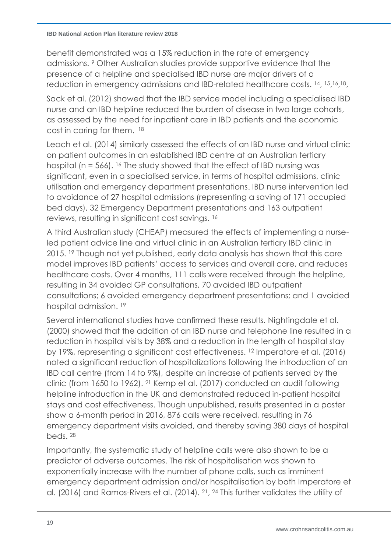benefit demonstrated was a 15% reduction in the rate of emergency admissions. <sup>9</sup> Other Australian studies provide supportive evidence that the presence of a helpline and specialised IBD nurse are major drivers of a reduction in emergency admissions and IBD-related healthcare costs. 14, 15,16,18,

Sack et al. (2012) showed that the IBD service model including a specialised IBD nurse and an IBD helpline reduced the burden of disease in two large cohorts, as assessed by the need for inpatient care in IBD patients and the economic cost in caring for them. 18

Leach et al. (2014) similarly assessed the effects of an IBD nurse and virtual clinic on patient outcomes in an established IBD centre at an Australian tertiary hospital (n = 566). <sup>16</sup> The study showed that the effect of IBD nursing was significant, even in a specialised service, in terms of hospital admissions, clinic utilisation and emergency department presentations. IBD nurse intervention led to avoidance of 27 hospital admissions (representing a saving of 171 occupied bed days), 32 Emergency Department presentations and 163 outpatient reviews, resulting in significant cost savings. 16

A third Australian study (CHEAP) measured the effects of implementing a nurseled patient advice line and virtual clinic in an Australian tertiary IBD clinic in 2015. <sup>19</sup> Though not yet published, early data analysis has shown that this care model improves IBD patients' access to services and overall care, and reduces healthcare costs. Over 4 months, 111 calls were received through the helpline, resulting in 34 avoided GP consultations, 70 avoided IBD outpatient consultations; 6 avoided emergency department presentations; and 1 avoided hospital admission. <sup>19</sup>

Several international studies have confirmed these results. Nightingdale et al. (2000) showed that the addition of an IBD nurse and telephone line resulted in a reduction in hospital visits by 38% and a reduction in the length of hospital stay by 19%, representing a significant cost effectiveness. <sup>12</sup> Imperatore et al. (2016) noted a significant reduction of hospitalizations following the introduction of an IBD call centre (from 14 to 9%), despite an increase of patients served by the clinic (from 1650 to 1962). <sup>21</sup> Kemp et al. (2017) conducted an audit following helpline introduction in the UK and demonstrated reduced in-patient hospital stays and cost effectiveness. Though unpublished, results presented in a poster show a 6-month period in 2016, 876 calls were received, resulting in 76 emergency department visits avoided, and thereby saving 380 days of hospital beds. <sup>28</sup>

Importantly, the systematic study of helpline calls were also shown to be a predictor of adverse outcomes. The risk of hospitalisation was shown to exponentially increase with the number of phone calls, such as imminent emergency department admission and/or hospitalisation by both Imperatore et al. (2016) and Ramos-Rivers et al. (2014). <sup>21</sup>, <sup>24</sup> This further validates the utility of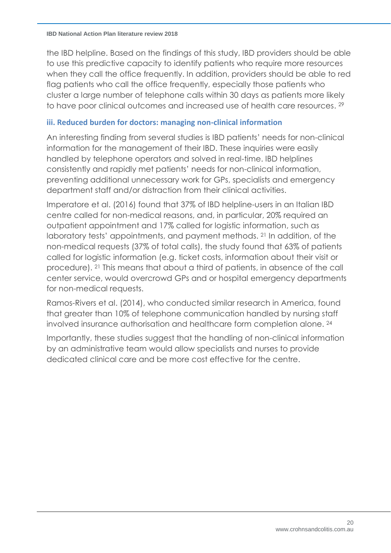the IBD helpline. Based on the findings of this study, IBD providers should be able to use this predictive capacity to identify patients who require more resources when they call the office frequently. In addition, providers should be able to red flag patients who call the office frequently, especially those patients who cluster a large number of telephone calls within 30 days as patients more likely to have poor clinical outcomes and increased use of health care resources. 29

### **iii. Reduced burden for doctors: managing non-clinical information**

An interesting finding from several studies is IBD patients' needs for non-clinical information for the management of their IBD. These inquiries were easily handled by telephone operators and solved in real-time. IBD helplines consistently and rapidly met patients' needs for non-clinical information, preventing additional unnecessary work for GPs, specialists and emergency department staff and/or distraction from their clinical activities.

Imperatore et al. (2016) found that 37% of IBD helpline-users in an Italian IBD centre called for non-medical reasons, and, in particular, 20% required an outpatient appointment and 17% called for logistic information, such as laboratory tests' appointments, and payment methods. <sup>21</sup> In addition, of the non-medical requests (37% of total calls), the study found that 63% of patients called for logistic information (e.g. ticket costs, information about their visit or procedure). <sup>21</sup> This means that about a third of patients, in absence of the call center service, would overcrowd GPs and or hospital emergency departments for non-medical requests.

Ramos-Rivers et al. (2014), who conducted similar research in America, found that greater than 10% of telephone communication handled by nursing staff involved insurance authorisation and healthcare form completion alone. 24

Importantly, these studies suggest that the handling of non-clinical information by an administrative team would allow specialists and nurses to provide dedicated clinical care and be more cost effective for the centre.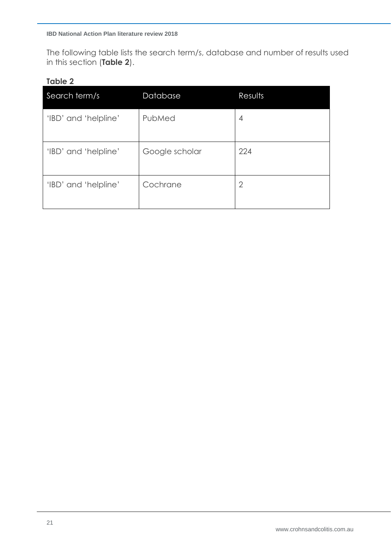The following table lists the search term/s, database and number of results used in this section (**Table 2**).

### **Table 2**

| Search term/s        | Database       | Results        |
|----------------------|----------------|----------------|
| 'IBD' and 'helpline' | PubMed         | 4              |
| 'IBD' and 'helpline' | Google scholar | 224            |
| 'IBD' and 'helpline' | Cochrane       | $\overline{2}$ |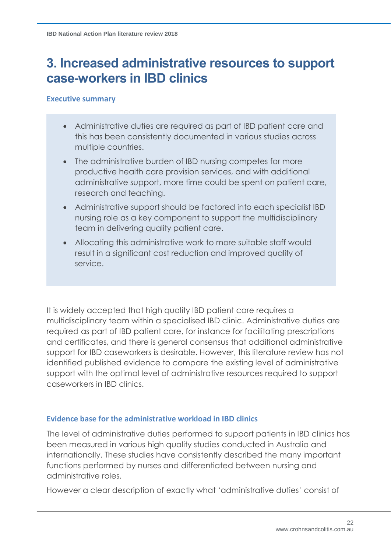# **3. Increased administrative resources to support case-workers in IBD clinics**

### **Executive summary**

- Administrative duties are required as part of IBD patient care and this has been consistently documented in various studies across multiple countries.
- The administrative burden of IBD nursing competes for more productive health care provision services, and with additional administrative support, more time could be spent on patient care, research and teaching.
- Administrative support should be factored into each specialist IBD nursing role as a key component to support the multidisciplinary team in delivering quality patient care.
- Allocating this administrative work to more suitable staff would result in a significant cost reduction and improved quality of service.

It is widely accepted that high quality IBD patient care requires a multidisciplinary team within a specialised IBD clinic. Administrative duties are required as part of IBD patient care, for instance for facilitating prescriptions and certificates, and there is general consensus that additional administrative support for IBD caseworkers is desirable. However, this literature review has not identified published evidence to compare the existing level of administrative support with the optimal level of administrative resources required to support caseworkers in IBD clinics.

### **Evidence base for the administrative workload in IBD clinics**

The level of administrative duties performed to support patients in IBD clinics has been measured in various high quality studies conducted in Australia and internationally. These studies have consistently described the many important functions performed by nurses and differentiated between nursing and administrative roles.

However a clear description of exactly what 'administrative duties' consist of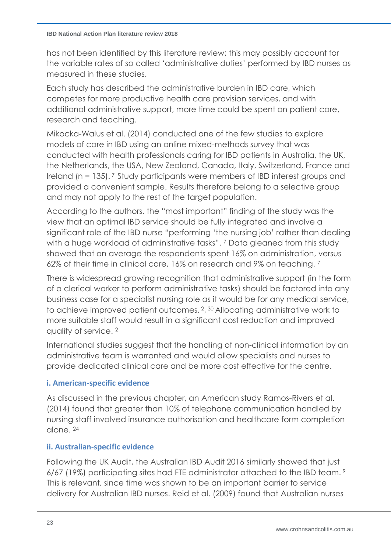has not been identified by this literature review; this may possibly account for the variable rates of so called 'administrative duties' performed by IBD nurses as measured in these studies.

Each study has described the administrative burden in IBD care, which competes for more productive health care provision services, and with additional administrative support, more time could be spent on patient care, research and teaching.

Mikocka-Walus et al. (2014) conducted one of the few studies to explore models of care in IBD using an online mixed-methods survey that was conducted with health professionals caring for IBD patients in Australia, the UK, the Netherlands, the USA, New Zealand, Canada, Italy, Switzerland, France and Ireland (n = 135). <sup>7</sup> Study participants were members of IBD interest groups and provided a convenient sample. Results therefore belong to a selective group and may not apply to the rest of the target population.

According to the authors, the "most important" finding of the study was the view that an optimal IBD service should be fully integrated and involve a significant role of the IBD nurse "performing 'the nursing job' rather than dealing with a huge workload of administrative tasks". <sup>7</sup> Data gleaned from this study showed that on average the respondents spent 16% on administration, versus 62% of their time in clinical care, 16% on research and 9% on teaching. <sup>7</sup>

There is widespread growing recognition that administrative support (in the form of a clerical worker to perform administrative tasks) should be factored into any business case for a specialist nursing role as it would be for any medical service, to achieve improved patient outcomes. 2, <sup>30</sup> Allocating administrative work to more suitable staff would result in a significant cost reduction and improved quality of service. <sup>2</sup>

International studies suggest that the handling of non-clinical information by an administrative team is warranted and would allow specialists and nurses to provide dedicated clinical care and be more cost effective for the centre.

# **i. American-specific evidence**

As discussed in the previous chapter, an American study Ramos-Rivers et al. (2014) found that greater than 10% of telephone communication handled by nursing staff involved insurance authorisation and healthcare form completion alone. <sup>24</sup>

# **ii. Australian-specific evidence**

Following the UK Audit, the Australian IBD Audit 2016 similarly showed that just 6/67 (19%) participating sites had FTE administrator attached to the IBD team. <sup>9</sup> This is relevant, since time was shown to be an important barrier to service delivery for Australian IBD nurses. Reid et al. (2009) found that Australian nurses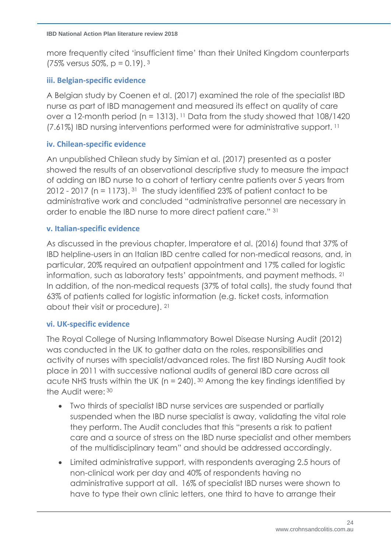more frequently cited 'insufficient time' than their United Kingdom counterparts  $(75\% \text{ versus } 50\%, \text{ p} = 0.19).$ <sup>3</sup>

## **iii. Belgian-specific evidence**

A Belgian study by Coenen et al. (2017) examined the role of the specialist IBD nurse as part of IBD management and measured its effect on quality of care over a 12-month period ( $n = 1313$ ). <sup>11</sup> Data from the study showed that  $108/1420$ (7.61%) IBD nursing interventions performed were for administrative support. <sup>11</sup>

### **iv. Chilean-specific evidence**

An unpublished Chilean study by Simian et al. (2017) presented as a poster showed the results of an observational descriptive study to measure the impact of adding an IBD nurse to a cohort of tertiary centre patients over 5 years from 2012 - 2017 ( $n = 1173$ ). <sup>31</sup> The study identified 23% of patient contact to be administrative work and concluded "administrative personnel are necessary in order to enable the IBD nurse to more direct patient care." <sup>31</sup>

### **v. Italian-specific evidence**

As discussed in the previous chapter, Imperatore et al. (2016) found that 37% of IBD helpline-users in an Italian IBD centre called for non-medical reasons, and, in particular, 20% required an outpatient appointment and 17% called for logistic information, such as laboratory tests' appointments, and payment methods. 21 In addition, of the non-medical requests (37% of total calls), the study found that 63% of patients called for logistic information (e.g. ticket costs, information about their visit or procedure). <sup>21</sup>

### **vi. UK-specific evidence**

The Royal College of Nursing Inflammatory Bowel Disease Nursing Audit (2012) was conducted in the UK to gather data on the roles, responsibilities and activity of nurses with specialist/advanced roles. The first IBD Nursing Audit took place in 2011 with successive national audits of general IBD care across all acute NHS trusts within the UK ( $n = 240$ ). 30 Among the key findings identified by the Audit were: <sup>30</sup>

- Two thirds of specialist IBD nurse services are suspended or partially suspended when the IBD nurse specialist is away, validating the vital role they perform. The Audit concludes that this "presents a risk to patient care and a source of stress on the IBD nurse specialist and other members of the multidisciplinary team" and should be addressed accordingly.
- Limited administrative support, with respondents averaging 2.5 hours of non-clinical work per day and 40% of respondents having no administrative support at all. 16% of specialist IBD nurses were shown to have to type their own clinic letters, one third to have to arrange their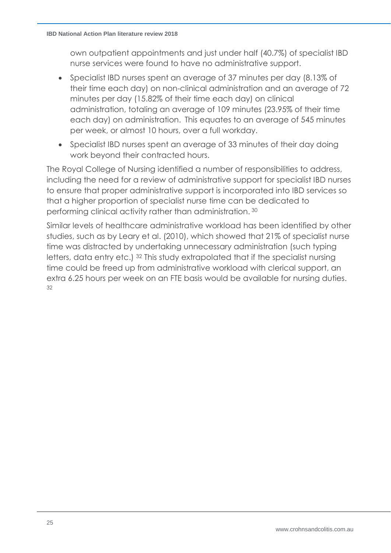own outpatient appointments and just under half (40.7%) of specialist IBD nurse services were found to have no administrative support.

- Specialist IBD nurses spent an average of 37 minutes per day (8.13% of their time each day) on non-clinical administration and an average of 72 minutes per day (15.82% of their time each day) on clinical administration, totaling an average of 109 minutes (23.95% of their time each day) on administration. This equates to an average of 545 minutes per week, or almost 10 hours, over a full workday.
- Specialist IBD nurses spent an average of 33 minutes of their day doing work beyond their contracted hours.

The Royal College of Nursing identified a number of responsibilities to address, including the need for a review of administrative support for specialist IBD nurses to ensure that proper administrative support is incorporated into IBD services so that a higher proportion of specialist nurse time can be dedicated to performing clinical activity rather than administration. 30

Similar levels of healthcare administrative workload has been identified by other studies, such as by Leary et al. (2010), which showed that 21% of specialist nurse time was distracted by undertaking unnecessary administration (such typing letters, data entry etc.) <sup>32</sup> This study extrapolated that if the specialist nursing time could be freed up from administrative workload with clerical support, an extra 6.25 hours per week on an FTE basis would be available for nursing duties. 32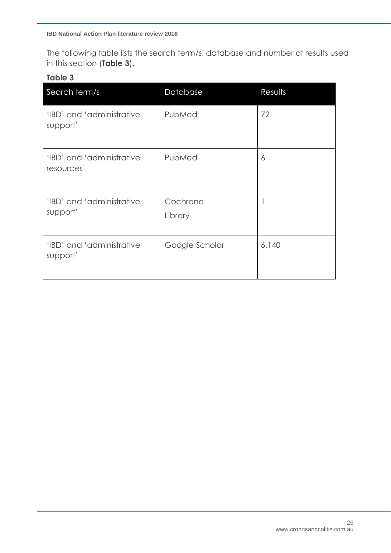The following table lists the search term/s, database and number of results used in this section (**Table 3**).

## **Table 3**

| Search term/s                           | Database            | Results |
|-----------------------------------------|---------------------|---------|
| 'IBD' and 'administrative<br>support'   | PubMed              | 72      |
| 'IBD' and 'administrative<br>resources' | PubMed              | 6       |
| 'IBD' and 'administrative<br>support'   | Cochrane<br>Library |         |
| 'IBD' and 'administrative<br>support'   | Google Scholar      | 6,140   |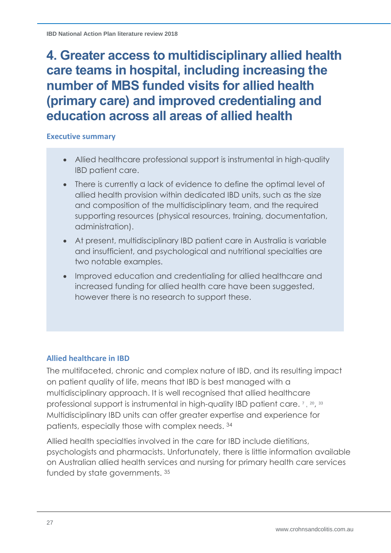# **4. Greater access to multidisciplinary allied health care teams in hospital, including increasing the number of MBS funded visits for allied health (primary care) and improved credentialing and education across all areas of allied health**

### **Executive summary**

- Allied healthcare professional support is instrumental in high-quality IBD patient care.
- There is currently a lack of evidence to define the optimal level of allied health provision within dedicated IBD units, such as the size and composition of the multidisciplinary team, and the required supporting resources (physical resources, training, documentation, administration).
- At present, multidisciplinary IBD patient care in Australia is variable and insufficient, and psychological and nutritional specialties are two notable examples.
- Improved education and credentialing for allied healthcare and increased funding for allied health care have been suggested, however there is no research to support these.

### **Allied healthcare in IBD**

The multifaceted, chronic and complex nature of IBD, and its resulting impact on patient quality of life, means that IBD is best managed with a multidisciplinary approach. It is well recognised that allied healthcare professional support is instrumental in high-quality IBD patient care.<sup>7</sup>, <sup>20</sup>, <sup>33</sup> Multidisciplinary IBD units can offer greater expertise and experience for patients, especially those with complex needs. 34

Allied health specialties involved in the care for IBD include dietitians, psychologists and pharmacists. Unfortunately, there is little information available on Australian allied health services and nursing for primary health care services funded by state governments. <sup>35</sup>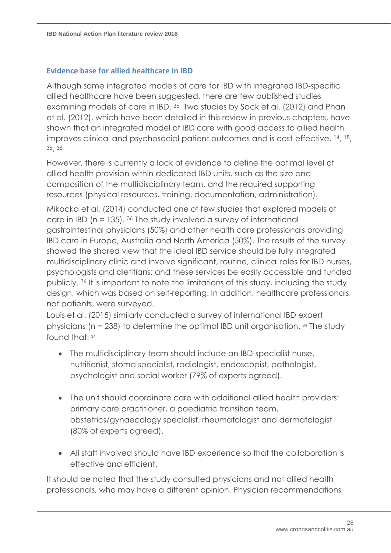## **Evidence base for allied healthcare in IBD**

Although some integrated models of care for IBD with integrated IBD-specific allied healthcare have been suggested, there are few published studies examining models of care in IBD. 36 Two studies by Sack et al. (2012) and Phan et al. (2012), which have been detailed in this review in previous chapters, have shown that an integrated model of IBD care with good access to allied health improves clinical and psychosocial patient outcomes and is cost-effective. 14, <sup>18</sup>, <sup>36</sup>, 36

However, there is currently a lack of evidence to define the optimal level of allied health provision within dedicated IBD units, such as the size and composition of the multidisciplinary team, and the required supporting resources (physical resources, training, documentation, administration).

Mikocka et al. (2014) conducted one of few studies that explored models of care in IBD ( $n = 135$ ). <sup>36</sup> The study involved a survey of international gastrointestinal physicians (50%) and other health care professionals providing IBD care in Europe, Australia and North America (50%). The results of the survey showed the shared view that the ideal IBD service should be fully integrated multidisciplinary clinic and involve significant, routine, clinical roles for IBD nurses, psychologists and dietitians; and these services be easily accessible and funded publicly. <sup>36</sup> It is important to note the limitations of this study, including the study design, which was based on self-reporting. In addition, healthcare professionals, not patients, were surveyed.

Louis et al. (2015) similarly conducted a survey of international IBD expert physicians (n = 238) to determine the optimal IBD unit organisation. <sup>34</sup> The study found that: 34

- The multidisciplinary team should include an IBD-specialist nurse, nutritionist, stoma specialist, radiologist, endoscopist, pathologist, psychologist and social worker (79% of experts agreed).
- The unit should coordinate care with additional allied health providers: primary care practitioner, a paediatric transition team, obstetrics/gynaecology specialist, rheumatologist and dermatologist (80% of experts agreed).
- All staff involved should have IBD experience so that the collaboration is effective and efficient.

It should be noted that the study consulted physicians and not allied health professionals, who may have a different opinion. Physician recommendations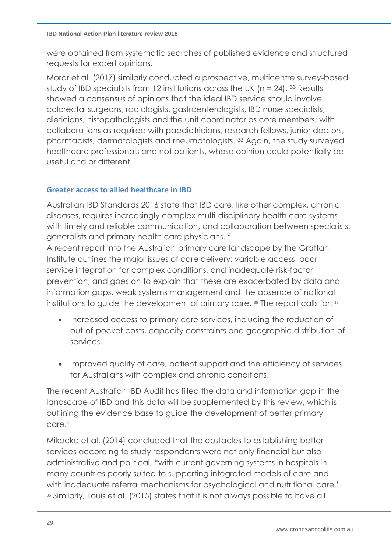were obtained from systematic searches of published evidence and structured requests for expert opinions.

Morar et al. (2017) similarly conducted a prospective, multicentre survey-based study of IBD specialists from 12 institutions across the UK ( $n = 24$ ). <sup>33</sup> Results showed a consensus of opinions that the ideal IBD service should involve colorectal surgeons, radiologists, gastroenterologists, IBD nurse specialists, dieticians, histopathologists and the unit coordinator as core members; with collaborations as required with paediatricians, research fellows, junior doctors, pharmacists, dermatologists and rheumatologists. <sup>33</sup> Again, the study surveyed healthcare professionals and not patients, whose opinion could potentially be useful and or different.

# **Greater access to allied healthcare in IBD**

Australian IBD Standards 2016 state that IBD care, like other complex, chronic diseases, requires increasingly complex multi-disciplinary health care systems with timely and reliable communication, and collaboration between specialists, generalists and primary health care physicians. <sup>6</sup>

A recent report into the Australian primary care landscape by the Grattan Institute outlines the major issues of care delivery: variable access, poor service integration for complex conditions, and inadequate risk-factor prevention; and goes on to explain that these are exacerbated by data and information gaps, weak systems management and the absence of national institutions to guide the development of primary care. <sup>35</sup> The report calls for: 35

- Increased access to primary care services, including the reduction of out-of-pocket costs, capacity constraints and geographic distribution of services.
- Improved quality of care, patient support and the efficiency of services for Australians with complex and chronic conditions.

The recent Australian IBD Audit has filled the data and information gap in the landscape of IBD and this data will be supplemented by this review, which is outlining the evidence base to guide the development of better primary care.<sup>9</sup>

Mikocka et al. (2014) concluded that the obstacles to establishing better services according to study respondents were not only financial but also administrative and political, "with current governing systems in hospitals in many countries poorly suited to supporting integrated models of care and with inadequate referral mechanisms for psychological and nutritional care." <sup>36</sup> Similarly, Louis et al. (2015) states that it is not always possible to have all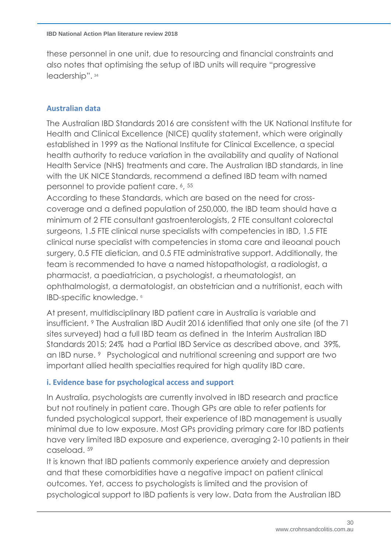these personnel in one unit, due to resourcing and financial constraints and also notes that optimising the setup of IBD units will require "progressive leadership". 34

## **Australian data**

The Australian IBD Standards 2016 are consistent with the UK National Institute for Health and Clinical Excellence (NICE) quality statement, which were originally established in 1999 as the National Institute for Clinical Excellence, a special health authority to reduce variation in the availability and quality of National Health Service (NHS) treatments and care. The Australian IBD standards, in line with the UK NICE Standards, recommend a defined IBD team with named personnel to provide patient care. 6, 55

According to these Standards, which are based on the need for crosscoverage and a defined population of 250,000, the IBD team should have a minimum of 2 FTE consultant gastroenterologists, 2 FTE consultant colorectal surgeons, 1.5 FTE clinical nurse specialists with competencies in IBD, 1.5 FTE clinical nurse specialist with competencies in stoma care and ileoanal pouch surgery, 0.5 FTE dietician, and 0.5 FTE administrative support. Additionally, the team is recommended to have a named histopathologist, a radiologist, a pharmacist, a paediatrician, a psychologist, a rheumatologist, an ophthalmologist, a dermatologist, an obstetrician and a nutritionist, each with IBD-specific knowledge. 6

At present, multidisciplinary IBD patient care in Australia is variable and insufficient. <sup>9</sup> The Australian IBD Audit 2016 identified that only one site (of the 71 sites surveyed) had a full IBD team as defined in the Interim Australian IBD Standards 2015; 24% had a Partial IBD Service as described above, and 39%, an IBD nurse. <sup>9</sup> Psychological and nutritional screening and support are two important allied health specialties required for high quality IBD care.

### **i. Evidence base for psychological access and support**

In Australia, psychologists are currently involved in IBD research and practice but not routinely in patient care. Though GPs are able to refer patients for funded psychological support, their experience of IBD management is usually minimal due to low exposure. Most GPs providing primary care for IBD patients have very limited IBD exposure and experience, averaging 2-10 patients in their caseload. 59

It is known that IBD patients commonly experience anxiety and depression and that these comorbidities have a negative impact on patient clinical outcomes. Yet, access to psychologists is limited and the provision of psychological support to IBD patients is very low. Data from the Australian IBD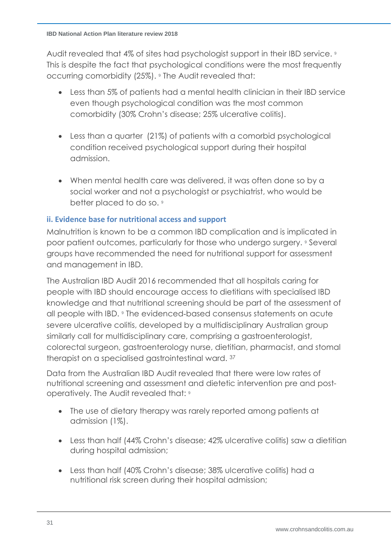Audit revealed that 4% of sites had psychologist support in their IBD service. 9 This is despite the fact that psychological conditions were the most frequently occurring comorbidity (25%). <sup>9</sup> The Audit revealed that:

- Less than 5% of patients had a mental health clinician in their IBD service even though psychological condition was the most common comorbidity (30% Crohn's disease; 25% ulcerative colitis).
- Less than a quarter (21%) of patients with a comorbid psychological condition received psychological support during their hospital admission.
- When mental health care was delivered, it was often done so by a social worker and not a psychologist or psychiatrist, who would be better placed to do so. <sup>9</sup>

## **ii. Evidence base for nutritional access and support**

Malnutrition is known to be a common IBD complication and is implicated in poor patient outcomes, particularly for those who undergo surgery. <sup>9</sup> Several groups have recommended the need for nutritional support for assessment and management in IBD.

The Australian IBD Audit 2016 recommended that all hospitals caring for people with IBD should encourage access to dietitians with specialised IBD knowledge and that nutritional screening should be part of the assessment of all people with IBD. <sup>9</sup> The evidenced-based consensus statements on acute severe ulcerative colitis, developed by a multidisciplinary Australian group similarly call for multidisciplinary care, comprising a gastroenterologist, colorectal surgeon, gastroenterology nurse, dietitian, pharmacist, and stomal therapist on a specialised gastrointestinal ward. <sup>37</sup>

Data from the Australian IBD Audit revealed that there were low rates of nutritional screening and assessment and dietetic intervention pre and postoperatively. The Audit revealed that: <sup>9</sup>

- The use of dietary therapy was rarely reported among patients at admission (1%).
- Less than half (44% Crohn's disease; 42% ulcerative colitis) saw a dietitian during hospital admission;
- Less than half (40% Crohn's disease; 38% ulcerative colitis) had a nutritional risk screen during their hospital admission;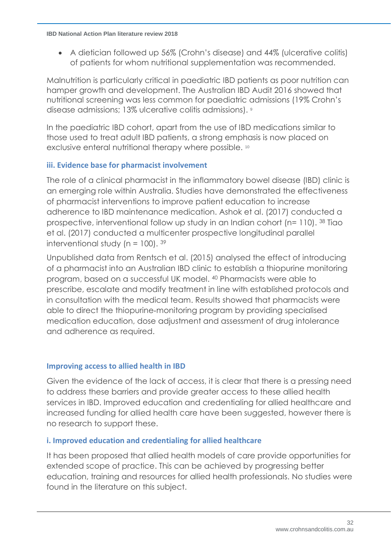• A dietician followed up 56% (Crohn's disease) and 44% (ulcerative colitis) of patients for whom nutritional supplementation was recommended.

Malnutrition is particularly critical in paediatric IBD patients as poor nutrition can hamper growth and development. The Australian IBD Audit 2016 showed that nutritional screening was less common for paediatric admissions (19% Crohn's disease admissions; 13% ulcerative colitis admissions). [9](#page-6-1)

In the paediatric IBD cohort, apart from the use of IBD medications similar to those used to treat adult IBD patients, a strong emphasis is now placed on exclusive enteral nutritional therapy where possible. [10](#page-7-0)

# **iii. Evidence base for pharmacist involvement**

The role of a clinical pharmacist in the inflammatory bowel disease (IBD) clinic is an emerging role within Australia. Studies have demonstrated the effectiveness of pharmacist interventions to improve patient education to increase adherence to IBD maintenance medication. Ashok et al. (2017) conducted a prospective, interventional follow up study in an Indian cohort (n= 110). <sup>38</sup> Tiao et al. (2017) conducted a multicenter prospective longitudinal parallel interventional study ( $n = 100$ ).  $39$ 

Unpublished data from Rentsch et al. (2015) analysed the effect of introducing of a pharmacist into an Australian IBD clinic to establish a thiopurine monitoring program, based on a successful UK model. <sup>40</sup> Pharmacists were able to prescribe, escalate and modify treatment in line with established protocols and in consultation with the medical team. Results showed that pharmacists were able to direct the thiopurine‐monitoring program by providing specialised medication education, dose adjustment and assessment of drug intolerance and adherence as required.

### **Improving access to allied health in IBD**

Given the evidence of the lack of access, it is clear that there is a pressing need to address these barriers and provide greater access to these allied health services in IBD. Improved education and credentialing for allied healthcare and increased funding for allied health care have been suggested, however there is no research to support these.

### **i. Improved education and credentialing for allied healthcare**

It has been proposed that allied health models of care provide opportunities for extended scope of practice. This can be achieved by progressing better education, training and resources for allied health professionals. No studies were found in the literature on this subject.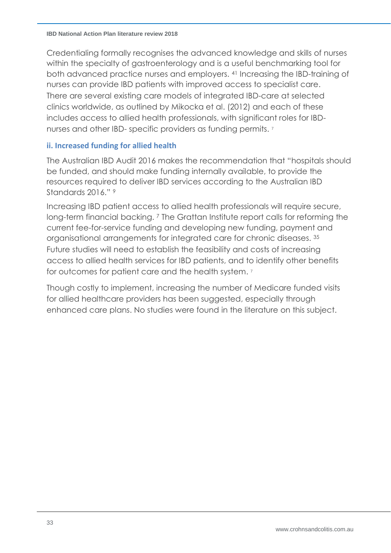Credentialing formally recognises the advanced knowledge and skills of nurses within the specialty of gastroenterology and is a useful benchmarking tool for both advanced practice nurses and employers. <sup>41</sup> Increasing the IBD-training of nurses can provide IBD patients with improved access to specialist care. There are several existing care models of integrated IBD-care at selected clinics worldwide, as outlined by Mikocka et al. (2012) and each of these includes access to allied health professionals, with significant roles for IBDnurses and other IBD- specific providers as funding permits. <sup>7</sup>

### **ii. Increased funding for allied health**

The Australian IBD Audit 2016 makes the recommendation that "hospitals should be funded, and should make funding internally available, to provide the resources required to deliver IBD services according to the Australian IBD Standards 2016."<sup>9</sup>

Increasing IBD patient access to allied health professionals will require secure, long-term financial backing. 7 The Grattan Institute report calls for reforming the current fee-for-service funding and developing new funding, payment and organisational arrangements for integrated care for chronic diseases. <sup>35</sup> Future studies will need to establish the feasibility and costs of increasing access to allied health services for IBD patients, and to identify other benefits for outcomes for patient care and the health system. 7

Though costly to implement, increasing the number of Medicare funded visits for allied healthcare providers has been suggested, especially through enhanced care plans. No studies were found in the literature on this subject.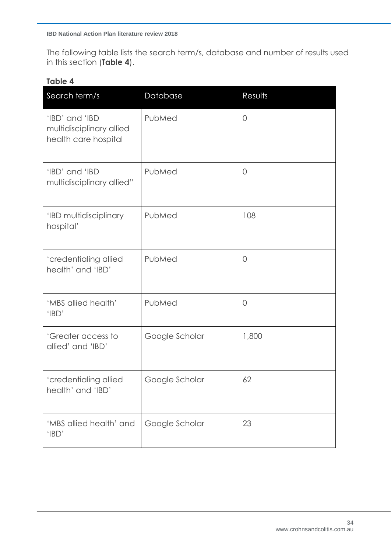The following table lists the search term/s, database and number of results used in this section (**Table 4**).

### **Table 4**

| Search term/s                                                      | Database       | Results    |
|--------------------------------------------------------------------|----------------|------------|
| 'IBD' and 'IBD<br>multidisciplinary allied<br>health care hospital | PubMed         | $\sqrt{a}$ |
| 'IBD' and 'IBD<br>multidisciplinary allied"                        | PubMed         | 0          |
| 'IBD multidisciplinary<br>hospital'                                | PubMed         | 108        |
| 'credentialing allied<br>health' and 'IBD'                         | PubMed         | $\circ$    |
| 'MBS allied health'<br>'IBD'                                       | PubMed         | $\circ$    |
| 'Greater access to<br>allied' and 'IBD'                            | Google Scholar | 1,800      |
| 'credentialing allied<br>health' and 'IBD'                         | Google Scholar | 62         |
| 'MBS allied health' and<br>'IBD'                                   | Google Scholar | 23         |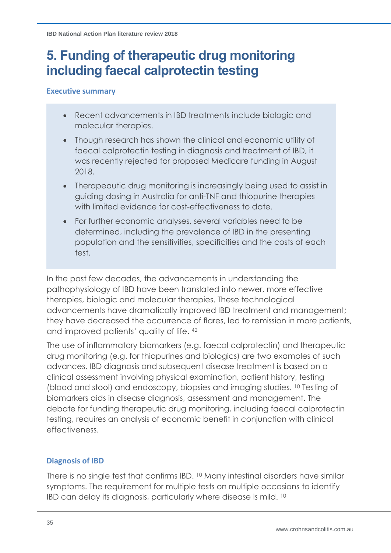# **5. Funding of therapeutic drug monitoring including faecal calprotectin testing**

### **Executive summary**

- Recent advancements in IBD treatments include biologic and molecular therapies.
- Though research has shown the clinical and economic utility of faecal calprotectin testing in diagnosis and treatment of IBD, it was recently rejected for proposed Medicare funding in August 2018.
- Therapeautic drug monitoring is increasingly being used to assist in guiding dosing in Australia for anti-TNF and thiopurine therapies with limited evidence for cost-effectiveness to date.
- For further economic analyses, several variables need to be determined, including the prevalence of IBD in the presenting population and the sensitivities, specificities and the costs of each test.

In the past few decades, the advancements in understanding the pathophysiology of IBD have been translated into newer, more effective therapies, biologic and molecular therapies. These technological advancements have dramatically improved IBD treatment and management; they have decreased the occurrence of flares, led to remission in more patients, and improved patients' quality of life. <sup>42</sup>

The use of inflammatory biomarkers (e.g. faecal calprotectin) and therapeutic drug monitoring (e.g. for thiopurines and biologics) are two examples of such advances. IBD diagnosis and subsequent disease treatment is based on a clinical assessment involving physical examination, patient history, testing (blood and stool) and endoscopy, biopsies and imaging studies. [10](#page-7-0) Testing of biomarkers aids in disease diagnosis, assessment and management. The debate for funding therapeutic drug monitoring, including faecal calprotectin testing, requires an analysis of economic benefit in conjunction with clinical effectiveness.

# **Diagnosis of IBD**

There is no single test that confirms IBD. [10](#page-7-0) Many intestinal disorders have similar symptoms. The requirement for multiple tests on multiple occasions to identify IBD can delay its diagnosis, particularly where disease is mild. [10](#page-7-0)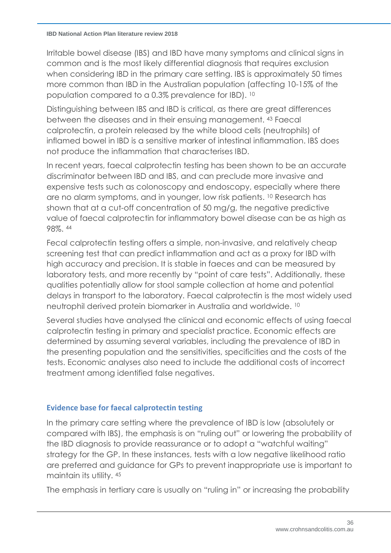Irritable bowel disease (IBS) and IBD have many symptoms and clinical signs in common and is the most likely differential diagnosis that requires exclusion when considering IBD in the primary care setting. IBS is approximately 50 times more common than IBD in the Australian population (affecting 10-15% of the population compared to a 0.3% prevalence for IBD). [10](#page-7-0)

Distinguishing between IBS and IBD is critical, as there are great differences between the diseases and in their ensuing management. <sup>43</sup> Faecal calprotectin, a protein released by the white blood cells (neutrophils) of inflamed bowel in IBD is a sensitive marker of intestinal inflammation. IBS does not produce the inflammation that characterises IBD.

In recent years, faecal calprotectin testing has been shown to be an accurate discriminator between IBD and IBS, and can preclude more invasive and expensive tests such as colonoscopy and endoscopy, especially where there are no alarm symptoms, and in younger, low risk patients. [10](#page-7-0) Research has shown that at a cut-off concentration of 50 mg/g, the negative predictive value of faecal calprotectin for inflammatory bowel disease can be as high as 98%. <sup>44</sup>

Fecal calprotectin testing offers a simple, non-invasive, and relatively cheap screening test that can predict inflammation and act as a proxy for IBD with high accuracy and precision. It is stable in faeces and can be measured by laboratory tests, and more recently by "point of care tests". Additionally, these qualities potentially allow for stool sample collection at home and potential delays in transport to the laboratory. Faecal calprotectin is the most widely used neutrophil derived protein biomarker in Australia and worldwide. [10](#page-7-0)

Several studies have analysed the clinical and economic effects of using faecal calprotectin testing in primary and specialist practice. Economic effects are determined by assuming several variables, including the prevalence of IBD in the presenting population and the sensitivities, specificities and the costs of the tests. Economic analyses also need to include the additional costs of incorrect treatment among identified false negatives.

### **Evidence base for faecal calprotectin testing**

In the primary care setting where the prevalence of IBD is low (absolutely or compared with IBS), the emphasis is on "ruling out" or lowering the probability of the IBD diagnosis to provide reassurance or to adopt a "watchful waiting" strategy for the GP. In these instances, tests with a low negative likelihood ratio are preferred and guidance for GPs to prevent inappropriate use is important to maintain its utility. [45](#page-36-0)

The emphasis in tertiary care is usually on "ruling in" or increasing the probability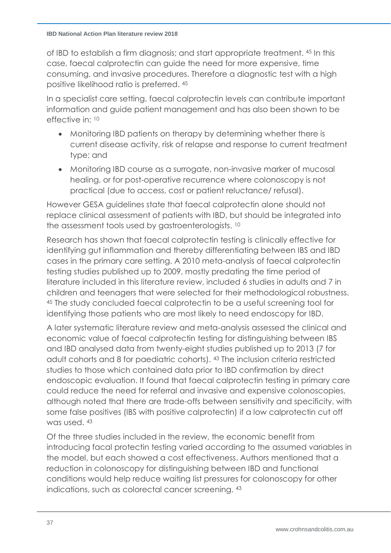of IBD to establish a firm diagnosis; and start appropriate treatment. [45](#page-36-0) In this case, faecal calprotectin can guide the need for more expensive, time consuming, and invasive procedures. Therefore a diagnostic test with a high positive likelihood ratio is preferred. [45](#page-36-0)

In a specialist care setting, faecal calprotectin levels can contribute important information and guide patient management and has also been shown to be effective in: [10](#page-7-0)

- Monitoring IBD patients on therapy by determining whether there is current disease activity, risk of relapse and response to current treatment type; and
- Monitoring IBD course as a surrogate, non-invasive marker of mucosal healing, or for post-operative recurrence where colonoscopy is not practical (due to access, cost or patient reluctance/ refusal).

However GESA guidelines state that faecal calprotectin alone should not replace clinical assessment of patients with IBD, but should be integrated into the assessment tools used by gastroenterologists. [10](#page-7-0)

Research has shown that faecal calprotectin testing is clinically effective for identifying gut inflammation and thereby differentiating between IBS and IBD cases in the primary care setting. A 2010 meta-analysis of faecal calprotectin testing studies published up to 2009, mostly predating the time period of literature included in this literature review, included 6 studies in adults and 7 in children and teenagers that were selected for their methodological robustness. <sup>45</sup> The study concluded faecal calprotectin to be a useful screening tool for identifying those patients who are most likely to need endoscopy for IBD.

<span id="page-36-0"></span>A later systematic literature review and meta-analysis assessed the clinical and economic value of faecal calprotectin testing for distinguishing between IBS and IBD analysed data from twenty-eight studies published up to 2013 (7 for adult cohorts and 8 for paediatric cohorts). [43](#page-35-0) The inclusion criteria restricted studies to those which contained data prior to IBD confirmation by direct endoscopic evaluation. It found that faecal calprotectin testing in primary care could reduce the need for referral and invasive and expensive colonoscopies, although noted that there are trade-offs between sensitivity and specificity, with some false positives (IBS with positive calprotectin) if a low calprotectin cut off was used. [43](#page-35-0)

Of the three studies included in the review, the economic benefit from introducing facal protectin testing varied according to the assumed variables in the model, but each showed a cost effectiveness. Authors mentioned that a reduction in colonoscopy for distinguishing between IBD and functional conditions would help reduce waiting list pressures for colonoscopy for other indications, such as colorectal cancer screening. [43](#page-35-0)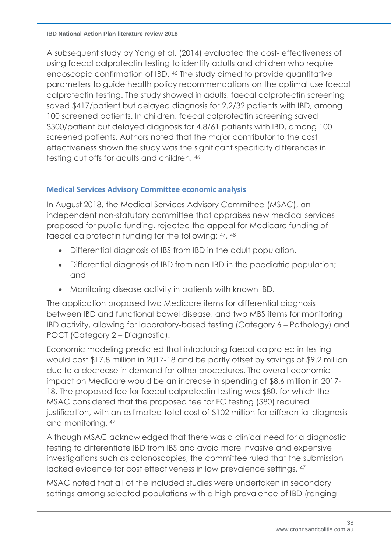<span id="page-37-0"></span>A subsequent study by Yang et al. (2014) evaluated the cost- effectiveness of using faecal calprotectin testing to identify adults and children who require endoscopic confirmation of IBD. <sup>46</sup> The study aimed to provide quantitative parameters to guide health policy recommendations on the optimal use faecal calprotectin testing. The study showed in adults, faecal calprotectin screening saved \$417/patient but delayed diagnosis for 2.2/32 patients with IBD, among 100 screened patients. In children, faecal calprotectin screening saved \$300/patient but delayed diagnosis for 4.8/61 patients with IBD, among 100 screened patients. Authors noted that the major contributor to the cost effectiveness shown the study was the significant specificity differences in testing cut offs for adults and children. [46](#page-37-0)

# **Medical Services Advisory Committee economic analysis**

In August 2018, the Medical Services Advisory Committee (MSAC), an independent non-statutory committee that appraises new medical services proposed for public funding, rejected the appeal for Medicare funding of faecal calprotectin funding for the following:  $47$ ,  $48$ 

- <span id="page-37-1"></span>• Differential diagnosis of IBS from IBD in the adult population.
- Differential diagnosis of IBD from non-IBD in the paediatric population; and
- Monitoring disease activity in patients with known IBD.

The application proposed two Medicare items for differential diagnosis between IBD and functional bowel disease, and two MBS items for monitoring IBD activity, allowing for laboratory-based testing (Category 6 – Pathology) and POCT (Category 2 – Diagnostic).

Economic modeling predicted that introducing faecal calprotectin testing would cost \$17.8 million in 2017-18 and be partly offset by savings of \$9.2 million due to a decrease in demand for other procedures. The overall economic impact on Medicare would be an increase in spending of \$8.6 million in 2017- 18. The proposed fee for faecal calprotectin testing was \$80, for which the MSAC considered that the proposed fee for FC testing (\$80) required justification, with an estimated total cost of \$102 million for differential diagnosis and monitoring. [47](#page-37-1)

Although MSAC acknowledged that there was a clinical need for a diagnostic testing to differentiate IBD from IBS and avoid more invasive and expensive investigations such as colonoscopies, the committee ruled that the submission lacked evidence for cost effectiveness in low prevalence settings. [47](#page-37-1)

MSAC noted that all of the included studies were undertaken in secondary settings among selected populations with a high prevalence of IBD (ranging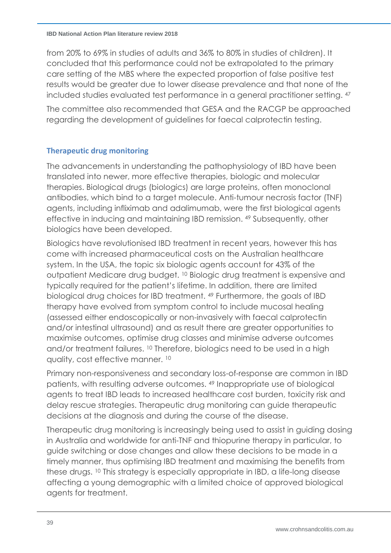from 20% to 69% in studies of adults and 36% to 80% in studies of children). It concluded that this performance could not be extrapolated to the primary care setting of the MBS where the expected proportion of false positive test results would be greater due to lower disease prevalence and that none of the included studies evaluated test performance in a general practitioner setting. [47](#page-37-1)

The committee also recommended that GESA and the RACGP be approached regarding the development of guidelines for faecal calprotectin testing.

### **Therapeutic drug monitoring**

The advancements in understanding the pathophysiology of IBD have been translated into newer, more effective therapies, biologic and molecular therapies. Biological drugs (biologics) are large proteins, often monoclonal antibodies, which bind to a target molecule. Anti-tumour necrosis factor (TNF) agents, including infliximab and adalimumab, were the first biological agents effective in inducing and maintaining IBD remission. <sup>49</sup> Subsequently, other biologics have been developed.

<span id="page-38-0"></span>Biologics have revolutionised IBD treatment in recent years, however this has come with increased pharmaceutical costs on the Australian healthcare system. In the USA, the topic six biologic agents account for 43% of the outpatient Medicare drug budget. [10](#page-7-0) Biologic drug treatment is expensive and typically required for the patient's lifetime. In addition, there are limited biological drug choices for IBD treatment. [49](#page-38-0) Furthermore, the goals of IBD therapy have evolved from symptom control to include mucosal healing (assessed either endoscopically or non-invasively with faecal calprotectin and/or intestinal ultrasound) and as result there are greater opportunities to maximise outcomes, optimise drug classes and minimise adverse outcomes and/or treatment failures. [10](#page-7-0) Therefore, biologics need to be used in a high quality, cost effective manner. [10](#page-7-0)

Primary non-responsiveness and secondary loss-of-response are common in IBD patients, with resulting adverse outcomes. [49](#page-38-0) Inappropriate use of biological agents to treat IBD leads to increased healthcare cost burden, toxicity risk and delay rescue strategies. Therapeutic drug monitoring can guide therapeutic decisions at the diagnosis and during the course of the disease.

Therapeutic drug monitoring is increasingly being used to assist in guiding dosing in Australia and worldwide for anti-TNF and thiopurine therapy in particular, to guide switching or dose changes and allow these decisions to be made in a timely manner, thus optimising IBD treatment and maximising the benefits from these drugs. [10](#page-7-0) This strategy is especially appropriate in IBD, a life-long disease affecting a young demographic with a limited choice of approved biological agents for treatment.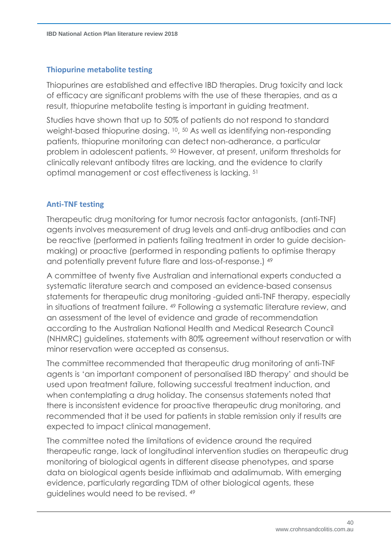### **Thiopurine metabolite testing**

Thiopurines are established and effective IBD therapies. Drug toxicity and lack of efficacy are significant problems with the use of these therapies, and as a result, thiopurine metabolite testing is important in guiding treatment.

<span id="page-39-0"></span>Studies have shown that up to 50% of patients do not respond to standard weight-based thiopurine dosing. [10](#page-7-0), <sup>50</sup> As well as identifying non-responding patients, thiopurine monitoring can detect non-adherance, a particular problem in adolescent patients. [50](#page-39-0) However, at present, uniform thresholds for clinically relevant antibody titres are lacking, and the evidence to clarify optimal management or cost effectiveness is lacking. <sup>51</sup>

### <span id="page-39-1"></span>**Anti-TNF testing**

Therapeutic drug monitoring for tumor necrosis factor antagonists, (anti-TNF) agents involves measurement of drug levels and anti-drug antibodies and can be reactive (performed in patients failing treatment in order to guide decisionmaking) or proactive (performed in responding patients to optimise therapy and potentially prevent future flare and loss-of-response.) 49

A committee of twenty five Australian and international experts conducted a systematic literature search and composed an evidence-based consensus statements for therapeutic drug monitoring -guided anti-TNF therapy, especially in situations of treatment failure. [49](#page-38-0) Following a systematic literature review, and an assessment of the level of evidence and grade of recommendation according to the Australian National Health and Medical Research Council (NHMRC) guidelines, statements with 80% agreement without reservation or with minor reservation were accepted as consensus.

The committee recommended that therapeutic drug monitoring of anti-TNF agents is 'an important component of personalised IBD therapy' and should be used upon treatment failure, following successful treatment induction, and when contemplating a drug holiday. The consensus statements noted that there is inconsistent evidence for proactive therapeutic drug monitoring, and recommended that it be used for patients in stable remission only if results are expected to impact clinical management.

The committee noted the limitations of evidence around the required therapeutic range, lack of longitudinal intervention studies on therapeutic drug monitoring of biological agents in different disease phenotypes, and sparse data on biological agents beside infliximab and adalimumab. With emerging evidence, particularly regarding TDM of other biological agents, these guidelines would need to be revised. [49](#page-38-0)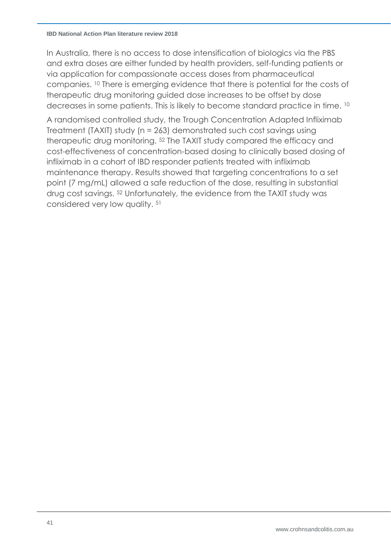#### **IBD National Action Plan literature review 2018**

In Australia, there is no access to dose intensification of biologics via the PBS and extra doses are either funded by health providers, self-funding patients or via application for compassionate access doses from pharmaceutical companies. [10](#page-7-0) There is emerging evidence that there is potential for the costs of therapeutic drug monitoring guided dose increases to be offset by dose decreases in some patients. This is likely to become standard practice in time. [10](#page-7-0)

<span id="page-40-0"></span>A randomised controlled study, the Trough Concentration Adapted Infliximab Treatment (TAXIT) study (n = 263) demonstrated such cost savings using therapeutic drug monitoring. <sup>52</sup> The TAXIT study compared the efficacy and cost-effectiveness of concentration-based dosing to clinically based dosing of infliximab in a cohort of IBD responder patients treated with infliximab maintenance therapy. Results showed that targeting concentrations to a set point (7 mg/mL) allowed a safe reduction of the dose, resulting in substantial drug cost savings. [52](#page-40-0) Unfortunately, the evidence from the TAXIT study was considered very low quality. [51](#page-39-1)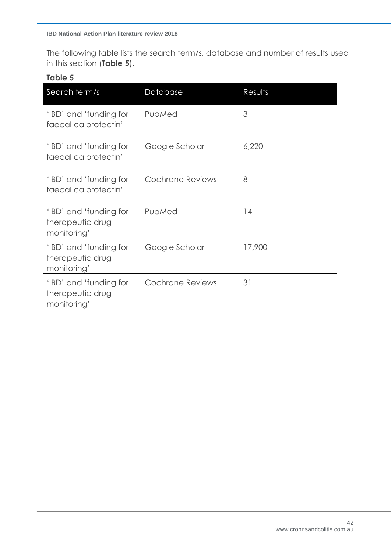The following table lists the search term/s, database and number of results used in this section (**Table 5**).

#### **Table 5**

| Search term/s                                             | Database                | Results |
|-----------------------------------------------------------|-------------------------|---------|
| 'IBD' and 'funding for<br>faecal calprotectin'            | PubMed                  | 3       |
| 'IBD' and 'funding for<br>faecal calprotectin'            | Google Scholar          | 6,220   |
| 'IBD' and 'funding for<br>faecal calprotectin'            | Cochrane Reviews        | 8       |
| 'IBD' and 'funding for<br>therapeutic drug<br>monitoring' | PubMed                  | 14      |
| 'IBD' and 'funding for<br>therapeutic drug<br>monitoring' | Google Scholar          | 17,900  |
| 'IBD' and 'funding for<br>therapeutic drug<br>monitoring' | <b>Cochrane Reviews</b> | 31      |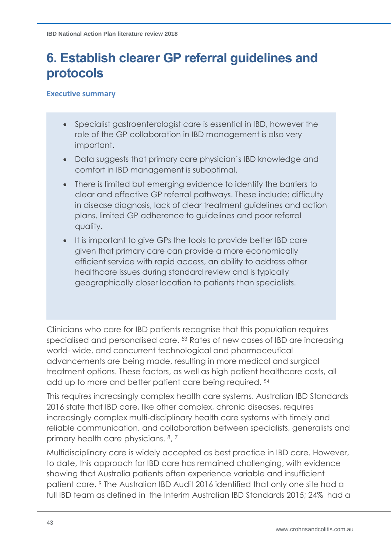# **6. Establish clearer GP referral guidelines and protocols**

#### **Executive summary**

- Specialist gastroenterologist care is essential in IBD, however the role of the GP collaboration in IBD management is also very important.
- Data suggests that primary care physician's IBD knowledge and comfort in IBD management is suboptimal.
- There is limited but emerging evidence to identify the barriers to clear and effective GP referral pathways. These include: difficulty in disease diagnosis, lack of clear treatment guidelines and action plans, limited GP adherence to guidelines and poor referral quality.
- It is important to give GPs the tools to provide better IBD care given that primary care can provide a more economically efficient service with rapid access, an ability to address other healthcare issues during standard review and is typically geographically closer location to patients than specialists.

<span id="page-42-0"></span>Clinicians who care for IBD patients recognise that this population requires specialised and personalised care. <sup>53</sup> Rates of new cases of IBD are increasing world- wide, and concurrent technological and pharmaceutical advancements are being made, resulting in more medical and surgical treatment options. These factors, as well as high patient healthcare costs, all add up to more and better patient care being required. 54

This requires increasingly complex health care systems. Australian IBD Standards 2016 state that IBD care, like other complex, chronic diseases, requires increasingly complex multi-disciplinary health care systems with timely and reliable communication, and collaboration between specialists, generalists and primary health care physicians. 8, 7

Multidisciplinary care is widely accepted as best practice in IBD care. However, to date, this approach for IBD care has remained challenging, with evidence showing that Australia patients often experience variable and insufficient patient care. <sup>9</sup> The Australian IBD Audit 2016 identified that only one site had a full IBD team as defined in the Interim Australian IBD Standards 2015; 24% had a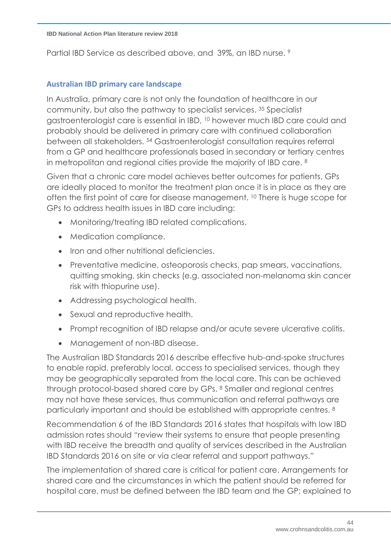Partial IBD Service as described above, and 39%, an IBD nurse. 9

#### **Australian IBD primary care landscape**

In Australia, primary care is not only the foundation of healthcare in our community, but also the pathway to specialist services. <sup>35</sup> Specialist gastroenterologist care is essential in IBD, <sup>10</sup> however much IBD care could and probably should be delivered in primary care with continued collaboration between all stakeholders. <sup>54</sup> Gastroenterologist consultation requires referral from a GP and healthcare professionals based in secondary or tertiary centres in metropolitan and regional cities provide the majority of IBD care. <sup>8</sup>

Given that a chronic care model achieves better outcomes for patients, GPs are ideally placed to monitor the treatment plan once it is in place as they are often the first point of care for disease management. <sup>10</sup> There is huge scope for GPs to address health issues in IBD care including:

- Monitoring/treating IBD related complications.
- Medication compliance.
- Iron and other nutritional deficiencies.
- Preventative medicine, osteoporosis checks, pap smears, vaccinations, quitting smoking, skin checks (e.g. associated non-melanoma skin cancer risk with thiopurine use).
- Addressing psychological health.
- Sexual and reproductive health.
- Prompt recognition of IBD relapse and/or acute severe ulcerative colitis.
- Management of non-IBD disease.

The Australian IBD Standards 2016 describe effective hub-and-spoke structures to enable rapid, preferably local, access to specialised services, though they may be geographically separated from the local care. This can be achieved through protocol-based shared care by GPs. <sup>8</sup> Smaller and regional centres may not have these services, thus communication and referral pathways are particularly important and should be established with appropriate centres. <sup>8</sup>

Recommendation 6 of the IBD Standards 2016 states that hospitals with low IBD admission rates should "review their systems to ensure that people presenting with IBD receive the breadth and quality of services described in the Australian IBD Standards 2016 on site or via clear referral and support pathways."

The implementation of shared care is critical for patient care. Arrangements for shared care and the circumstances in which the patient should be referred for hospital care, must be defined between the IBD team and the GP; explained to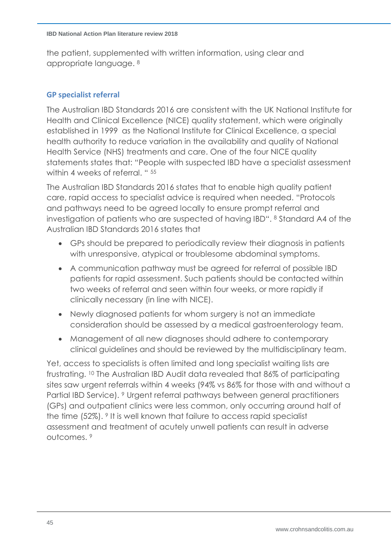the patient, supplemented with written information, using clear and appropriate language. <sup>8</sup>

### **GP specialist referral**

The Australian IBD Standards 2016 are consistent with the UK National Institute for Health and Clinical Excellence (NICE) quality statement, which were originally established in 1999 as the National Institute for Clinical Excellence, a special health authority to reduce variation in the availability and quality of National Health Service (NHS) treatments and care. One of the four NICE quality statements states that: "People with suspected IBD have a specialist assessment within 4 weeks of referral. " 55

The Australian IBD Standards 2016 states that to enable high quality patient care, rapid access to specialist advice is required when needed. "Protocols and pathways need to be agreed locally to ensure prompt referral and investigation of patients who are suspected of having IBD". <sup>8</sup> Standard A4 of the Australian IBD Standards 2016 states that

- GPs should be prepared to periodically review their diagnosis in patients with unresponsive, atypical or troublesome abdominal symptoms.
- A communication pathway must be agreed for referral of possible IBD patients for rapid assessment. Such patients should be contacted within two weeks of referral and seen within four weeks, or more rapidly if clinically necessary (in line with NICE).
- Newly diagnosed patients for whom surgery is not an immediate consideration should be assessed by a medical gastroenterology team.
- Management of all new diagnoses should adhere to contemporary clinical guidelines and should be reviewed by the multidisciplinary team.

Yet, access to specialists is often limited and long specialist waiting lists are frustrating. <sup>10</sup> The Australian IBD Audit data revealed that 86% of participating sites saw urgent referrals within 4 weeks (94% vs 86% for those with and without a Partial IBD Service). <sup>9</sup> Urgent referral pathways between general practitioners (GPs) and outpatient clinics were less common, only occurring around half of the time (52%). <sup>9</sup> It is well known that failure to access rapid specialist assessment and treatment of acutely unwell patients can result in adverse outcomes. 9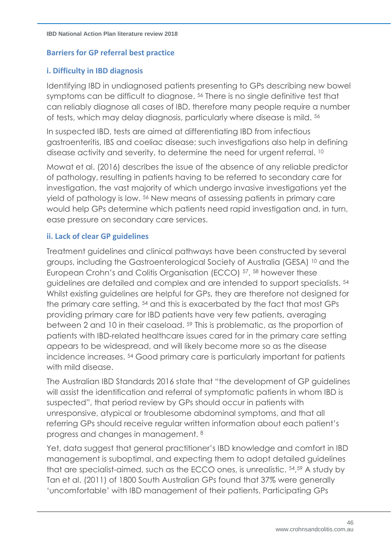## **Barriers for GP referral best practice**

# **i. Difficulty in IBD diagnosis**

Identifying IBD in undiagnosed patients presenting to GPs describing new bowel symptoms can be difficult to diagnose. <sup>56</sup> There is no single definitive test that can reliably diagnose all cases of IBD, therefore many people require a number of tests, which may delay diagnosis, particularly where disease is mild. <sup>56</sup>

In suspected IBD, tests are aimed at differentiating IBD from infectious gastroenteritis, IBS and coeliac disease; such investigations also help in defining disease activity and severity, to determine the need for urgent referral. <sup>10</sup>

Mowat et al. (2016) describes the issue of the absence of any reliable predictor of pathology, resulting in patients having to be referred to secondary care for investigation, the vast majority of which undergo invasive investigations yet the yield of pathology is low. <sup>56</sup> New means of assessing patients in primary care would help GPs determine which patients need rapid investigation and, in turn, ease pressure on secondary care services.

### **ii. Lack of clear GP guidelines**

Treatment guidelines and clinical pathways have been constructed by several groups, including the Gastroenterological Society of Australia (GESA) [10](#page-7-0) and the European Crohn's and Colitis Organisation (ECCO) <sup>57</sup>, <sup>58</sup> however these guidelines are detailed and complex and are intended to support specialists. 54 Whilst existing guidelines are helpful for GPs, they are therefore not designed for the primary care setting, <sup>54</sup> and this is exacerbated by the fact that most GPs providing primary care for IBD patients have very few patients, averaging between 2 and 10 in their caseload. <sup>59</sup> This is problematic, as the proportion of patients with IBD-related healthcare issues cared for in the primary care setting appears to be widespread, and will likely become more so as the disease incidence increases. <sup>54</sup> Good primary care is particularly important for patients with mild disease.

The Australian IBD Standards 2016 state that "the development of GP guidelines will assist the identification and referral of symptomatic patients in whom IBD is suspected", that period review by GPs should occur in patients with unresponsive, atypical or troublesome abdominal symptoms, and that all referring GPs should receive regular written information about each patient's progress and changes in management. 8

Yet, data suggest that general practitioner's IBD knowledge and comfort in IBD management is suboptimal, and expecting them to adopt detailed guidelines that are specialist-aimed, such as the ECCO ones, is unrealistic. 54, <sup>59</sup> A study by Tan et al. (2011) of 1800 South Australian GPs found that 37% were generally 'uncomfortable' with IBD management of their patients. Participating GPs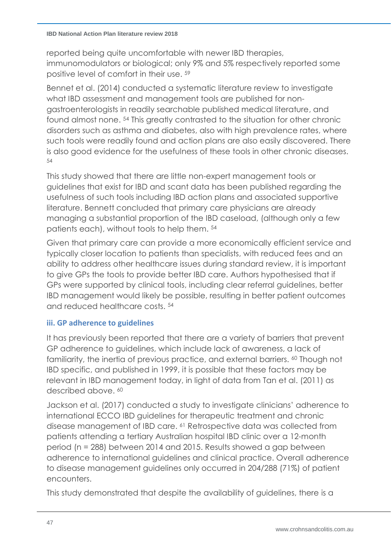#### **IBD National Action Plan literature review 2018**

reported being quite uncomfortable with newer IBD therapies, immunomodulators or biological; only 9% and 5% respectively reported some positive level of comfort in their use. 59

Bennet et al. (2014) conducted a systematic literature review to investigate what IBD assessment and management tools are published for nongastroenterologists in readily searchable published medical literature, and found almost none. <sup>54</sup> This greatly contrasted to the situation for other chronic disorders such as asthma and diabetes, also with high prevalence rates, where such tools were readily found and action plans are also easily discovered. There is also good evidence for the usefulness of these tools in other chronic diseases. 54

This study showed that there are little non-expert management tools or guidelines that exist for IBD and scant data has been published regarding the usefulness of such tools including IBD action plans and associated supportive literature. Bennett concluded that primary care physicians are already managing a substantial proportion of the IBD caseload, (although only a few patients each), without tools to help them. <sup>54</sup>

Given that primary care can provide a more economically efficient service and typically closer location to patients than specialists, with reduced fees and an ability to address other healthcare issues during standard review, it is important to give GPs the tools to provide better IBD care. Authors hypothesised that if GPs were supported by clinical tools, including clear referral guidelines, better IBD management would likely be possible, resulting in better patient outcomes and reduced healthcare costs. <sup>54</sup>

# **iii. GP adherence to guidelines**

It has previously been reported that there are a variety of barriers that prevent GP adherence to guidelines, which include lack of awareness, a lack of familiarity, the inertia of previous practice, and external barriers. <sup>60</sup> Though not IBD specific, and published in 1999, it is possible that these factors may be relevant in IBD management today, in light of data from Tan et al. (2011) as described above. 60

<span id="page-46-0"></span>Jackson et al. (2017) conducted a study to investigate clinicians' adherence to international ECCO IBD guidelines for therapeutic treatment and chronic disease management of IBD care. <sup>61</sup> Retrospective data was collected from patients attending a tertiary Australian hospital IBD clinic over a 12-month period (n = 288) between 2014 and 2015. Results showed a gap between adherence to international guidelines and clinical practice. Overall adherence to disease management guidelines only occurred in 204/288 (71%) of patient encounters.

This study demonstrated that despite the availability of guidelines, there is a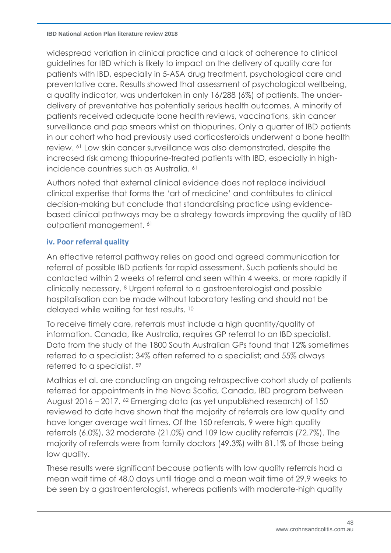widespread variation in clinical practice and a lack of adherence to clinical guidelines for IBD which is likely to impact on the delivery of quality care for patients with IBD, especially in 5-ASA drug treatment, psychological care and preventative care. Results showed that assessment of psychological wellbeing, a quality indicator, was undertaken in only 16/288 (6%) of patients. The underdelivery of preventative has potentially serious health outcomes. A minority of patients received adequate bone health reviews, vaccinations, skin cancer surveillance and pap smears whilst on thiopurines. Only a quarter of IBD patients in our cohort who had previously used corticosteroids underwent a bone health review. [61](#page-46-0) Low skin cancer surveillance was also demonstrated, despite the increased risk among thiopurine-treated patients with IBD, especially in highincidence countries such as Australia. [61](#page-46-0)

Authors noted that external clinical evidence does not replace individual clinical expertise that forms the 'art of medicine' and contributes to clinical decision-making but conclude that standardising practice using evidencebased clinical pathways may be a strategy towards improving the quality of IBD outpatient management. <sup>61</sup>

# **iv. Poor referral quality**

An effective referral pathway relies on good and agreed communication for referral of possible IBD patients for rapid assessment. Such patients should be contacted within 2 weeks of referral and seen within 4 weeks, or more rapidly if clinically necessary. <sup>8</sup> Urgent referral to a gastroenterologist and possible hospitalisation can be made without laboratory testing and should not be delayed while waiting for test results. 10

To receive timely care, referrals must include a high quantity/quality of information. Canada, like Australia, requires GP referral to an IBD specialist. Data from the study of the 1800 South Australian GPs found that 12% sometimes referred to a specialist; 34% often referred to a specialist; and 55% always referred to a specialist. <sup>59</sup>

Mathias et al. are conducting an ongoing retrospective cohort study of patients referred for appointments in the Nova Scotia, Canada, IBD program between August 2016 – 2017. <sup>62</sup> Emerging data (as yet unpublished research) of 150 reviewed to date have shown that the majority of referrals are low quality and have longer average wait times. Of the 150 referrals, 9 were high quality referrals (6.0%), 32 moderate (21.0%) and 109 low quality referrals (72.7%). The majority of referrals were from family doctors (49.3%) with 81.1% of those being low quality.

These results were significant because patients with low quality referrals had a mean wait time of 48.0 days until triage and a mean wait time of 29.9 weeks to be seen by a gastroenterologist, whereas patients with moderate-high quality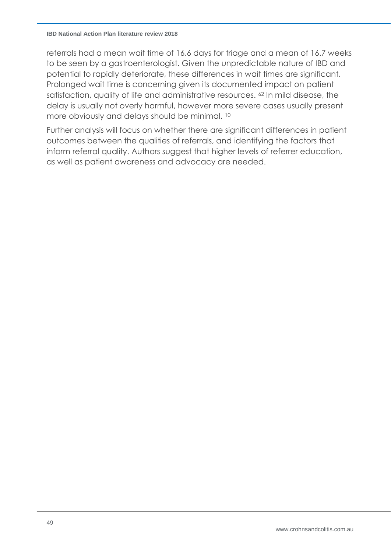#### **IBD National Action Plan literature review 2018**

referrals had a mean wait time of 16.6 days for triage and a mean of 16.7 weeks to be seen by a gastroenterologist. Given the unpredictable nature of IBD and potential to rapidly deteriorate, these differences in wait times are significant. Prolonged wait time is concerning given its documented impact on patient satisfaction, quality of life and administrative resources. <sup>62</sup> In mild disease, the delay is usually not overly harmful, however more severe cases usually present more obviously and delays should be minimal. <sup>10</sup>

Further analysis will focus on whether there are significant differences in patient outcomes between the qualities of referrals, and identifying the factors that inform referral quality. Authors suggest that higher levels of referrer education, as well as patient awareness and advocacy are needed.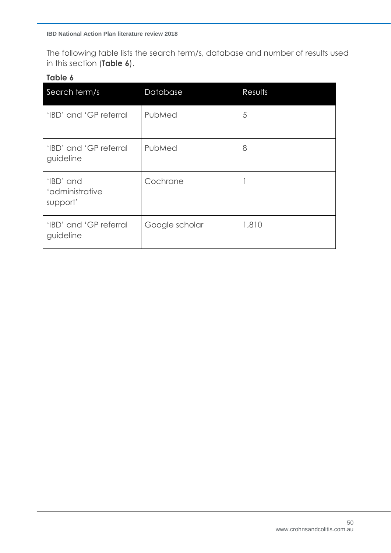The following table lists the search term/s, database and number of results used in this section (**Table 6**).

### **Table 6**

| Search term/s                            | Database       | Results |
|------------------------------------------|----------------|---------|
| 'IBD' and 'GP referral                   | PubMed         | 5       |
| 'IBD' and 'GP referral<br>guideline      | PubMed         | 8       |
| 'IBD' and<br>'administrative<br>support' | Cochrane       |         |
| 'IBD' and 'GP referral<br>guideline      | Google scholar | 1,810   |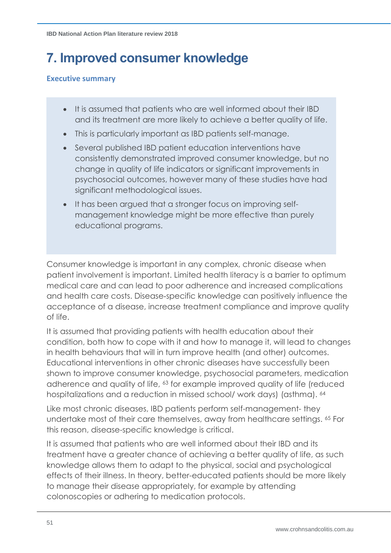# **7. Improved consumer knowledge**

#### **Executive summary**

- It is assumed that patients who are well informed about their IBD and its treatment are more likely to achieve a better quality of life.
- This is particularly important as IBD patients self-manage.
- Several published IBD patient education interventions have consistently demonstrated improved consumer knowledge, but no change in quality of life indicators or significant improvements in psychosocial outcomes, however many of these studies have had significant methodological issues.
- It has been argued that a stronger focus on improving selfmanagement knowledge might be more effective than purely educational programs.

Consumer knowledge is important in any complex, chronic disease when patient involvement is important. Limited health literacy is a barrier to optimum medical care and can lead to poor adherence and increased complications and health care costs. Disease-specific knowledge can positively influence the acceptance of a disease, increase treatment compliance and improve quality of life.

It is assumed that providing patients with health education about their condition, both how to cope with it and how to manage it, will lead to changes in health behaviours that will in turn improve health (and other) outcomes. Educational interventions in other chronic diseases have successfully been shown to improve consumer knowledge, psychosocial parameters, medication adherence and quality of life, <sup>63</sup> for example improved quality of life (reduced hospitalizations and a reduction in missed school/ work days) (asthma). 64

<span id="page-50-2"></span><span id="page-50-1"></span><span id="page-50-0"></span>Like most chronic diseases, IBD patients perform self-management- they undertake most of their care themselves, away from healthcare settings. <sup>65</sup> For this reason, disease-specific knowledge is critical.

It is assumed that patients who are well informed about their IBD and its treatment have a greater chance of achieving a better quality of life, as such knowledge allows them to adapt to the physical, social and psychological effects of their illness. In theory, better-educated patients should be more likely to manage their disease appropriately, for example by attending colonoscopies or adhering to medication protocols.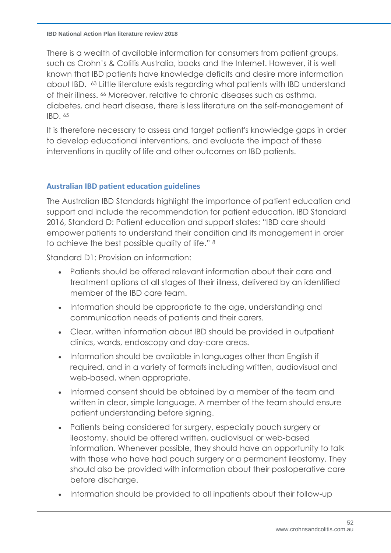#### **IBD National Action Plan literature review 2018**

There is a wealth of available information for consumers from patient groups, such as Crohn's & Colitis Australia, books and the Internet. However, it is well known that IBD patients have knowledge deficits and desire more information about IBD. [63](#page-50-0) Little literature exists regarding what patients with IBD understand of their illness. <sup>66</sup> Moreover, relative to chronic diseases such as asthma, diabetes, and heart disease, there is less literature on the self-management of IBD. [65](#page-50-1)

<span id="page-51-0"></span>It is therefore necessary to assess and target patient's knowledge gaps in order to develop educational interventions, and evaluate the impact of these interventions in quality of life and other outcomes on IBD patients.

# **Australian IBD patient education guidelines**

The Australian IBD Standards highlight the importance of patient education and support and include the recommendation for patient education. IBD Standard 2016, Standard D: Patient education and support states: "IBD care should empower patients to understand their condition and its management in order to achieve the best possible quality of life." [8](#page-6-0)

Standard D1: Provision on information:

- Patients should be offered relevant information about their care and treatment options at all stages of their illness, delivered by an identified member of the IBD care team.
- Information should be appropriate to the age, understanding and communication needs of patients and their carers.
- Clear, written information about IBD should be provided in outpatient clinics, wards, endoscopy and day-care areas.
- Information should be available in languages other than English if required, and in a variety of formats including written, audiovisual and web-based, when appropriate.
- Informed consent should be obtained by a member of the team and written in clear, simple language. A member of the team should ensure patient understanding before signing.
- Patients being considered for surgery, especially pouch surgery or ileostomy, should be offered written, audiovisual or web-based information. Whenever possible, they should have an opportunity to talk with those who have had pouch surgery or a permanent ileostomy. They should also be provided with information about their postoperative care before discharge.
- Information should be provided to all inpatients about their follow-up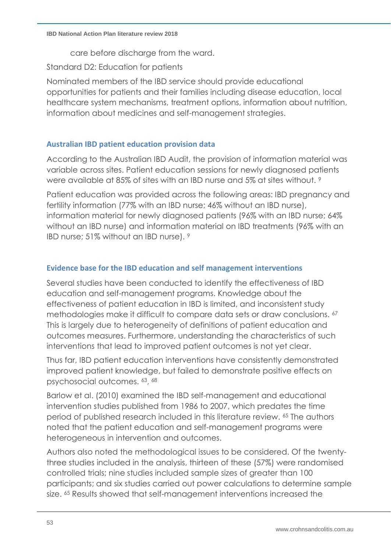care before discharge from the ward.

Standard D2: Education for patients

Nominated members of the IBD service should provide educational opportunities for patients and their families including disease education, local healthcare system mechanisms, treatment options, information about nutrition, information about medicines and self-management strategies.

# **Australian IBD patient education provision data**

According to the Australian IBD Audit, the provision of information material was variable across sites. Patient education sessions for newly diagnosed patients were available at 85% of sites with an IBD nurse and 5% at sites without. [9](#page-6-1)

Patient education was provided across the following areas: IBD pregnancy and fertility information (77% with an IBD nurse; 46% without an IBD nurse), information material for newly diagnosed patients (96% with an IBD nurse; 64% without an IBD nurse) and information material on IBD treatments (96% with an IBD nurse; 51% without an IBD nurse). [9](#page-6-1)

# **Evidence base for the IBD education and self management interventions**

<span id="page-52-0"></span>Several studies have been conducted to identify the effectiveness of IBD education and self-management programs. Knowledge about the effectiveness of patient education in IBD is limited, and inconsistent study methodologies make it difficult to compare data sets or draw conclusions. <sup>67</sup> This is largely due to heterogeneity of definitions of patient education and outcomes measures. Furthermore, understanding the characteristics of such interventions that lead to improved patient outcomes is not yet clear.

Thus far, IBD patient education interventions have consistently demonstrated improved patient knowledge, but failed to demonstrate positive effects on psychosocial outcomes. [63](#page-50-0), 68

<span id="page-52-1"></span>Barlow et al. (2010) examined the IBD self-management and educational intervention studies published from 1986 to 2007, which predates the time period of published research included in this literature review. [65](#page-50-1) The authors noted that the patient education and self-management programs were heterogeneous in intervention and outcomes.

Authors also noted the methodological issues to be considered. Of the twentythree studies included in the analysis, thirteen of these (57%) were randomised controlled trials; nine studies included sample sizes of greater than 100 participants; and six studies carried out power calculations to determine sample size. [65](#page-50-1) Results showed that self-management interventions increased the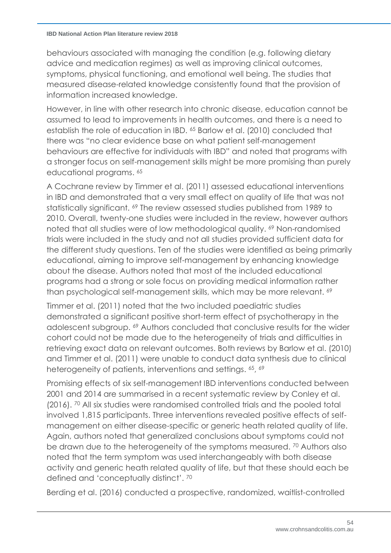#### **IBD National Action Plan literature review 2018**

behaviours associated with managing the condition (e.g. following dietary advice and medication regimes) as well as improving clinical outcomes, symptoms, physical functioning, and emotional well being. The studies that measured disease-related knowledge consistently found that the provision of information increased knowledge.

However, in line with other research into chronic disease, education cannot be assumed to lead to improvements in health outcomes, and there is a need to establish the role of education in IBD. [65](#page-50-1) Barlow et al. (2010) concluded that there was "no clear evidence base on what patient self-management behaviours are effective for individuals with IBD" and noted that programs with a stronger focus on self-management skills might be more promising than purely educational programs. [65](#page-50-1)

<span id="page-53-0"></span>A Cochrane review by Timmer et al. (2011) assessed educational interventions in IBD and demonstrated that a very small effect on quality of life that was not statistically significant. <sup>69</sup> The review assessed studies published from 1989 to 2010. Overall, twenty-one studies were included in the review, however authors noted that all studies were of low methodological quality. <sup>[69](#page-53-0)</sup> Non-randomised trials were included in the study and not all studies provided sufficient data for the different study questions. Ten of the studies were identified as being primarily educational, aiming to improve self-management by enhancing knowledge about the disease. Authors noted that most of the included educational programs had a strong or sole focus on providing medical information rather than psychological self-management skills, which may be more relevant. [69](#page-53-0)

Timmer et al. (2011) noted that the two included paediatric studies demonstrated a significant positive short-term effect of psychotherapy in the adolescent subgroup. [69](#page-53-0) Authors concluded that conclusive results for the wider cohort could not be made due to the heterogeneity of trials and difficulties in retrieving exact data on relevant outcomes. Both reviews by Barlow et al. (2010) and Timmer et al. (2011) were unable to conduct data synthesis due to clinical heterogeneity of patients, interventions and settings. [65](#page-50-1), [69](#page-53-0)

<span id="page-53-1"></span>Promising effects of six self-management IBD interventions conducted between 2001 and 2014 are summarised in a recent systematic review by Conley et al. (2016). <sup>70</sup> All six studies were randomised controlled trials and the pooled total involved 1,815 participants. Three interventions revealed positive effects of selfmanagement on either disease-specific or generic heath related quality of life. Again, authors noted that generalized conclusions about symptoms could not be drawn due to the heterogeneity of the symptoms measured. <sup>[70](#page-53-1)</sup> Authors also noted that the term symptom was used interchangeably with both disease activity and generic heath related quality of life, but that these should each be defined and 'conceptually distinct'. [70](#page-53-1)

Berding et al. (2016) conducted a prospective, randomized, waitlist-controlled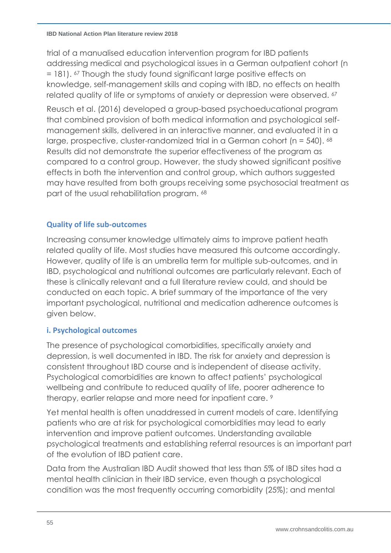trial of a manualised education intervention program for IBD patients addressing medical and psychological issues in a German outpatient cohort (n = 181). [67](#page-52-0) Though the study found significant large positive effects on knowledge, self-management skills and coping with IBD, no effects on health related quality of life or symptoms of anxiety or depression were observed. <sup>[67](#page-52-0)</sup>

Reusch et al. (2016) developed a group-based psychoeducational program that combined provision of both medical information and psychological selfmanagement skills, delivered in an interactive manner, and evaluated it in a large, prospective, cluster-randomized trial in a German cohort (n = 540). [68](#page-52-1) Results did not demonstrate the superior effectiveness of the program as compared to a control group. However, the study showed significant positive effects in both the intervention and control group, which authors suggested may have resulted from both groups receiving some psychosocial treatment as part of the usual rehabilitation program. [68](#page-52-1)

# **Quality of life sub-outcomes**

Increasing consumer knowledge ultimately aims to improve patient heath related quality of life. Most studies have measured this outcome accordingly. However, quality of life is an umbrella term for multiple sub-outcomes, and in IBD, psychological and nutritional outcomes are particularly relevant. Each of these is clinically relevant and a full literature review could, and should be conducted on each topic. A brief summary of the importance of the very important psychological, nutritional and medication adherence outcomes is given below.

# **i. Psychological outcomes**

The presence of psychological comorbidities, specifically anxiety and depression, is well documented in IBD. The risk for anxiety and depression is consistent throughout IBD course and is independent of disease activity. Psychological comorbidities are known to affect patients' psychological wellbeing and contribute to reduced quality of life, poorer adherence to therapy, earlier relapse and more need for inpatient care. [9](#page-6-1)

Yet mental health is often unaddressed in current models of care. Identifying patients who are at risk for psychological comorbidities may lead to early intervention and improve patient outcomes. Understanding available psychological treatments and establishing referral resources is an important part of the evolution of IBD patient care.

Data from the Australian IBD Audit showed that less than 5% of IBD sites had a mental health clinician in their IBD service, even though a psychological condition was the most frequently occurring comorbidity (25%); and mental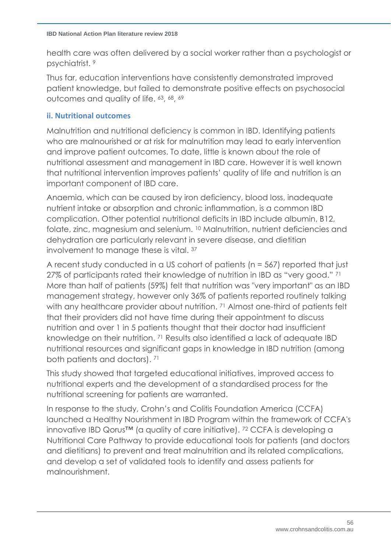health care was often delivered by a social worker rather than a psychologist or psychiatrist.<sup>[9](#page-6-1)</sup>

Thus far, education interventions have consistently demonstrated improved patient knowledge, but failed to demonstrate positive effects on psychosocial outcomes and quality of life. [63](#page-50-0), [68](#page-52-1), [69](#page-53-0)

# **ii. Nutritional outcomes**

Malnutrition and nutritional deficiency is common in IBD. Identifying patients who are malnourished or at risk for malnutrition may lead to early intervention and improve patient outcomes. To date, little is known about the role of nutritional assessment and management in IBD care. However it is well known that nutritional intervention improves patients' quality of life and nutrition is an important component of IBD care.

Anaemia, which can be caused by iron deficiency, blood loss, inadequate nutrient intake or absorption and chronic inflammation, is a common IBD complication. Other potential nutritional deficits in IBD include albumin, B12, folate, zinc, magnesium and selenium. [10](#page-7-0) Malnutrition, nutrient deficiencies and dehydration are particularly relevant in severe disease, and dietitian involvement to manage these is vital. [37](#page-30-0)

<span id="page-55-0"></span>A recent study conducted in a US cohort of patients (n = 567) reported that just 27% of participants rated their knowledge of nutrition in IBD as "very good." <sup>71</sup> More than half of patients (59%) felt that nutrition was "very important" as an IBD management strategy, however only 36% of patients reported routinely talking with any healthcare provider about nutrition. <sup>[71](#page-55-0)</sup> Almost one-third of patients felt that their providers did not have time during their appointment to discuss nutrition and over 1 in 5 patients thought that their doctor had insufficient knowledge on their nutrition. [71](#page-55-0) Results also identified a lack of adequate IBD nutritional resources and significant gaps in knowledge in IBD nutrition (among both patients and doctors). [71](#page-55-0)

This study showed that targeted educational initiatives, improved access to nutritional experts and the development of a standardised process for the nutritional screening for patients are warranted.

In response to the study, Crohn's and Colitis Foundation America (CCFA) launched a Healthy Nourishment in IBD Program within the framework of CCFA's innovative IBD Qorus™ (a quality of care initiative). <sup>72</sup> CCFA is developing a Nutritional Care Pathway to provide educational tools for patients (and doctors and dietitians) to prevent and treat malnutrition and its related complications, and develop a set of validated tools to identify and assess patients for malnourishment.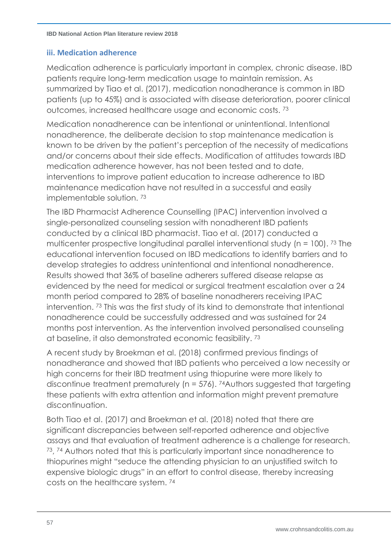#### **iii. Medication adherence**

Medication adherence is particularly important in complex, chronic disease. IBD patients require long-term medication usage to maintain remission. As summarized by Tiao et al. (2017), medication nonadherance is common in IBD patients (up to 45%) and is associated with disease deterioration, poorer clinical outcomes, increased healthcare usage and economic costs.<sup>73</sup>

<span id="page-56-0"></span>Medication nonadherence can be intentional or unintentional. Intentional nonadherence, the deliberate decision to stop maintenance medication is known to be driven by the patient's perception of the necessity of medications and/or concerns about their side effects. Modification of attitudes towards IBD medication adherence however, has not been tested and to date, interventions to improve patient education to increase adherence to IBD maintenance medication have not resulted in a successful and easily implementable solution. [73](#page-56-0)

The IBD Pharmacist Adherence Counselling (IPAC) intervention involved a single-personalized counseling session with nonadherent IBD patients conducted by a clinical IBD pharmacist. Tiao et al. (2017) conducted a multicenter prospective longitudinal parallel interventional study (n = 100). [73](#page-56-0) The educational intervention focused on IBD medications to identify barriers and to develop strategies to address unintentional and intentional nonadherence. Results showed that 36% of baseline adherers suffered disease relapse as evidenced by the need for medical or surgical treatment escalation over a 24 month period compared to 28% of baseline nonadherers receiving IPAC intervention. [73](#page-56-0) This was the first study of its kind to demonstrate that intentional nonadherence could be successfully addressed and was sustained for 24 months post intervention. As the intervention involved personalised counseling at baseline, it also demonstrated economic feasibility. [73](#page-56-0)

<span id="page-56-1"></span>A recent study by Broekman et al. (2018) confirmed previous findings of nonadherance and showed that IBD patients who perceived a low necessity or high concerns for their IBD treatment using thiopurine were more likely to discontinue treatment prematurely (n = 576). <sup>74</sup>Authors suggested that targeting these patients with extra attention and information might prevent premature discontinuation.

Both Tiao et al. (2017) and Broekman et al. (2018) noted that there are significant discrepancies between self-reported adherence and objective assays and that evaluation of treatment adherence is a challenge for research. [73](#page-56-0), [74](#page-56-1) Authors noted that this is particularly important since nonadherence to thiopurines might "seduce the attending physician to an unjustified switch to expensive biologic drugs" in an effort to control disease, thereby increasing costs on the healthcare system. [74](#page-56-1)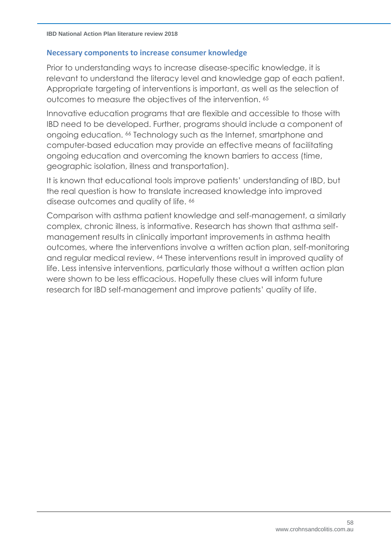#### **Necessary components to increase consumer knowledge**

Prior to understanding ways to increase disease-specific knowledge, it is relevant to understand the literacy level and knowledge gap of each patient. Appropriate targeting of interventions is important, as well as the selection of outcomes to measure the objectives of the intervention. [65](#page-50-1)

Innovative education programs that are flexible and accessible to those with IBD need to be developed. Further, programs should include a component of ongoing education. [66](#page-51-0) Technology such as the Internet, smartphone and computer-based education may provide an effective means of facilitating ongoing education and overcoming the known barriers to access (time, geographic isolation, illness and transportation).

It is known that educational tools improve patients' understanding of IBD, but the real question is how to translate increased knowledge into improved disease outcomes and quality of life. [66](#page-51-0)

Comparison with asthma patient knowledge and self-management, a similarly complex, chronic illness, is informative. Research has shown that asthma selfmanagement results in clinically important improvements in asthma health outcomes, where the interventions involve a written action plan, self-monitoring and regular medical review. [64](#page-50-2) These interventions result in improved quality of life. Less intensive interventions, particularly those without a written action plan were shown to be less efficacious. Hopefully these clues will inform future research for IBD self-management and improve patients' quality of life.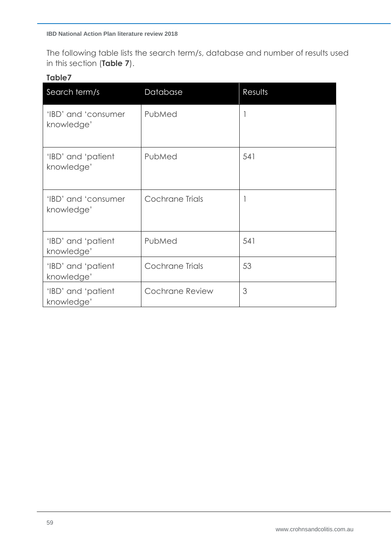The following table lists the search term/s, database and number of results used in this section (**Table 7**).

## **Table7**

| Search term/s                     | Database               | Results |
|-----------------------------------|------------------------|---------|
| 'IBD' and 'consumer<br>knowledge' | PubMed                 | 1       |
| 'IBD' and 'patient<br>knowledge'  | PubMed                 | 541     |
| 'IBD' and 'consumer<br>knowledge' | Cochrane Trials        | 1       |
| 'IBD' and 'patient<br>knowledge'  | PubMed                 | 541     |
| 'IBD' and 'patient<br>knowledge'  | <b>Cochrane Trials</b> | 53      |
| 'IBD' and 'patient<br>knowledge'  | <b>Cochrane Review</b> | 3       |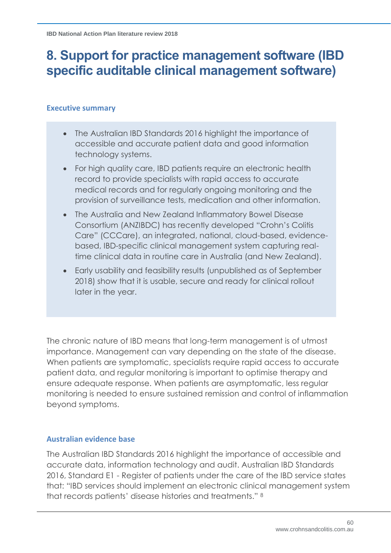# **8. Support for practice management software (IBD specific auditable clinical management software)**

#### **Executive summary**

- The Australian IBD Standards 2016 highlight the importance of accessible and accurate patient data and good information technology systems.
- For high quality care, IBD patients require an electronic health record to provide specialists with rapid access to accurate medical records and for regularly ongoing monitoring and the provision of surveillance tests, medication and other information.
- The Australia and New Zealand Inflammatory Bowel Disease Consortium (ANZIBDC) has recently developed "Crohn's Colitis Care" (CCCare), an integrated, national, cloud-based, evidencebased, IBD-specific clinical management system capturing realtime clinical data in routine care in Australia (and New Zealand).
- Early usability and feasibility results (unpublished as of September 2018) show that it is usable, secure and ready for clinical rollout later in the year.

The chronic nature of IBD means that long-term management is of utmost importance. Management can vary depending on the state of the disease. When patients are symptomatic, specialists require rapid access to accurate patient data, and regular monitoring is important to optimise therapy and ensure adequate response. When patients are asymptomatic, less regular monitoring is needed to ensure sustained remission and control of inflammation beyond symptoms.

# **Australian evidence base**

The Australian IBD Standards 2016 highlight the importance of accessible and accurate data, information technology and audit. Australian IBD Standards 2016, Standard E1 - Register of patients under the care of the IBD service states that: "IBD services should implement an electronic clinical management system that records patients' disease histories and treatments." [8](#page-6-0)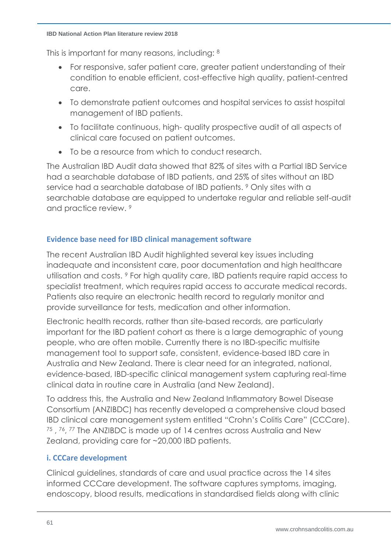#### **IBD National Action Plan literature review 2018**

This is important for many reasons, including: [8](#page-6-0)

- For responsive, safer patient care, greater patient understanding of their condition to enable efficient, cost-effective high quality, patient-centred care.
- To demonstrate patient outcomes and hospital services to assist hospital management of IBD patients.
- To facilitate continuous, high- quality prospective audit of all aspects of clinical care focused on patient outcomes.
- To be a resource from which to conduct research.

The Australian IBD Audit data showed that 82% of sites with a Partial IBD Service had a searchable database of IBD patients, and 25% of sites without an IBD service had a searchable database of IBD patients. [9](#page-6-1) Only sites with a searchable database are equipped to undertake regular and reliable self-audit and practice review. [9](#page-6-1)

### **Evidence base need for IBD clinical management software**

The recent Australian IBD Audit highlighted several key issues including inadequate and inconsistent care, poor documentation and high healthcare utilisation and costs. [9](#page-6-1) For high quality care, IBD patients require rapid access to specialist treatment, which requires rapid access to accurate medical records. Patients also require an electronic health record to regularly monitor and provide surveillance for tests, medication and other information.

Electronic health records, rather than site-based records, are particularly important for the IBD patient cohort as there is a large demographic of young people, who are often mobile. Currently there is no IBD-specific multisite management tool to support safe, consistent, evidence-based IBD care in Australia and New Zealand. There is clear need for an integrated, national, evidence-based, IBD-specific clinical management system capturing real-time clinical data in routine care in Australia (and New Zealand).

To address this, the Australia and New Zealand Inflammatory Bowel Disease Consortium (ANZIBDC) has recently developed a comprehensive cloud based IBD clinical care management system entitled "Crohn's Colitis Care" (CCCare). <sup>75</sup> , <sup>76</sup>, <sup>77</sup> The ANZIBDC is made up of 14 centres across Australia and New Zealand, providing care for ~20,000 IBD patients.

# <span id="page-60-1"></span><span id="page-60-0"></span>**i. CCCare development**

Clinical guidelines, standards of care and usual practice across the 14 sites informed CCCare development. The software captures symptoms, imaging, endoscopy, blood results, medications in standardised fields along with clinic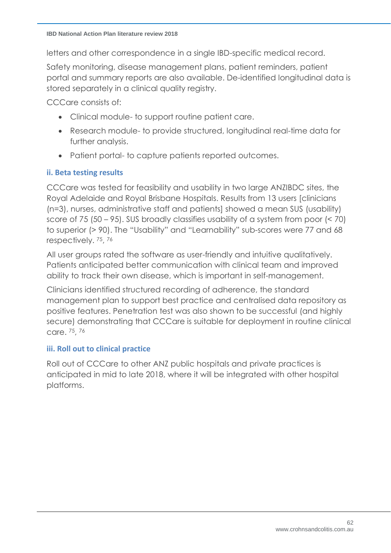letters and other correspondence in a single IBD-specific medical record.

Safety monitoring, disease management plans, patient reminders, patient portal and summary reports are also available. De-identified longitudinal data is stored separately in a clinical quality registry.

CCCare consists of:

- Clinical module- to support routine patient care.
- Research module- to provide structured, longitudinal real-time data for further analysis.
- Patient portal- to capture patients reported outcomes.

### **ii. Beta testing results**

CCCare was tested for feasibility and usability in two large ANZIBDC sites, the Royal Adelaide and Royal Brisbane Hospitals. Results from 13 users [clinicians (n=3), nurses, administrative staff and patients] showed a mean SUS (usability) score of 75 (50 – 95). SUS broadly classifies usability of a system from poor (< 70) to superior (> 90). The "Usability" and "Learnability" sub-scores were 77 and 68 respectively. [75](#page-60-0), [76](#page-60-1)

All user groups rated the software as user-friendly and intuitive qualitatively. Patients anticipated better communication with clinical team and improved ability to track their own disease, which is important in self-management.

Clinicians identified structured recording of adherence, the standard management plan to support best practice and centralised data repository as positive features. Penetration test was also shown to be successful (and highly secure) demonstrating that CCCare is suitable for deployment in routine clinical care. [75](#page-60-0), [76](#page-60-1)

#### **iii. Roll out to clinical practice**

Roll out of CCCare to other ANZ public hospitals and private practices is anticipated in mid to late 2018, where it will be integrated with other hospital platforms.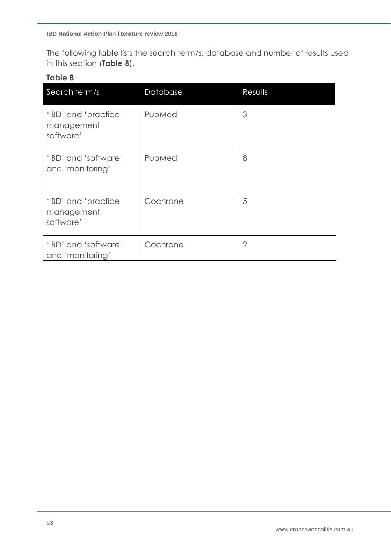The following table lists the search term/s, database and number of results used in this section (**Table 8**).

## **Table 8**

| Search term/s                                  | Database | Results        |
|------------------------------------------------|----------|----------------|
| 'IBD' and 'practice<br>management<br>software' | PubMed   | 3              |
| 'IBD' and 'software'<br>and 'monitoring'       | PubMed   | 8              |
| 'IBD' and 'practice<br>management<br>software' | Cochrane | 5              |
| 'IBD' and 'software'<br>and 'monitoring'       | Cochrane | $\overline{2}$ |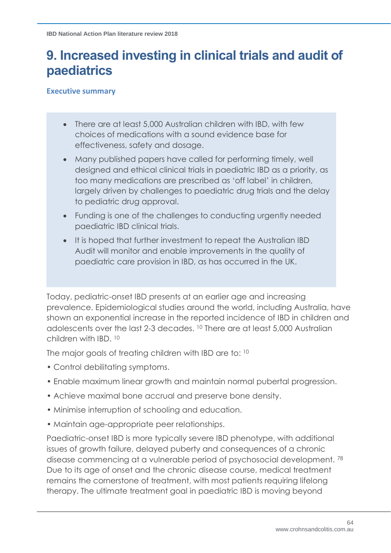# **9. Increased investing in clinical trials and audit of paediatrics**

**Executive summary**

- There are at least 5,000 Australian children with IBD, with few choices of medications with a sound evidence base for effectiveness, safety and dosage.
- Many published papers have called for performing timely, well designed and ethical clinical trials in paediatric IBD as a priority, as too many medications are prescribed as 'off label' in children, largely driven by challenges to paediatric drug trials and the delay to pediatric drug approval.
- Funding is one of the challenges to conducting urgently needed paediatric IBD clinical trials.
- It is hoped that further investment to repeat the Australian IBD Audit will monitor and enable improvements in the quality of paediatric care provision in IBD, as has occurred in the UK.

Today, pediatric-onset IBD presents at an earlier age and increasing prevalence. Epidemiological studies around the world, including Australia, have shown an exponential increase in the reported incidence of IBD in children and adolescents over the last 2-3 decades. [10](#page-7-0) There are at least 5,000 Australian children with IBD. [10](#page-7-0)

The major goals of treating children with IBD are to: [10](#page-7-0)

- Control debilitating symptoms.
- Enable maximum linear growth and maintain normal pubertal progression.
- Achieve maximal bone accrual and preserve bone density.
- Minimise interruption of schooling and education.
- Maintain age-appropriate peer relationships.

Paediatric-onset IBD is more typically severe IBD phenotype, with additional issues of growth failure, delayed puberty and consequences of a chronic disease commencing at a vulnerable period of psychosocial development. <sup>78</sup> Due to its age of onset and the chronic disease course, medical treatment remains the cornerstone of treatment, with most patients requiring lifelong therapy. The ultimate treatment goal in paediatric IBD is moving beyond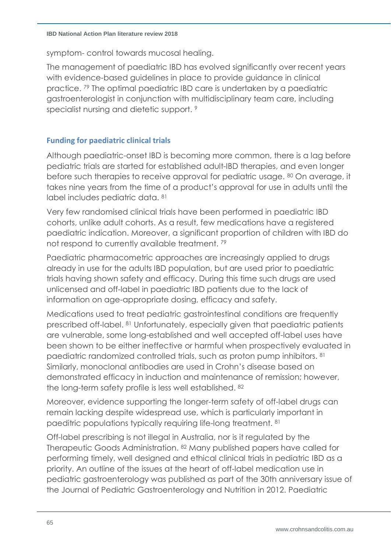symptom- control towards mucosal healing.

<span id="page-64-0"></span>The management of paediatric IBD has evolved significantly over recent years with evidence-based guidelines in place to provide guidance in clinical practice. <sup>79</sup> The optimal paediatric IBD care is undertaken by a paediatric gastroenterologist in conjunction with multidisciplinary team care, including specialist nursing and dietetic support.<sup>[9](#page-6-1)</sup>

# **Funding for paediatric clinical trials**

<span id="page-64-3"></span>Although paediatric-onset IBD is becoming more common, there is a lag before pediatric trials are started for established adult-IBD therapies, and even longer before such therapies to receive approval for pediatric usage. 80 On average, it takes nine years from the time of a product's approval for use in adults until the label includes pediatric data. <sup>81</sup>

<span id="page-64-1"></span>Very few randomised clinical trials have been performed in paediatric IBD cohorts, unlike adult cohorts. As a result, few medications have a registered paediatric indication. Moreover, a significant proportion of children with IBD do not respond to currently available treatment. [79](#page-64-0)

Paediatric pharmacometric approaches are increasingly applied to drugs already in use for the adults IBD population, but are used prior to paediatric trials having shown safety and efficacy. During this time such drugs are used unlicensed and off-label in paediatric IBD patients due to the lack of information on age-appropriate dosing, efficacy and safety.

Medications used to treat pediatric gastrointestinal conditions are frequently prescribed off-label. [81](#page-64-1) Unfortunately, especially given that paediatric patients are vulnerable, some long-established and well accepted off-label uses have been shown to be either ineffective or harmful when prospectively evaluated in paediatric randomized controlled trials, such as proton pump inhibitors. [81](#page-64-1) Similarly, monoclonal antibodies are used in Crohn's disease based on demonstrated efficacy in induction and maintenance of remission; however, the long-term safety profile is less well established. 82

<span id="page-64-2"></span>Moreover, evidence supporting the longer-term safety of off-label drugs can remain lacking despite widespread use, which is particularly important in paeditric populations typically requiring life-long treatment. [81](#page-64-1)

Off-label prescribing is not illegal in Australia, nor is it regulated by the Therapeutic Goods Administration. [82](#page-64-2) Many published papers have called for performing timely, well designed and ethical clinical trials in pediatric IBD as a priority. An outline of the issues at the heart of off-label medication use in pediatric gastroenterology was published as part of the 30th anniversary issue of the Journal of Pediatric Gastroenterology and Nutrition in 2012. Paediatric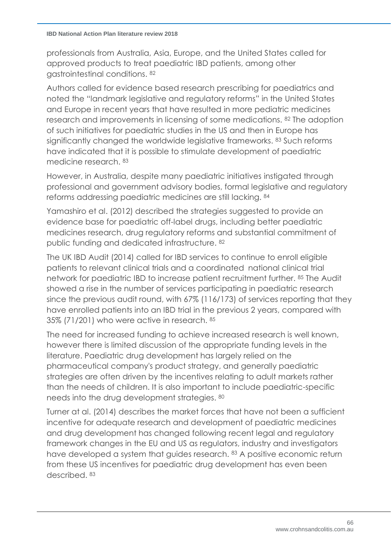professionals from Australia, Asia, Europe, and the United States called for approved products to treat paediatric IBD patients, among other gastrointestinal conditions. [82](#page-64-2)

Authors called for evidence based research prescribing for paediatrics and noted the "landmark legislative and regulatory reforms" in the United States and Europe in recent years that have resulted in more pediatric medicines research and improvements in licensing of some medications. [82](#page-64-2) The adoption of such initiatives for paediatric studies in the US and then in Europe has significantly changed the worldwide legislative frameworks. 83 Such reforms have indicated that it is possible to stimulate development of paediatric medicine research. [83](#page-65-0)

<span id="page-65-0"></span>However, in Australia, despite many paediatric initiatives instigated through professional and government advisory bodies, formal legislative and regulatory reforms addressing paediatric medicines are still lacking. <sup>84</sup>

Yamashiro et al. (2012) described the strategies suggested to provide an evidence base for paediatric off-label drugs, including better paediatric medicines research, drug regulatory reforms and substantial commitment of public funding and dedicated infrastructure. [82](#page-64-2)

<span id="page-65-1"></span>The UK IBD Audit (2014) called for IBD services to continue to enroll eligible patients to relevant clinical trials and a coordinated national clinical trial network for paediatric IBD to increase patient recruitment further. <sup>85</sup> The Audit showed a rise in the number of services participating in paediatric research since the previous audit round, with 67% (116/173) of services reporting that they have enrolled patients into an IBD trial in the previous 2 years, compared with 35% (71/201) who were active in research. [85](#page-65-1)

The need for increased funding to achieve increased research is well known, however there is limited discussion of the appropriate funding levels in the literature. Paediatric drug development has largely relied on the pharmaceutical company's product strategy, and generally paediatric strategies are often driven by the incentives relating to adult markets rather than the needs of children. It is also important to include paediatric-specific needs into the drug development strategies. [80](#page-64-3)

Turner at al. (2014) describes the market forces that have not been a sufficient incentive for adequate research and development of paediatric medicines and drug development has changed following recent legal and regulatory framework changes in the EU and US as regulators, industry and investigators have developed a system that guides research. [83](#page-65-0) A positive economic return from these US incentives for paediatric drug development has even been described. [83](#page-65-0)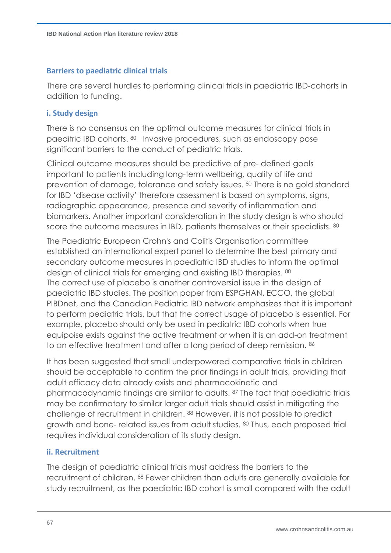#### **Barriers to paediatric clinical trials**

There are several hurdles to performing clinical trials in paediatric IBD-cohorts in addition to funding.

#### **i. Study design**

There is no consensus on the optimal outcome measures for clinical trials in paeditric IBD cohorts. [80](#page-64-3) Invasive procedures, such as endoscopy pose significant barriers to the conduct of pediatric trials.

Clinical outcome measures should be predictive of pre- defined goals important to patients including long-term wellbeing, quality of life and prevention of damage, tolerance and safety issues. [80](#page-64-3) There is no gold standard for IBD 'disease activity' therefore assessment is based on symptoms, signs, radiographic appearance, presence and severity of inflammation and biomarkers. Another important consideration in the study design is who should score the outcome measures in IBD, patients themselves or their specialists. [80](#page-64-3)

The Paediatric European Crohn's and Colitis Organisation committee established an international expert panel to determine the best primary and secondary outcome measures in paediatric IBD studies to inform the optimal design of clinical trials for emerging and existing IBD therapies. [80](#page-64-3) The correct use of placebo is another controversial issue in the design of paediatric IBD studies. The position paper from ESPGHAN, ECCO, the global PIBDnet, and the Canadian Pediatric IBD network emphasizes that it is important to perform pediatric trials, but that the correct usage of placebo is essential. For example, placebo should only be used in pediatric IBD cohorts when true equipoise exists against the active treatment or when it is an add-on treatment to an effective treatment and after a long period of deep remission. 86

It has been suggested that small underpowered comparative trials in children should be acceptable to confirm the prior findings in adult trials, providing that adult efficacy data already exists and pharmacokinetic and pharmacodynamic findings are similar to adults. <sup>87</sup> The fact that paediatric trials may be confirmatory to similar larger adult trials should assist in mitigating the challenge of recruitment in children. <sup>88</sup> However, it is not possible to predict growth and bone- related issues from adult studies. [80](#page-64-3) Thus, each proposed trial requires individual consideration of its study design.

# <span id="page-66-0"></span>**ii. Recruitment**

The design of paediatric clinical trials must address the barriers to the recruitment of children. [88](#page-66-0) Fewer children than adults are generally available for study recruitment, as the paediatric IBD cohort is small compared with the adult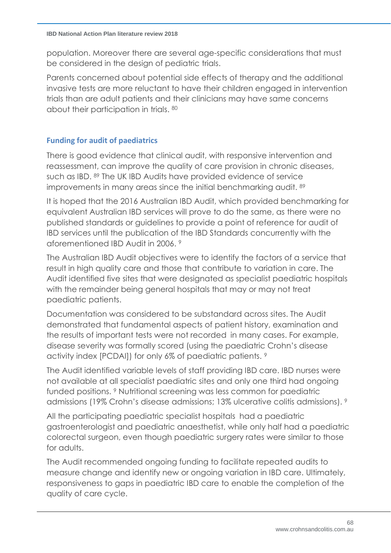population. Moreover there are several age-specific considerations that must be considered in the design of pediatric trials.

Parents concerned about potential side effects of therapy and the additional invasive tests are more reluctant to have their children engaged in intervention trials than are adult patients and their clinicians may have same concerns about their participation in trials. [80](#page-64-3)

# **Funding for audit of paediatrics**

<span id="page-67-0"></span>There is good evidence that clinical audit, with responsive intervention and reassessment, can improve the quality of care provision in chronic diseases, such as IBD. <sup>89</sup> The UK IBD Audits have provided evidence of service improvements in many areas since the initial benchmarking audit. <sup>[89](#page-67-0)</sup>

It is hoped that the 2016 Australian IBD Audit, which provided benchmarking for equivalent Australian IBD services will prove to do the same, as there were no published standards or guidelines to provide a point of reference for audit of IBD services until the publication of the IBD Standards concurrently with the aforementioned IBD Audit in 2006. [9](#page-6-1)

The Australian IBD Audit objectives were to identify the factors of a service that result in high quality care and those that contribute to variation in care. The Audit identified five sites that were designated as specialist paediatric hospitals with the remainder being general hospitals that may or may not treat paediatric patients.

Documentation was considered to be substandard across sites. The Audit demonstrated that fundamental aspects of patient history, examination and the results of important tests were not recorded in many cases. For example, disease severity was formally scored (using the paediatric Crohn's disease activity index [PCDAI]) for only 6% of paediatric patients. [9](#page-6-1)

The Audit identified variable levels of staff providing IBD care. IBD nurses were not available at all specialist paediatric sites and only one third had ongoing funded positions. [9](#page-6-1) Nutritional screening was less common for paediatric admissions (19% Crohn's disease admissions; 13% ulcerative colitis admissions). [9](#page-6-1)

All the participating paediatric specialist hospitals had a paediatric gastroenterologist and paediatric anaesthetist, while only half had a paediatric colorectal surgeon, even though paediatric surgery rates were similar to those for adults.

The Audit recommended ongoing funding to facilitate repeated audits to measure change and identify new or ongoing variation in IBD care. Ultimately, responsiveness to gaps in paediatric IBD care to enable the completion of the quality of care cycle.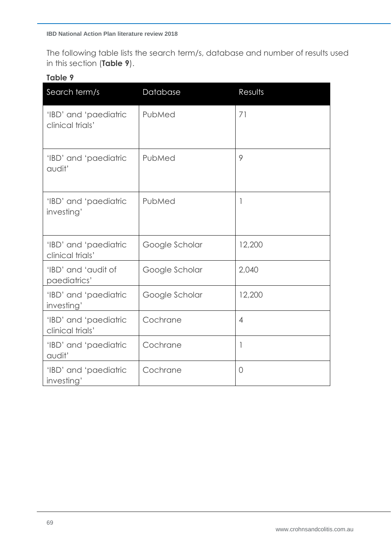The following table lists the search term/s, database and number of results used in this section (**Table 9**).

### **Table 9**

| Search term/s                             | Database       | Results                  |
|-------------------------------------------|----------------|--------------------------|
| 'IBD' and 'paediatric<br>clinical trials' | PubMed         | 71                       |
| 'IBD' and 'paediatric<br>audit'           | PubMed         | 9                        |
| 'IBD' and 'paediatric<br>investing'       | PubMed         | $\overline{\phantom{a}}$ |
| 'IBD' and 'paediatric<br>clinical trials' | Google Scholar | 12,200                   |
| 'IBD' and 'audit of<br>paediatrics'       | Google Scholar | 2,040                    |
| 'IBD' and 'paediatric<br>investing'       | Google Scholar | 12,200                   |
| 'IBD' and 'paediatric<br>clinical trials' | Cochrane       | $\overline{4}$           |
| 'IBD' and 'paediatric<br>audit'           | Cochrane       | 1                        |
| 'IBD' and 'paediatric<br>investing'       | Cochrane       | $\overline{O}$           |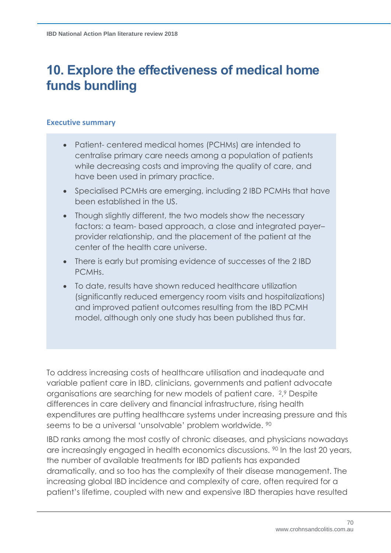# **10. Explore the effectiveness of medical home funds bundling**

#### **Executive summary**

- Patient- centered medical homes (PCHMs) are intended to centralise primary care needs among a population of patients while decreasing costs and improving the quality of care, and have been used in primary practice.
- Specialised PCMHs are emerging, including 2 IBD PCMHs that have been established in the US.
- Though slightly different, the two models show the necessary factors: a team- based approach, a close and integrated payer– provider relationship, and the placement of the patient at the center of the health care universe.
- There is early but promising evidence of successes of the 2 IBD PCMHs.
- To date, results have shown reduced healthcare utilization (significantly reduced emergency room visits and hospitalizations) and improved patient outcomes resulting from the IBD PCMH model, although only one study has been published thus far.

To address increasing costs of healthcare utilisation and inadequate and variable patient care in IBD, clinicians, governments and patient advocate organisations are searching for new models of patient care. [2](#page-6-2), [9](#page-6-1) Despite differences in care delivery and financial infrastructure, rising health expenditures are putting healthcare systems under increasing pressure and this seems to be a universal 'unsolvable' problem worldwide. <sup>90</sup>

<span id="page-69-0"></span>IBD ranks among the most costly of chronic diseases, and physicians nowadays are increasingly engaged in health economics discussions. <sup>[90](#page-69-0)</sup> In the last 20 years, the number of available treatments for IBD patients has expanded dramatically, and so too has the complexity of their disease management. The increasing global IBD incidence and complexity of care, often required for a patient's lifetime, coupled with new and expensive IBD therapies have resulted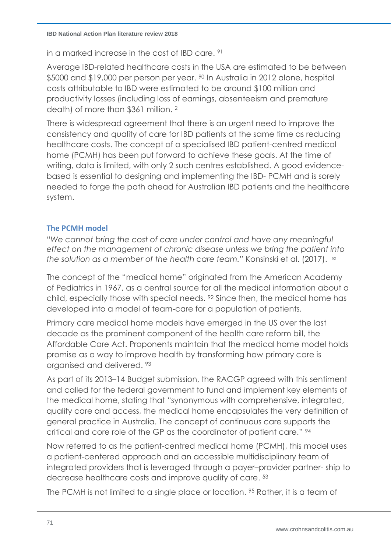in a marked increase in the cost of IBD care. <sup>91</sup>

Average IBD-related healthcare costs in the USA are estimated to be between \$5000 and \$19,000 per person per year. <sup>[90](#page-69-0)</sup> In Australia in 2012 alone, hospital costs attributable to IBD were estimated to be around \$100 million and productivity losses (including loss of earnings, absenteeism and premature death) of more than \$361 million. [2](#page-6-2)

There is widespread agreement that there is an urgent need to improve the consistency and quality of care for IBD patients at the same time as reducing healthcare costs. The concept of a specialised IBD patient-centred medical home (PCMH) has been put forward to achieve these goals. At the time of writing, data is limited, with only 2 such centres established. A good evidencebased is essential to designing and implementing the IBD- PCMH and is sorely needed to forge the path ahead for Australian IBD patients and the healthcare system.

### **The PCMH model**

"*We cannot bring the cost of care under control and have any meaningful effect on the management of chronic disease unless we bring the patient into the solution as a member of the health care team."* Konsinski et al. (2017). 92

<span id="page-70-0"></span>The concept of the "medical home" originated from the American Academy of Pediatrics in 1967, as a central source for all the medical information about a child, especially those with special needs. [92](#page-70-0) Since then, the medical home has developed into a model of team-care for a population of patients.

Primary care medical home models have emerged in the US over the last decade as the prominent component of the health care reform bill, the Affordable Care Act. Proponents maintain that the medical home model holds promise as a way to improve health by transforming how primary care is organised and delivered. <sup>93</sup>

As part of its 2013–14 Budget submission, the RACGP agreed with this sentiment and called for the federal government to fund and implement key elements of the medical home, stating that "synonymous with comprehensive, integrated, quality care and access, the medical home encapsulates the very definition of general practice in Australia. The concept of continuous care supports the critical and core role of the GP as the coordinator of patient care." <sup>94</sup>

Now referred to as the patient-centred medical home (PCMH), this model uses a patient-centered approach and an accessible multidisciplinary team of integrated providers that is leveraged through a payer–provider partner- ship to decrease healthcare costs and improve quality of care. [53](#page-42-0)

The PCMH is not limited to a single place or location. <sup>95</sup> Rather, it is a team of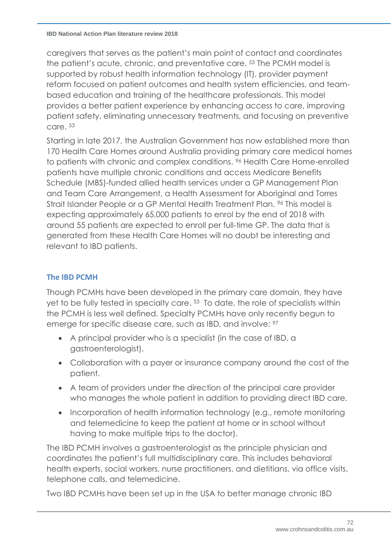#### **IBD National Action Plan literature review 2018**

caregivers that serves as the patient's main point of contact and coordinates the patient's acute, chronic, and preventative care. [53](#page-42-0) The PCMH model is supported by robust health information technology (IT), provider payment reform focused on patient outcomes and health system efficiencies, and teambased education and training of the healthcare professionals. This model provides a better patient experience by enhancing access to care, improving patient safety, eliminating unnecessary treatments, and focusing on preventive care. [53](#page-42-0)

<span id="page-71-0"></span>Starting in late 2017, the Australian Government has now established more than 170 Health Care Homes around Australia providing primary care medical homes to patients with chronic and complex conditions. <sup>96</sup> Health Care Home-enrolled patients have multiple chronic conditions and access Medicare Benefits Schedule (MBS)-funded allied health services under a GP Management Plan and Team Care Arrangement, a Health Assessment for Aboriginal and Torres Strait Islander People or a GP Mental Health Treatment Plan. <sup>[96](#page-71-0)</sup> This model is expecting approximately 65,000 patients to enrol by the end of 2018 with around 55 patients are expected to enroll per full-time GP. The data that is generated from these Health Care Homes will no doubt be interesting and relevant to IBD patients.

# **The IBD PCMH**

Though PCMHs have been developed in the primary care domain, they have yet to be fully tested in specialty care. [53](#page-42-0) To date, the role of specialists within the PCMH is less well defined. Specialty PCMHs have only recently begun to emerge for specific disease care, such as IBD, and involve:  $97$ 

- A principal provider who is a specialist (in the case of IBD, a gastroenterologist).
- Collaboration with a payer or insurance company around the cost of the patient.
- A team of providers under the direction of the principal care provider who manages the whole patient in addition to providing direct IBD care.
- Incorporation of health information technology (e.g., remote monitoring and telemedicine to keep the patient at home or in school without having to make multiple trips to the doctor).

The IBD PCMH involves a gastroenterologist as the principle physician and coordinates the patient's full multidisciplinary care. This includes behavioral health experts, social workers, nurse practitioners, and dietitians, via office visits, telephone calls, and telemedicine.

Two IBD PCMHs have been set up in the USA to better manage chronic IBD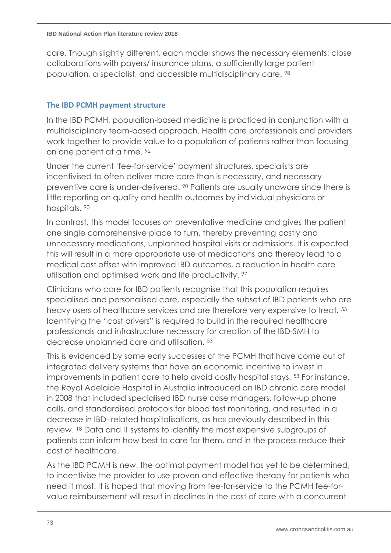<span id="page-72-0"></span>care. Though slightly different, each model shows the necessary elements: close collaborations with payers/ insurance plans, a sufficiently large patient population, a specialist, and accessible multidisciplinary care. <sup>98</sup>

## **The IBD PCMH payment structure**

In the IBD PCMH, population-based medicine is practiced in conjunction with a multidisciplinary team-based approach. Health care professionals and providers work together to provide value to a population of patients rather than focusing on one patient at a time. [92](#page-70-0)

Under the current 'fee-for-service' payment structures, specialists are incentivised to often deliver more care than is necessary, and necessary preventive care is under-delivered. <sup>[90](#page-69-0)</sup> Patients are usually unaware since there is little reporting on quality and health outcomes by individual physicians or hospitals. [90](#page-69-0)

In contrast, this model focuses on preventative medicine and gives the patient one single comprehensive place to turn, thereby preventing costly and unnecessary medications, unplanned hospital visits or admissions. It is expected this will result in a more appropriate use of medications and thereby lead to a medical cost offset with improved IBD outcomes, a reduction in health care utilisation and optimised work and life productivity. <sup>[97](#page-71-0)</sup>

Clinicians who care for IBD patients recognise that this population requires specialised and personalised care, especially the subset of IBD patients who are heavy users of healthcare services and are therefore very expensive to treat. [53](#page-42-0) Identifying the "cost drivers" is required to build in the required healthcare professionals and infrastructure necessary for creation of the IBD-SMH to decrease unplanned care and utilisation. [53](#page-42-0)

This is evidenced by some early successes of the PCMH that have come out of integrated delivery systems that have an economic incentive to invest in improvements in patient care to help avoid costly hospital stays. [53](#page-42-0) For instance, the Royal Adelaide Hospital in Australia introduced an IBD chronic care model in 2008 that included specialised IBD nurse case managers, follow-up phone calls, and standardised protocols for blood test monitoring, and resulted in a decrease in IBD- related hospitalisations, as has previously described in this review. [18](#page-8-0) Data and IT systems to identify the most expensive subgroups of patients can inform how best to care for them, and in the process reduce their cost of healthcare.

As the IBD PCMH is new, the optimal payment model has yet to be determined, to incentivise the provider to use proven and effective therapy for patients who need it most. It is hoped that moving from fee-for-service to the PCMH fee-forvalue reimbursement will result in declines in the cost of care with a concurrent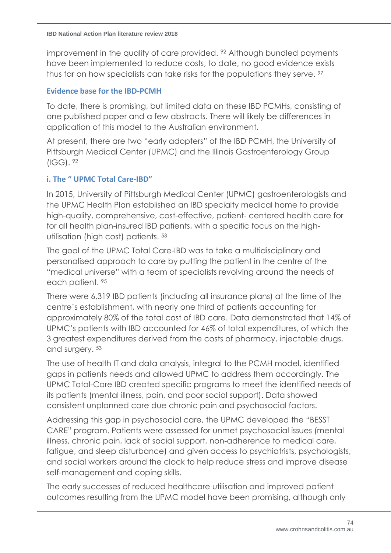improvement in the quality of care provided. <sup>[92](#page-70-0)</sup> Although bundled payments have been implemented to reduce costs, to date, no good evidence exists thus far on how specialists can take risks for the populations they serve. [97](#page-71-0)

### **Evidence base for the IBD-PCMH**

To date, there is promising, but limited data on these IBD PCMHs, consisting of one published paper and a few abstracts. There will likely be differences in application of this model to the Australian environment.

At present, there are two "early adopters" of the IBD PCMH, the University of Pittsburgh Medical Center (UPMC) and the Illinois Gastroenterology Group (IGG). [92](#page-70-0)

## **i. The " UPMC Total Care-IBD"**

In 2015, University of Pittsburgh Medical Center (UPMC) gastroenterologists and the UPMC Health Plan established an IBD specialty medical home to provide high-quality, comprehensive, cost-effective, patient- centered health care for for all health plan-insured IBD patients, with a specific focus on the highutilisation (high cost) patients. [53](#page-42-0)

The goal of the UPMC Total Care-IBD was to take a multidisciplinary and personalised approach to care by putting the patient in the centre of the "medical universe" with a team of specialists revolving around the needs of each patient. [95](#page-70-1)

There were 6,319 IBD patients (including all insurance plans) at the time of the centre's establishment, with nearly one third of patients accounting for approximately 80% of the total cost of IBD care. Data demonstrated that 14% of UPMC's patients with IBD accounted for 46% of total expenditures, of which the 3 greatest expenditures derived from the costs of pharmacy, injectable drugs, and surgery. [53](#page-42-0)

The use of health IT and data analysis, integral to the PCMH model, identified gaps in patients needs and allowed UPMC to address them accordingly. The UPMC Total-Care IBD created specific programs to meet the identified needs of its patients (mental illness, pain, and poor social support). Data showed consistent unplanned care due chronic pain and psychosocial factors.

Addressing this gap in psychosocial care, the UPMC developed the "BESST CARE" program. Patients were assessed for unmet psychosocial issues (mental illness, chronic pain, lack of social support, non-adherence to medical care, fatigue, and sleep disturbance) and given access to psychiatrists, psychologists, and social workers around the clock to help reduce stress and improve disease self-management and coping skills.

The early successes of reduced healthcare utilisation and improved patient outcomes resulting from the UPMC model have been promising, although only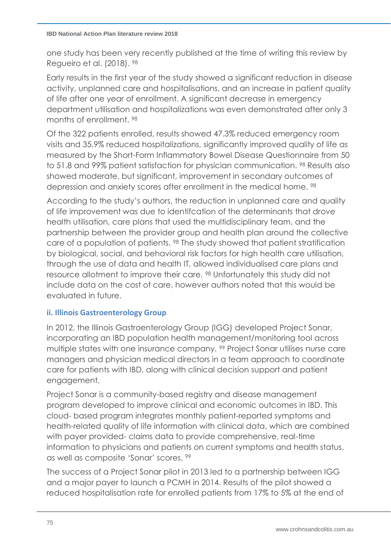one study has been very recently published at the time of writing this review by Regueiro et al. (2018). [98](#page-72-0)

Early results in the first year of the study showed a significant reduction in disease activity, unplanned care and hospitalisations, and an increase in patient quality of life after one year of enrollment. A significant decrease in emergency department utilisation and hospitalizations was even demonstrated after only 3 months of enrollment. [98](#page-72-0)

Of the 322 patients enrolled, results showed 47.3% reduced emergency room visits and 35.9% reduced hospitalizations, significantly improved quality of life as measured by the Short-Form Inflammatory Bowel Disease Questionnaire from 50 to 51.8 and 99% patient satisfaction for physician communication. <sup>[98](#page-72-0)</sup> Results also showed moderate, but significant, improvement in secondary outcomes of depression and anxiety scores after enrollment in the medical home. <sup>[98](#page-72-0)</sup>

According to the study's authors, the reduction in unplanned care and quality of life improvement was due to identifcation of the determinants that drove health utilisation, care plans that used the multidisciplinary team, and the partnership between the provider group and health plan around the collective care of a population of patients. [98](#page-72-0) The study showed that patient stratification by biological, social, and behavioral risk factors for high health care utilisation, through the use of data and health IT, allowed individualised care plans and resource allotment to improve their care. [98](#page-72-0) Unfortunately this study did not include data on the cost of care, however authors noted that this would be evaluated in future.

# **ii. Illinois Gastroenterology Group**

<span id="page-74-0"></span>In 2012, the Illinois Gastroenterology Group (IGG) developed Project Sonar, incorporating an IBD population health management/monitoring tool across multiple states with one insurance company. <sup>99</sup> Project Sonar utilises nurse care managers and physician medical directors in a team approach to coordinate care for patients with IBD, along with clinical decision support and patient engagement.

Project Sonar is a community-based registry and disease management program developed to improve clinical and economic outcomes in IBD. This cloud- based program integrates monthly patient-reported symptoms and health-related quality of life information with clinical data, which are combined with payer provided- claims data to provide comprehensive, real-time information to physicians and patients on current symptoms and health status, as well as composite 'Sonar' scores. [99](#page-74-0)

The success of a Project Sonar pilot in 2013 led to a partnership between IGG and a major payer to launch a PCMH in 2014. Results of the pilot showed a reduced hospitalisation rate for enrolled patients from 17% to 5% at the end of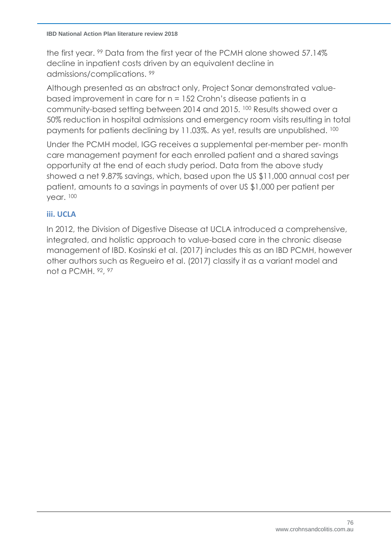#### **IBD National Action Plan literature review 2018**

the first year. [99](#page-74-0) Data from the first year of the PCMH alone showed 57.14% decline in inpatient costs driven by an equivalent decline in admissions/complications. [99](#page-74-0)

<span id="page-75-0"></span>Although presented as an abstract only, Project Sonar demonstrated valuebased improvement in care for n = 152 Crohn's disease patients in a community-based setting between 2014 and 2015. <sup>100</sup> Results showed over a 50% reduction in hospital admissions and emergency room visits resulting in total payments for patients declining by 11.03%. As yet, results are unpublished. [100](#page-75-0)

Under the PCMH model, IGG receives a supplemental per-member per- month care management payment for each enrolled patient and a shared savings opportunity at the end of each study period. Data from the above study showed a net 9.87% savings, which, based upon the US \$11,000 annual cost per patient, amounts to a savings in payments of over US \$1,000 per patient per year. [100](#page-75-0)

# **iii. UCLA**

In 2012, the Division of Digestive Disease at UCLA introduced a comprehensive, integrated, and holistic approach to value-based care in the chronic disease management of IBD. Kosinski et al. (2017) includes this as an IBD PCMH, however other authors such as Regueiro et al. (2017) classify it as a variant model and not a PCMH. [92](#page-70-0), [97](#page-71-0)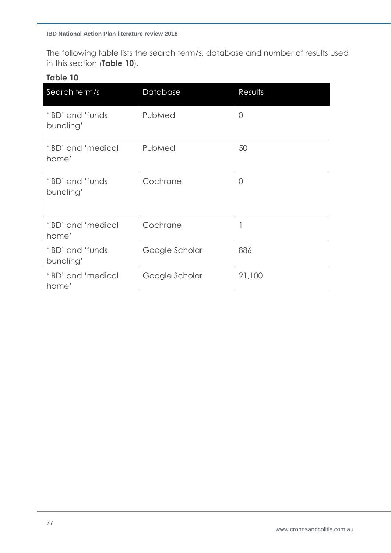The following table lists the search term/s, database and number of results used in this section (**Table 10**).

## **Table 10**

| Search term/s                  | Database       | Results        |
|--------------------------------|----------------|----------------|
| 'IBD' and 'funds<br>bundling'  | PubMed         | $\overline{0}$ |
| 'IBD' and 'medical<br>home'    | PubMed         | 50             |
| 'IBD' and 'funds'<br>bundling' | Cochrane       | 0              |
| 'IBD' and 'medical<br>home'    | Cochrane       |                |
| 'IBD' and 'funds<br>bundling'  | Google Scholar | 886            |
| 'IBD' and 'medical<br>home'    | Google Scholar | 21,100         |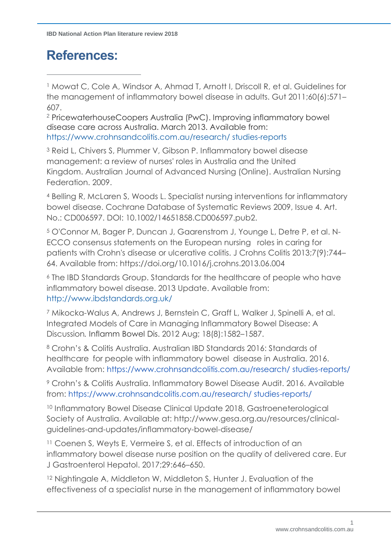# **References:**

 $\overline{a}$ 

<sup>1</sup> Mowat C, Cole A, Windsor A, Ahmad T, Arnott I, Driscoll R, et al. Guidelines for the management of inflammatory bowel disease in adults. Gut 2011;60(6):571– 607.

<sup>2</sup> PricewaterhouseCoopers Australia (PwC). Improving inflammatory bowel disease care across Australia. March 2013. Available from: https://www.crohnsandcolitis.com.au/research/ studies-reports

<sup>3</sup> Reid L, Chivers S, Plummer V, Gibson P. Inflammatory bowel disease management: a review of nurses' roles in Australia and the United Kingdom. Australian Journal of Advanced Nursing (Online). Australian Nursing Federation. 2009.

<sup>4</sup> Belling R, McLaren S, Woods L. Specialist nursing interventions for inflammatory bowel disease. Cochrane Database of Systematic Reviews 2009, Issue 4. Art. No.: CD006597. DOI: 10.1002/14651858.CD006597.pub2.

<sup>5</sup> O'Connor M, Bager P, Duncan J, Gaarenstrom J, Younge L, Detre P, et al. N-ECCO consensus statements on the European nursing roles in caring for patients with Crohn's disease or ulcerative colitis. J Crohns Colitis 2013;7(9):744– 64. Available from: https://doi.org/10.1016/j.crohns.2013.06.004

<sup>6</sup> The IBD Standards Group. Standards for the healthcare of people who have inflammatory bowel disease. 2013 Update. Available from: http://www.ibdstandards.org.uk/

<sup>7</sup> Mikocka-Walus A, Andrews J, Bernstein C, Graff L, Walker J, Spinelli A, et al. Integrated Models of Care in Managing Inflammatory Bowel Disease: A Discussion*.* Inflamm Bowel Dis. 2012 Aug; 18(8):1582–1587.

<sup>8</sup> Crohn's & Colitis Australia. Australian IBD Standards 2016: Standards of healthcare for people with inflammatory bowel disease in Australia. 2016. Available from: https://www.crohnsandcolitis.com.au/research/ studies-reports/

<sup>9</sup> Crohn's & Colitis Australia. Inflammatory Bowel Disease Audit. 2016. Available from: https://www.crohnsandcolitis.com.au/research/ studies-reports/

<sup>10</sup> Inflammatory Bowel Disease Clinical Update 2018, Gastroeneterological Society of Australia. Available at: http://www.gesa.org.au/resources/clinicalguidelines-and-updates/inflammatory-bowel-disease/

<sup>11</sup> Coenen S, Weyts E, Vermeire S, et al. Effects of introduction of an inflammatory bowel disease nurse position on the quality of delivered care. Eur J Gastroenterol Hepatol. 2017;29:646–650.

<sup>12</sup> Nightingale A, Middleton W, Middleton S, Hunter J. Evaluation of the effectiveness of a specialist nurse in the management of inflammatory bowel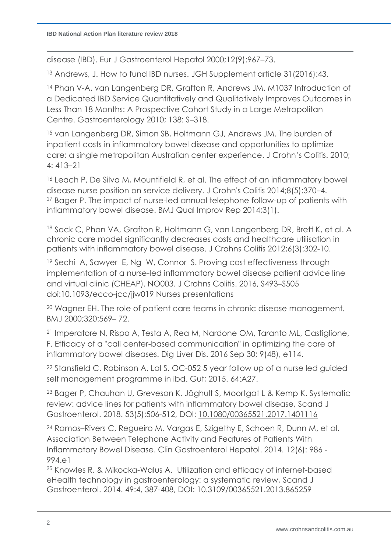disease (IBD). Eur J Gastroenterol Hepatol 2000;12(9):967–73.

<sup>13</sup> Andrews, J. How to fund IBD nurses. JGH Supplement article 31(2016):43.

<sup>14</sup> Phan V-A, van Langenberg DR, Grafton R, Andrews JM. M1037 Introduction of a Dedicated IBD Service Quantitatively and Qualitatively Improves Outcomes in Less Than 18 Months: A Prospective Cohort Study in a Large Metropolitan Centre. Gastroenterology 2010; 138: S–318.

<sup>15</sup> van Langenberg DR, Simon SB, Holtmann GJ, Andrews JM. The burden of inpatient costs in inflammatory bowel disease and opportunities to optimize care: a single metropolitan Australian center experience. J Crohn's Colitis. 2010; 4: 413–21

<sup>16</sup> Leach P, De Silva M, Mountifield R, et al. The effect of an inflammatory bowel disease nurse position on service delivery. J Crohn's Colitis 2014;8(5):370–4. <sup>17</sup> Bager P. The impact of nurse-led annual telephone follow-up of patients with inflammatory bowel disease. BMJ Qual Improv Rep 2014;3(1).

<sup>18</sup> Sack C, Phan VA, Grafton R, Holtmann G, van Langenberg DR, Brett K, et al. A chronic care model significantly decreases costs and healthcare utilisation in patients with inflammatory bowel disease. J Crohns Colitis 2012;6(3):302-10.

<sup>19</sup> Sechi A, Sawyer E, Ng W, Connor S. Proving cost effectiveness through implementation of a nurse-led inflammatory bowel disease patient advice line and virtual clinic (CHEAP). NO003. J Crohns Colitis. 2016, S493–S505 doi:10.1093/ecco-jcc/jjw019 Nurses presentations

<sup>20</sup> Wagner EH. The role of patient care teams in chronic disease management. BMJ 2000;320:569– 72.

<sup>21</sup> Imperatore N, Rispo A, Testa A, Rea M, Nardone OM, Taranto ML, Castiglione, F. Efficacy of a "call center-based communication" in optimizing the care of inflammatory bowel diseases. Dig Liver Dis. 2016 Sep 30; 9(48), e114.

<sup>22</sup> Stansfield C, Robinson A, Lal S. OC-052 5 year follow up of a nurse led guided self management programme in ibd. Gut; 2015. 64:A27.

<sup>23</sup> Bager P, Chauhan U, Greveson K, Jäghult S, Moortgat L & Kemp K. Systematic review: advice lines for patients with inflammatory bowel disease, Scand J Gastroenterol. 2018. 53(5):506-512, DOI: [10.1080/00365521.2017.1401116](https://doi.org/10.1080/00365521.2017.1401116)

<sup>24</sup> Ramos–Rivers C, Regueiro M, Vargas E, Szigethy E, Schoen R, Dunn M, et al. Association Between Telephone Activity and Features of Patients With Inflammatory Bowel Disease. Clin Gastroenterol Hepatol. 2014. 12(6): 986 - 994.e1

<sup>25</sup> Knowles R. & Mikocka-Walus A. Utilization and efficacy of internet-based eHealth technology in gastroenterology: a systematic review, Scand J Gastroenterol. 2014. 49:4, 387-408, DOI: [10.3109/00365521.2013.865259](https://doi.org/10.3109/00365521.2013.865259)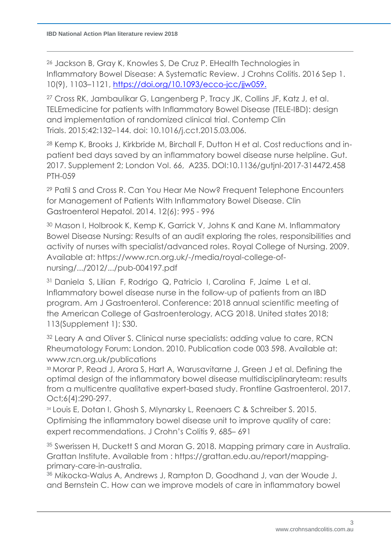<sup>26</sup> Jackson B, Gray K, Knowles S, De Cruz P. EHealth Technologies in Inflammatory Bowel Disease: A Systematic Review. J Crohns Colitis. 2016 Sep 1. 10(9), 1103–1121, [https://doi.org/10.1093/ecco-jcc/jjw059.](https://doi.org/10.1093/ecco-jcc/jjw059)

<sup>27</sup> Cross RK, Jambaulikar G, Langenberg P, Tracy JK, Collins JF, Katz J, et al. TELEmedicine for patients with Inflammatory Bowel Disease (TELE-IBD): design and implementation of randomized clinical trial. Contemp Clin Trials. 2015;42:132–144. doi: 10.1016/j.cct.2015.03.006.

<sup>28</sup> [Kemp K,](https://search.proquest.com/indexinglinkhandler/sng/au/Kemp,+K/$N;jsessionid=99CFBB7E62B99831334CD2ED69D9BE77.i-0017ae54e3e6ab148) [Brooks](https://search.proquest.com/indexinglinkhandler/sng/au/Brooks,+J/$N;jsessionid=99CFBB7E62B99831334CD2ED69D9BE77.i-0017ae54e3e6ab148) J, [Kirkbride](https://search.proquest.com/indexinglinkhandler/sng/au/Kirkbride,+M/$N;jsessionid=99CFBB7E62B99831334CD2ED69D9BE77.i-0017ae54e3e6ab148) M, [Birchall](https://search.proquest.com/indexinglinkhandler/sng/au/Birchall,+F/$N;jsessionid=99CFBB7E62B99831334CD2ED69D9BE77.i-0017ae54e3e6ab148) F, [Dutton](https://search.proquest.com/indexinglinkhandler/sng/au/Dutton,+H/$N;jsessionid=99CFBB7E62B99831334CD2ED69D9BE77.i-0017ae54e3e6ab148) H et al. Cost reductions and inpatient bed days saved by an inflammatory bowel disease nurse helpline. [Gut.](https://search.proquest.com/pubidlinkhandler/sng/pubtitle/Gut/$N/2041069/OpenView/1910711451/$B/C2F3C083A0014547PQ/1;jsessionid=99CFBB7E62B99831334CD2ED69D9BE77.i-0017ae54e3e6ab148)  [2017. Supplement 2;](https://search.proquest.com/pubidlinkhandler/sng/pubtitle/Gut/$N/2041069/OpenView/1910711451/$B/C2F3C083A0014547PQ/1;jsessionid=99CFBB7E62B99831334CD2ED69D9BE77.i-0017ae54e3e6ab148) London [Vol.](https://search.proquest.com/indexingvolumeissuelinkhandler/2041069/Gut/02017Y07Y01$23Jul+2017$3b++Vol.+66,+Supp.+Supplement+2/66/$B;jsessionid=99CFBB7E62B99831334CD2ED69D9BE77.i-0017ae54e3e6ab148) 66, A235. DOI:10.1136/gutjnl-2017-314472.458 PTH-059

<sup>29</sup> Patil S and Cross R. Can You Hear Me Now? Frequent Telephone Encounters for Management of Patients With Inflammatory Bowel Disease. Clin Gastroenterol Hepatol. 2014. 12(6): 995 - 996

<sup>30</sup> Mason I, Holbrook K, Kemp K, Garrick V, Johns K and Kane M. Inflammatory Bowel Disease Nursing: Results of an audit exploring the roles, responsibilities and activity of nurses with specialist/advanced roles. Royal College of Nursing. 2009. Available at: https://www.rcn.org.uk/-/media/royal-college-ofnursing/.../2012/.../pub-004197.pdf

<sup>31</sup> Daniela S, Lilian F, Rodrigo Q, Patricio I, Carolina F, Jaime L et al. Inflammatory bowel disease nurse in the follow-up of patients from an IBD program. Am J Gastroenterol. Conference: 2018 annual scientific meeting of the American College of Gastroenterology, ACG 2018. United states 2018; 113(Supplement 1): S30.

<sup>32</sup> Leary A and Oliver S. Clinical nurse specialists: adding value to care, RCN Rheumatology Forum: London. 2010. Publication code 003 598. Available at: www.rcn.org.uk/publications

<sup>33</sup> Morar P, Read J, Arora S, Hart A, Warusavitarne J, Green J et al. [Defining the](https://www.ncbi.nlm.nih.gov/pubmed/28839825)  optimal [design of the inflammatory bowel disease](https://www.ncbi.nlm.nih.gov/pubmed/28839825) multidisciplinaryteam: results [from a multicentre qualitative expert-based study.](https://www.ncbi.nlm.nih.gov/pubmed/28839825) Frontline Gastroenterol. 2017. Oct;6(4):290-297.

34 Louis E, Dotan I, Ghosh S, Mlynarsky L, Reenaers C & Schreiber S. 2015. Optimising the inflammatory bowel disease unit to improve quality of care: expert recommendations. J Crohn's Colitis 9, 685– 691

<sup>35</sup> Swerissen H, Duckett S and Moran G. 2018. Mapping primary care in Australia. Grattan Institute. Available from : https://grattan.edu.au/report/mappingprimary-care-in-australia.

<sup>36</sup> Mikocka-Walus A, Andrews J, Rampton D, Goodhand J, van der Woude J. and Bernstein C. How can we improve models of care in inflammatory bowel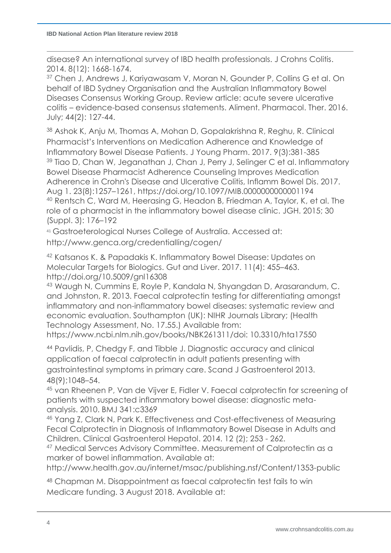disease? An international survey of IBD health professionals. J Crohns Colitis. 2014. 8(12): 1668-1674.

<sup>37</sup> Chen J, Andrews J, Kariyawasam V, Moran N, Gounder P, Collins G et al. On behalf of IBD Sydney Organisation and the Australian Inflammatory Bowel Diseases Consensus Working Group. Review article: acute severe ulcerative colitis – evidence-based consensus statements. Aliment. Pharmacol. Ther. 2016. July; 44(2): 127-44.

<sup>38</sup> Ashok K, Anju M, Thomas A, Mohan D, Gopalakrishna R, Reghu, R. Clinical Pharmacist's Interventions on Medication Adherence and Knowledge of Inflammatory Bowel Disease Patients. J Young Pharm. 2017. 9(3):381-385 <sup>39</sup> Tiao D, Chan W, Jeganathan J, Chan J, Perry J, Selinger C et al. Inflammatory Bowel Disease Pharmacist Adherence Counseling Improves Medication Adherence in Crohn's Disease and Ulcerative Colitis, Inflamm Bowel Dis. 2017. Aug 1. 23(8):1257–1261, <https://doi.org/10.1097/MIB.0000000000001194> <sup>40</sup> Rentsch C, Ward M, Heerasing G, Headon B, Friedman A, Taylor, K, et al. The role of a pharmacist in the inflammatory bowel disease clinic. JGH. 2015; 30 (Suppl. 3): 176–192

<sup>41</sup> Gastroeterological Nurses College of Australia. Accessed at:

http://www.genca.org/credentialling/cogen/

<sup>42</sup> Katsanos K. & Papadakis K. Inflammatory Bowel Disease: Updates on Molecular Targets for Biologics. Gut and Liver. 2017. 11(4): 455–463. http://doi.org/10.5009/gnl16308

<sup>43</sup> Waugh N, Cummins E, Royle P, Kandala N, Shyangdan D, Arasarandum, C. and Johnston, R. 2013. Faecal calprotectin testing for differentiating amongst inflammatory and non-inflammatory bowel diseases: systematic review and economic evaluation. Southampton (UK): NIHR Journals Library; (Health Technology Assessment, No. 17.55.) Available from:

https://www.ncbi.nlm.nih.gov/books/NBK261311/doi: 10.3310/hta17550

<sup>44</sup> Pavlidis, P, Chedgy F, and Tibble J. Diagnostic accuracy and clinical application of faecal calprotectin in adult patients presenting with gastrointestinal symptoms in primary care. Scand J Gastroenterol 2013. 48(9);1048–54.

<sup>45</sup> van Rheenen P, Van de Vijver E, Fidler V. Faecal calprotectin for screening of patients with suspected inflammatory bowel disease: diagnostic metaanalysis. 2010. BMJ 341:c3369

<sup>46</sup> Yang Z, Clark N, Park K. Effectiveness and Cost-effectiveness of Measuring Fecal Calprotectin in Diagnosis of Inflammatory Bowel Disease in Adults and Children. Clinical Gastroenterol Hepatol. 2014. 12 (2); 253 - 262.

<sup>47</sup> Medical Servces Advisory Committee. Measurement of Calprotectin as a marker of bowel inflammation. Available at:

http://www.health.gov.au/internet/msac/publishing.nsf/Content/1353-public

<sup>48</sup> Chapman M. Disappointment as faecal calprotectin test fails to win Medicare funding. 3 August 2018. Available at: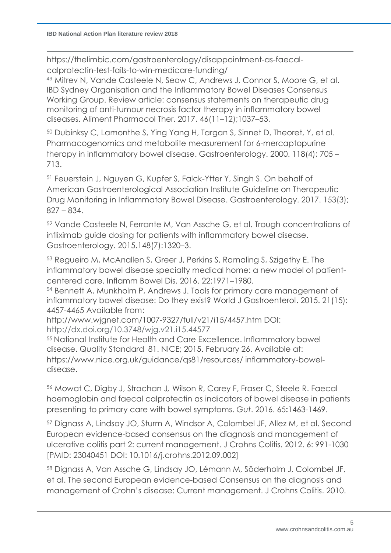https://thelimbic.com/gastroenterology/disappointment-as-faecalcalprotectin-test-fails-to-win-medicare-funding/

<sup>49</sup> Mitrev N, Vande Casteele N, Seow C, Andrews J, Connor S, Moore G, et al. IBD Sydney Organisation and the Inflammatory Bowel Diseases Consensus Working Group. Review article: consensus statements on therapeutic drug monitoring of anti-tumour necrosis factor therapy in inflammatory bowel diseases. Aliment Pharmacol Ther. 2017. 46(11–12);1037–53.

<sup>50</sup> Dubinksy C, Lamonthe S, Ying Yang H, Targan S, Sinnet D, Theoret, Y, et al. Pharmacogenomics and metabolite measurement for 6-mercaptopurine therapy in inflammatory bowel disease. Gastroenterology. 2000. 118(4); 705 – 713.

<sup>51</sup> Feuerstein J, Nguyen G, Kupfer S, Falck-Ytter Y, Singh S. On behalf of American Gastroenterological Association Institute Guideline on Therapeutic Drug Monitoring in Inflammatory Bowel Disease. Gastroenterology. 2017. 153(3); 827 – 834.

<sup>52</sup> Vande Casteele N, Ferrante M, Van Assche G, et al. Trough concentrations of infliximab guide dosing for patients with inflammatory bowel disease. Gastroenterology. 2015.148(7):1320–3.

<sup>53</sup> Regueiro M, McAnallen S, Greer J, Perkins S, Ramaling S, Szigethy E. The inflammatory bowel disease specialty medical home: a new model of patientcentered care. Inflamm Bowel Dis. 2016. 22:1971–1980.

<sup>54</sup> Bennett A, Munkholm P, Andrews J. Tools for primary care management of inflammatory bowel disease: Do they exist? World J Gastroenterol. 2015. 21(15): 4457-4465 Available from:

http://www.wjgnet.com/1007-9327/full/v21/i15/4457.htm DOI: http://dx.doi.org/10.3748/wjg.v21.i15.44577

<sup>55</sup> National Institute for Health and Care Excellence. Inflammatory bowel disease. Quality Standard 81. NICE; 2015. February 26. Available at: https://www.nice.org.uk/guidance/qs81/resources/ inflammatory-boweldisease.

<sup>56</sup> Mowat C, Digby J, Strachan J*,* Wilson R, Carey F, Fraser C, Steele R. Faecal haemoglobin and faecal calprotectin as indicators of bowel disease in patients presenting to primary care with bowel symptoms. *Gut*. 2016. 65**:**1463-1469.

<sup>57</sup> Dignass A, Lindsay JO, Sturm A, Windsor A, Colombel JF, Allez M, et al. Second European evidence-based consensus on the diagnosis and management of ulcerative colitis part 2: current management. J Crohns Colitis. 2012. 6: 991-1030 [PMID: 23040451 DOI: 10.1016/j.crohns.2012.09.002]

<sup>58</sup> Dignass A, Van Assche G, Lindsay JO, Lémann M, Söderholm J, Colombel JF, et al. The second European evidence-based Consensus on the diagnosis and management of Crohn's disease: Current management. J Crohns Colitis. 2010.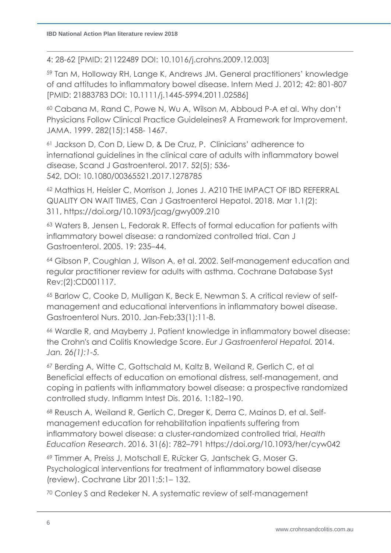4: 28-62 [PMID: 21122489 DOI: 10.1016/j.crohns.2009.12.003]

<sup>59</sup> Tan M, Holloway RH, Lange K, Andrews JM. General practitioners' knowledge of and attitudes to inflammatory bowel disease. Intern Med J. 2012; 42: 801-807 [PMID: 21883783 DOI: 10.1111/j.1445-5994.2011.02586]

<sup>60</sup> Cabana M, Rand C, Powe N, Wu A, Wilson M, Abboud P-A et al. Why don't Physicians Follow Clinical Practice Guideleines? A Framework for Improvement. JAMA. 1999. 282(15):1458- 1467.

<sup>61</sup> Jackson D, Con D, Liew D, & De Cruz, P. Clinicians' adherence to international guidelines in the clinical care of adults with inflammatory bowel disease, Scand J Gastroenterol. 2017. 52(5); 536- 542, DOI: 10.1080/00365521.2017.1278785

<sup>62</sup> Mathias H, Heisler C, Morrison J, Jones J. A210 THE IMPACT OF IBD REFERRAL QUALITY ON WAIT TIMES, Can J Gastroenterol Hepatol. 2018. Mar 1.1(2): 311, https://doi.org/10.1093/jcag/gwy009.210

<sup>63</sup> Waters B, Jensen L, Fedorak R. Effects of formal education for patients with inflammatory bowel disease: a randomized controlled trial. Can J Gastroenterol. 2005. 19: 235–44.

<sup>64</sup> Gibson P, Coughlan J, Wilson A, et al. 2002. Self-management education and regular practitioner review for adults with asthma. Cochrane Database Syst Rev;(2):CD001117.

<sup>65</sup> Barlow C, Cooke D, Mulligan K, Beck E, Newman S. A critical review of selfmanagement and educational interventions in inflammatory bowel disease. Gastroenterol Nurs. 2010. Jan-Feb;33(1):11-8.

<sup>66</sup> Wardle R, and Mayberry J. Patient knowledge in inflammatory bowel disease: the Crohn's and Colitis Knowledge Score. *Eur J Gastroenterol Hepatol.* 2014. *Jan. 26(1):1-5.*

<sup>67</sup> Berding A, Witte C, Gottschald M, Kaltz B, Weiland R, Gerlich C, et al Beneficial effects of education on emotional distress, self-management, and coping in patients with inflammatory bowel disease: a prospective randomized controlled study. Inflamm Intest Dis. 2016. 1:182–190.

<sup>68</sup> Reusch A, Weiland R, Gerlich C, Dreger K, Derra C, Mainos D, et al. Selfmanagement education for rehabilitation inpatients suffering from inflammatory bowel disease: a cluster-randomized controlled trial, *Health Education Research*. 2016. 31(6): 782–791 https://doi.org/10.1093/her/cyw042

<sup>69</sup> Timmer A, Preiss J, Motschall E, Rücker G, Jantschek G, Moser G. Psychological interventions for treatment of inflammatory bowel disease (review). Cochrane Libr 2011;5:1– 132.

<sup>70</sup> Conley S and Redeker N. A systematic review of self-management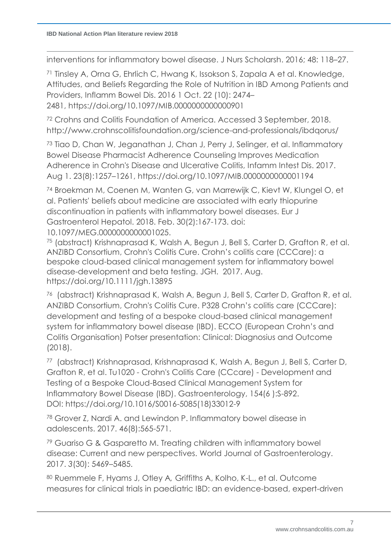interventions for inflammatory bowel disease. J Nurs Scholarsh. 2016; 48: 118–27.

<sup>71</sup> Tinsley A, Orna G, Ehrlich C, Hwang K, Issokson S, Zapala A et al. Knowledge, Attitudes, and Beliefs Regarding the Role of Nutrition in IBD Among Patients and Providers, Inflamm Bowel Dis. 2016 1 Oct. 22 (10): 2474– 2481, https://doi.org/10.1097/MIB.0000000000000901

<sup>72</sup> Crohns and Colitis Foundation of America. Accessed 3 September, 2018. http://www.crohnscolitisfoundation.org/science-and-professionals/ibdqorus/

<sup>73</sup> Tiao D, Chan W, Jeganathan J, Chan J, Perry J, Selinger, et al. Inflammatory Bowel Disease Pharmacist Adherence Counseling Improves Medication Adherence in Crohn's Disease and Ulcerative Colitis, Infamm Intest Dis. 2017. Aug 1. 23(8):1257–1261, https://doi.org/10.1097/MIB.0000000000001194

<sup>74</sup> Broekman M, Coenen M, Wanten G, van Marrewijk C, Kievt W, Klungel O, et al. Patients' beliefs about medicine are associated with early thiopurine discontinuation in patients with inflammatory bowel diseases. Eur J Gastroenterol Hepatol. 2018. Feb. 30(2):167-173. doi: 10.1097/MEG.0000000000001025.

<sup>75</sup> (abstract) Krishnaprasad K, Walsh A, Begun J, Bell S, Carter D, Grafton R, et al. ANZIBD Consortium, Crohn's Colitis Cure. Crohn's colitis care (CCCare): a bespoke cloud-based clinical management system for inflammatory bowel disease-development and beta testing. JGH. 2017. Aug. <https://doi.org/10.1111/jgh.13895>

<sup>76</sup> (abstract) Krishnaprasad K, Walsh A, Begun J, Bell S, Carter D, Grafton R, et al. ANZIBD Consortium, Crohn's Colitis Cure. P328 Crohn's colitis care (CCCare): development and testing of a bespoke cloud-based clinical management system for inflammatory bowel disease (IBD). ECCO (European Crohn's and Colitis Organisation) Potser presentation: Clinical: Diagnosius and Outcome (2018).

<sup>77</sup> (abstract) Krishnaprasad, Krishnaprasad K, Walsh A, Begun J, Bell S, Carter D, Grafton R, et al. Tu1020 - Crohn's Colitis Care (CCcare) - Development and Testing of a Bespoke Cloud-Based Clinical Management System for Inflammatory Bowel Disease (IBD). Gastroenterology, 154(6 ):S-892. DOI: https://doi.org/10.1016/S0016-5085(18)33012-9

<sup>78</sup> Grover Z, Nardi A. and Lewindon P. Inflammatory bowel disease in adolescents. 2017. 46(8):565-571.

<sup>79</sup> Guariso G & Gasparetto M. Treating children with inflammatory bowel disease: Current and new perspectives. World Journal of Gastroenterology. 2017. *3*(30): 5469–5485.

<sup>80</sup> Ruemmele F, Hyams J, Otley A*,* Griffiths A, Kolho, K-L., et al. Outcome measures for clinical trials in paediatric IBD: an evidence-based, expert-driven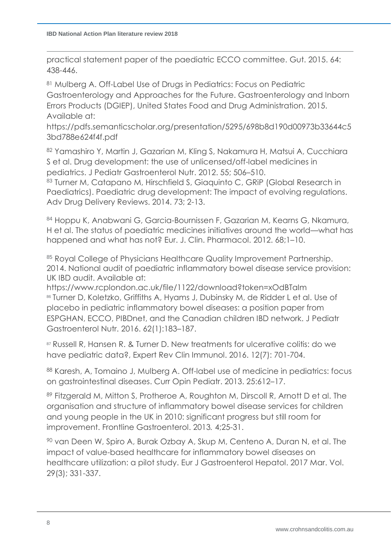practical statement paper of the paediatric ECCO committee. Gut. 2015. 64: 438-446.

<sup>81</sup> Mulberg A. Off-Label Use of Drugs in Pediatrics: Focus on Pediatric Gastroenterology and Approaches for the Future. Gastroenterology and Inborn Errors Products (DGIEP), United States Food and Drug Administration. 2015. Available at:

https://pdfs.semanticscholar.org/presentation/5295/698b8d190d00973b33644c5 3bd788e624f4f.pdf

<sup>82</sup> Yamashiro Y, Martin J, Gazarian M, Kling S, Nakamura H, Matsui A, Cucchiara S et al. Drug development: the use of unlicensed/off-label medicines in pediatrics. J Pediatr Gastroenterol Nutr. 2012. 55; 506–510.

83 Turner M, Catapano M, Hirschfield S, Giaquinto C, GRiP (Global Research in Paediatrics). Paediatric drug development: The impact of evolving regulations. Adv Drug Delivery Reviews. 2014. 73; 2-13.

<sup>84</sup> Hoppu K, Anabwani G, Garcia-Bournissen F, Gazarian M, Kearns G, Nkamura, H et al. The status of paediatric medicines initiatives around the world—what has happened and what has not? Eur. J. Clin. Pharmacol. 2012. 68;1–10.

85 Royal College of Physicians Healthcare Quality Improvement Partnership. 2014. National audit of paediatric inflammatory bowel disease service provision: UK IBD audit. Available at:

https://www.rcplondon.ac.uk/file/1122/download?token=xOdBTaIm <sup>86</sup> Turner D, Koletzko, Griffiths A, Hyams J, Dubinsky M, de Ridder L et al. Use of placebo in pediatric inflammatory bowel diseases: a position paper from ESPGHAN, ECCO, PIBDnet, and the Canadian children IBD network. J Pediatr Gastroenterol Nutr. 2016. 62(1):183–187.

<sup>87</sup> Russell R, Hansen R. & Turner D. New treatments for ulcerative colitis: do we have pediatric data?, Expert Rev Clin Immunol. 2016. 12(7): 701-704.

<sup>88</sup> Karesh, A, Tomaino J, Mulberg A. Off-label use of medicine in pediatrics: focus on gastrointestinal diseases. Curr Opin Pediatr. 2013. 25:612–17.

<sup>89</sup> Fitzgerald M, Mitton S, Protheroe A, Roughton M, Dirscoll R, Arnott D et al. The organisation and structure of inflammatory bowel disease services for children and young people in the UK in 2010: significant progress but still room for improvement. Frontline Gastroenterol. 2013*.* 4;25-31.

<sup>90</sup> van Deen W, Spiro A, Burak Ozbay A, Skup M, Centeno A, Duran N, et al. The impact of value-based healthcare for inflammatory bowel diseases on healthcare utilization: a pilot study. Eur J Gastroenterol Hepatol. 2017 Mar. Vol. 29(3); 331-337.